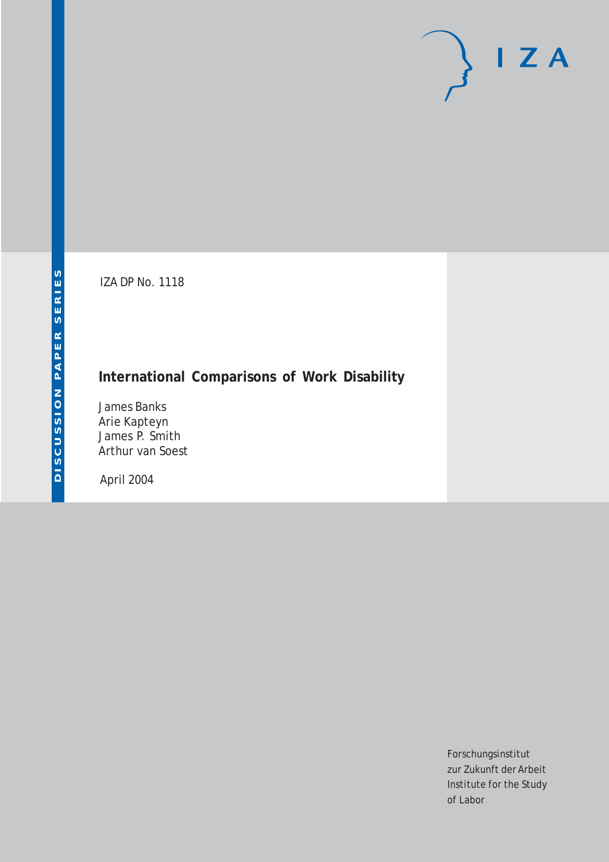# $I Z A$

IZA DP No. 1118

# **International Comparisons of Work Disability**

James Banks Arie Kapteyn James P. Smith Arthur van Soest

April 2004

Forschungsinstitut zur Zukunft der Arbeit Institute for the Study of Labor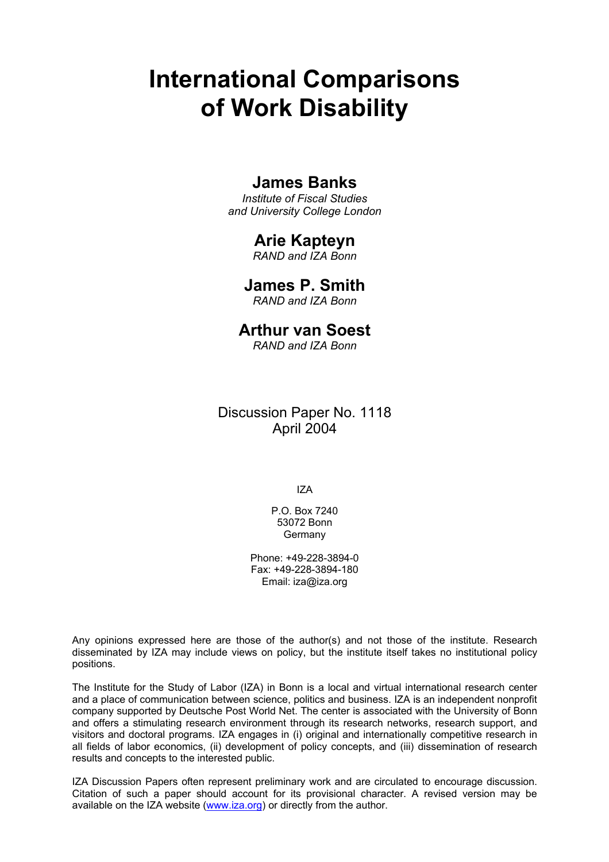# **International Comparisons of Work Disability**

## **James Banks**

*Institute of Fiscal Studies and University College London* 

# **Arie Kapteyn**

*RAND and IZA Bonn* 

# **James P. Smith**

*RAND and IZA Bonn* 

## **Arthur van Soest**

*RAND and IZA Bonn* 

Discussion Paper No. 1118 April 2004

IZA

P.O. Box 7240 53072 Bonn Germany

Phone: +49-228-3894-0 Fax: +49-228-3894-180 Email: [iza@iza.org](mailto:iza@iza.org)

Any opinions expressed here are those of the author(s) and not those of the institute. Research disseminated by IZA may include views on policy, but the institute itself takes no institutional policy positions.

The Institute for the Study of Labor (IZA) in Bonn is a local and virtual international research center and a place of communication between science, politics and business. IZA is an independent nonprofit company supported by Deutsche Post World Net. The center is associated with the University of Bonn and offers a stimulating research environment through its research networks, research support, and visitors and doctoral programs. IZA engages in (i) original and internationally competitive research in all fields of labor economics, (ii) development of policy concepts, and (iii) dissemination of research results and concepts to the interested public.

IZA Discussion Papers often represent preliminary work and are circulated to encourage discussion. Citation of such a paper should account for its provisional character. A revised version may be available on the IZA website ([www.iza.org](http://www.iza.org/)) or directly from the author.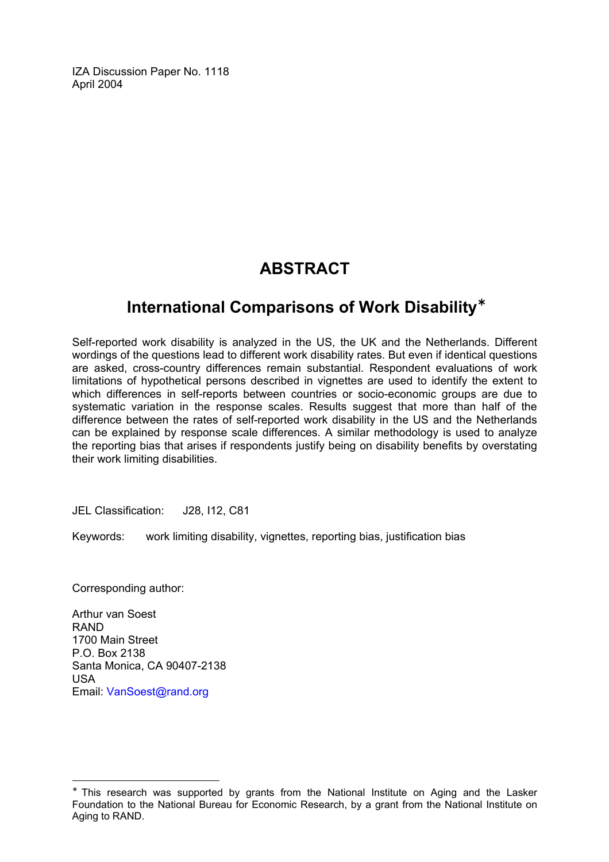IZA Discussion Paper No. 1118 April 2004

# **ABSTRACT**

# **International Comparisons of Work Disability**[∗](#page-2-0)

Self-reported work disability is analyzed in the US, the UK and the Netherlands. Different wordings of the questions lead to different work disability rates. But even if identical questions are asked, cross-country differences remain substantial. Respondent evaluations of work limitations of hypothetical persons described in vignettes are used to identify the extent to which differences in self-reports between countries or socio-economic groups are due to systematic variation in the response scales. Results suggest that more than half of the difference between the rates of self-reported work disability in the US and the Netherlands can be explained by response scale differences. A similar methodology is used to analyze the reporting bias that arises if respondents justify being on disability benefits by overstating their work limiting disabilities.

JEL Classification: J28, I12, C81

Keywords: work limiting disability, vignettes, reporting bias, justification bias

Corresponding author:

 $\overline{a}$ 

Arthur van Soest RAND 1700 Main Street P.O. Box 2138 Santa Monica, CA 90407-2138 USA Email: [VanSoest@rand.org](mailto:VanSoest@rand.org)

<span id="page-2-0"></span><sup>∗</sup> This research was supported by grants from the National Institute on Aging and the Lasker Foundation to the National Bureau for Economic Research, by a grant from the National Institute on Aging to RAND.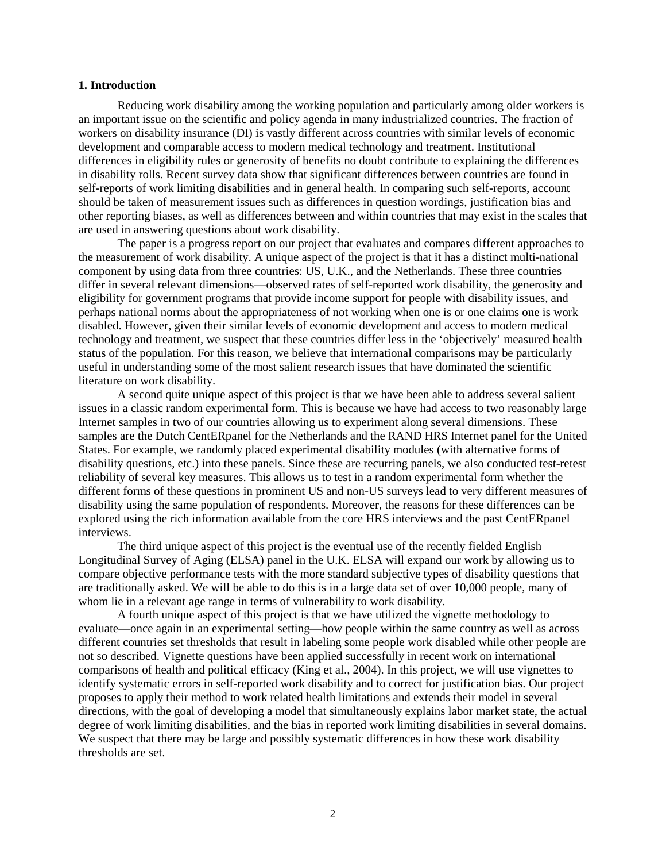#### **1. Introduction**

Reducing work disability among the working population and particularly among older workers is an important issue on the scientific and policy agenda in many industrialized countries. The fraction of workers on disability insurance (DI) is vastly different across countries with similar levels of economic development and comparable access to modern medical technology and treatment. Institutional differences in eligibility rules or generosity of benefits no doubt contribute to explaining the differences in disability rolls. Recent survey data show that significant differences between countries are found in self-reports of work limiting disabilities and in general health. In comparing such self-reports, account should be taken of measurement issues such as differences in question wordings, justification bias and other reporting biases, as well as differences between and within countries that may exist in the scales that are used in answering questions about work disability.

The paper is a progress report on our project that evaluates and compares different approaches to the measurement of work disability. A unique aspect of the project is that it has a distinct multi-national component by using data from three countries: US, U.K., and the Netherlands. These three countries differ in several relevant dimensions—observed rates of self-reported work disability, the generosity and eligibility for government programs that provide income support for people with disability issues, and perhaps national norms about the appropriateness of not working when one is or one claims one is work disabled. However, given their similar levels of economic development and access to modern medical technology and treatment, we suspect that these countries differ less in the 'objectively' measured health status of the population. For this reason, we believe that international comparisons may be particularly useful in understanding some of the most salient research issues that have dominated the scientific literature on work disability.

A second quite unique aspect of this project is that we have been able to address several salient issues in a classic random experimental form. This is because we have had access to two reasonably large Internet samples in two of our countries allowing us to experiment along several dimensions. These samples are the Dutch CentERpanel for the Netherlands and the RAND HRS Internet panel for the United States. For example, we randomly placed experimental disability modules (with alternative forms of disability questions, etc.) into these panels. Since these are recurring panels, we also conducted test-retest reliability of several key measures. This allows us to test in a random experimental form whether the different forms of these questions in prominent US and non-US surveys lead to very different measures of disability using the same population of respondents. Moreover, the reasons for these differences can be explored using the rich information available from the core HRS interviews and the past CentERpanel interviews.

The third unique aspect of this project is the eventual use of the recently fielded English Longitudinal Survey of Aging (ELSA) panel in the U.K. ELSA will expand our work by allowing us to compare objective performance tests with the more standard subjective types of disability questions that are traditionally asked. We will be able to do this is in a large data set of over 10,000 people, many of whom lie in a relevant age range in terms of vulnerability to work disability.

A fourth unique aspect of this project is that we have utilized the vignette methodology to evaluate—once again in an experimental setting—how people within the same country as well as across different countries set thresholds that result in labeling some people work disabled while other people are not so described. Vignette questions have been applied successfully in recent work on international comparisons of health and political efficacy (King et al., 2004). In this project, we will use vignettes to identify systematic errors in self-reported work disability and to correct for justification bias. Our project proposes to apply their method to work related health limitations and extends their model in several directions, with the goal of developing a model that simultaneously explains labor market state, the actual degree of work limiting disabilities, and the bias in reported work limiting disabilities in several domains. We suspect that there may be large and possibly systematic differences in how these work disability thresholds are set.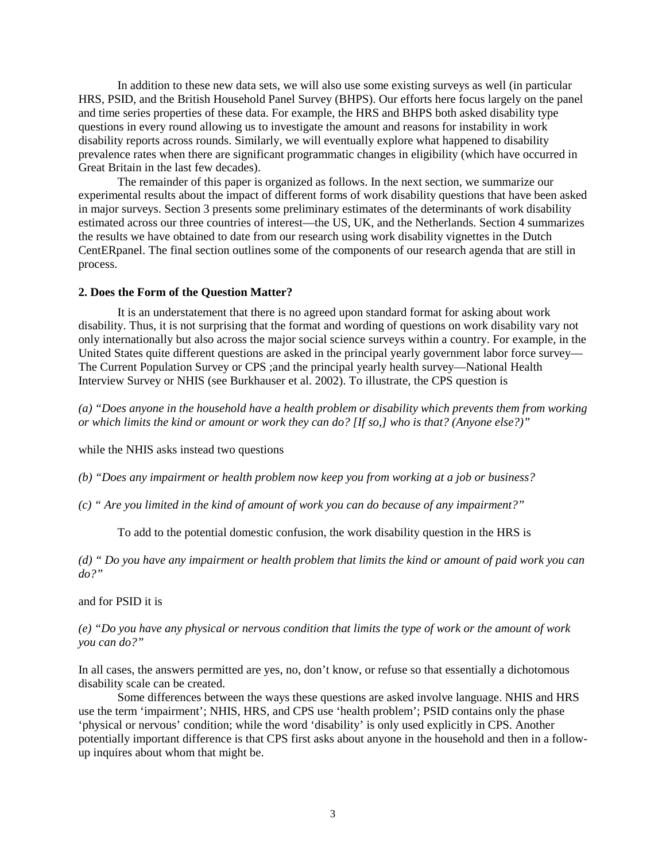In addition to these new data sets, we will also use some existing surveys as well (in particular HRS, PSID, and the British Household Panel Survey (BHPS). Our efforts here focus largely on the panel and time series properties of these data. For example, the HRS and BHPS both asked disability type questions in every round allowing us to investigate the amount and reasons for instability in work disability reports across rounds. Similarly, we will eventually explore what happened to disability prevalence rates when there are significant programmatic changes in eligibility (which have occurred in Great Britain in the last few decades).

The remainder of this paper is organized as follows. In the next section, we summarize our experimental results about the impact of different forms of work disability questions that have been asked in major surveys. Section 3 presents some preliminary estimates of the determinants of work disability estimated across our three countries of interest—the US, UK, and the Netherlands. Section 4 summarizes the results we have obtained to date from our research using work disability vignettes in the Dutch CentERpanel. The final section outlines some of the components of our research agenda that are still in process.

#### **2. Does the Form of the Question Matter?**

It is an understatement that there is no agreed upon standard format for asking about work disability. Thus, it is not surprising that the format and wording of questions on work disability vary not only internationally but also across the major social science surveys within a country. For example, in the United States quite different questions are asked in the principal yearly government labor force survey— The Current Population Survey or CPS ;and the principal yearly health survey—National Health Interview Survey or NHIS (see Burkhauser et al. 2002). To illustrate, the CPS question is

*(a) "Does anyone in the household have a health problem or disability which prevents them from working* or which limits the kind or amount or work they can do? [If so,] who is that? (Anyone else?)"

while the NHIS asks instead two questions

*(b) "Does any impairment or health problem now keep you from working at a job or business?*

*(c) " Are you limited in the kind of amount of work you can do because of any impairment?"*

To add to the potential domestic confusion, the work disability question in the HRS is

(d) " Do you have any impairment or health problem that limits the kind or amount of paid work you can *do?"*

and for PSID it is

(e) "Do you have any physical or nervous condition that limits the type of work or the amount of work *you can do?"*

In all cases, the answers permitted are yes, no, don't know, or refuse so that essentially a dichotomous disability scale can be created.

Some differences between the ways these questions are asked involve language. NHIS and HRS use the term 'impairment'; NHIS, HRS, and CPS use 'health problem'; PSID contains only the phase 'physical or nervous' condition; while the word 'disability' is only used explicitly in CPS. Another potentially important difference is that CPS first asks about anyone in the household and then in a followup inquires about whom that might be.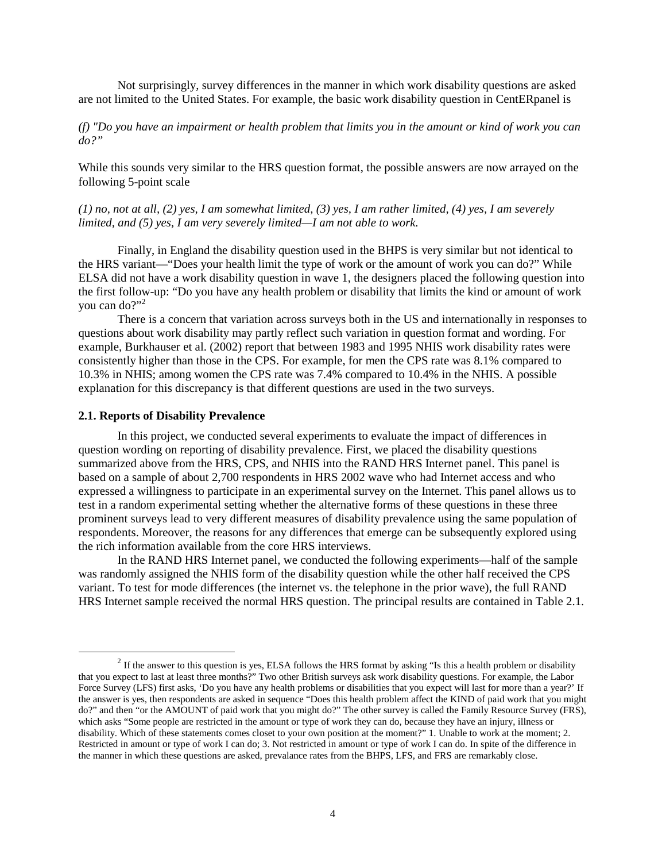Not surprisingly, survey differences in the manner in which work disability questions are asked are not limited to the United States. For example, the basic work disability question in CentERpanel is

(f) "Do you have an impairment or health problem that limits you in the amount or kind of work you can *do?"*

While this sounds very similar to the HRS question format, the possible answers are now arrayed on the following 5-point scale

(1) no, not at all, (2) yes, I am somewhat limited, (3) yes, I am rather limited, (4) yes, I am severely *limited, and (5) yes, I am very severely limited—I am not able to work.*

Finally, in England the disability question used in the BHPS is very similar but not identical to the HRS variant—"Does your health limit the type of work or the amount of work you can do?" While ELSA did not have a work disability question in wave 1, the designers placed the following question into the first follow-up: "Do you have any health problem or disability that limits the kind or amount of work you can do?"<sup>2</sup>

There is a concern that variation across surveys both in the US and internationally in responses to questions about work disability may partly reflect such variation in question format and wording. For example, Burkhauser et al. (2002) report that between 1983 and 1995 NHIS work disability rates were consistently higher than those in the CPS. For example, for men the CPS rate was 8.1% compared to 10.3% in NHIS; among women the CPS rate was 7.4% compared to 10.4% in the NHIS. A possible explanation for this discrepancy is that different questions are used in the two surveys.

#### **2.1. Reports of Disability Prevalence**

 $\overline{a}$ 

In this project, we conducted several experiments to evaluate the impact of differences in question wording on reporting of disability prevalence. First, we placed the disability questions summarized above from the HRS, CPS, and NHIS into the RAND HRS Internet panel. This panel is based on a sample of about 2,700 respondents in HRS 2002 wave who had Internet access and who expressed a willingness to participate in an experimental survey on the Internet. This panel allows us to test in a random experimental setting whether the alternative forms of these questions in these three prominent surveys lead to very different measures of disability prevalence using the same population of respondents. Moreover, the reasons for any differences that emerge can be subsequently explored using the rich information available from the core HRS interviews.

In the RAND HRS Internet panel, we conducted the following experiments—half of the sample was randomly assigned the NHIS form of the disability question while the other half received the CPS variant. To test for mode differences (the internet vs. the telephone in the prior wave), the full RAND HRS Internet sample received the normal HRS question. The principal results are contained in Table 2.1.

 $2<sup>2</sup>$  If the answer to this question is yes, ELSA follows the HRS format by asking "Is this a health problem or disability that you expect to last at least three months?" Two other British surveys ask work disability questions. For example, the Labor Force Survey (LFS) first asks, 'Do you have any health problems or disabilities that you expect will last for more than a year?' If the answer is yes, then respondents are asked in sequence "Does this health problem affect the KIND of paid work that you might do?" and then "or the AMOUNT of paid work that you might do?" The other survey is called the Family Resource Survey (FRS), which asks "Some people are restricted in the amount or type of work they can do, because they have an injury, illness or disability. Which of these statements comes closet to your own position at the moment?" 1. Unable to work at the moment; 2. Restricted in amount or type of work I can do; 3. Not restricted in amount or type of work I can do. In spite of the difference in the manner in which these questions are asked, prevalance rates from the BHPS, LFS, and FRS are remarkably close.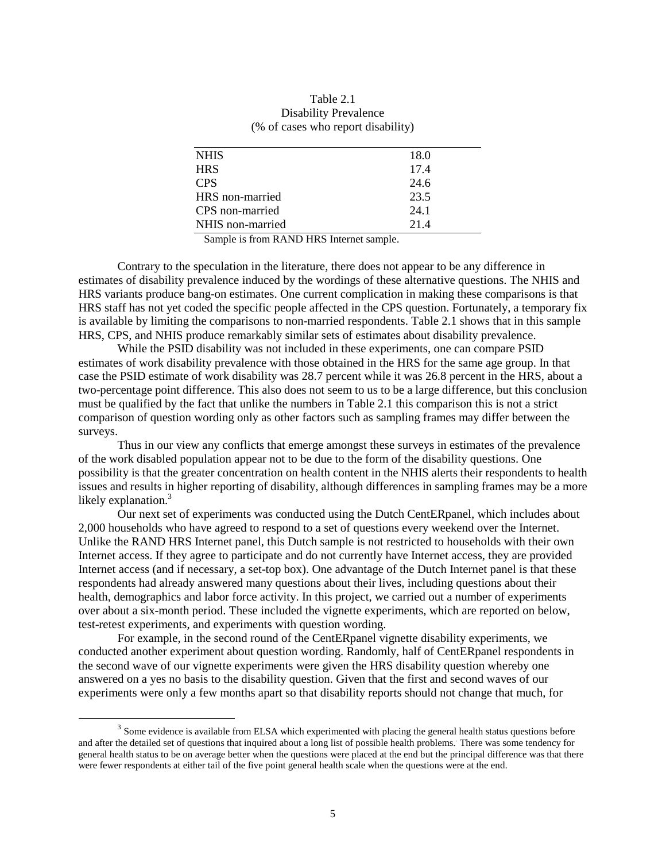| <b>NHIS</b>      | 18.0 |
|------------------|------|
| <b>HRS</b>       | 17.4 |
| <b>CPS</b>       | 24.6 |
| HRS non-married  | 23.5 |
| CPS non-married  | 24.1 |
| NHIS non-married | 214  |

#### Table 2.1 Disability Prevalence (% of cases who report disability)

Sample is from RAND HRS Internet sample.

Contrary to the speculation in the literature, there does not appear to be any difference in estimates of disability prevalence induced by the wordings of these alternative questions. The NHIS and HRS variants produce bang-on estimates. One current complication in making these comparisons is that HRS staff has not yet coded the specific people affected in the CPS question. Fortunately, a temporary fix is available by limiting the comparisons to non-married respondents. Table 2.1 shows that in this sample HRS, CPS, and NHIS produce remarkably similar sets of estimates about disability prevalence.

While the PSID disability was not included in these experiments, one can compare PSID estimates of work disability prevalence with those obtained in the HRS for the same age group. In that case the PSID estimate of work disability was 28.7 percent while it was 26.8 percent in the HRS, about a two-percentage point difference. This also does not seem to us to be a large difference, but this conclusion must be qualified by the fact that unlike the numbers in Table 2.1 this comparison this is not a strict comparison of question wording only as other factors such as sampling frames may differ between the surveys.

Thus in our view any conflicts that emerge amongst these surveys in estimates of the prevalence of the work disabled population appear not to be due to the form of the disability questions. One possibility is that the greater concentration on health content in the NHIS alerts their respondents to health issues and results in higher reporting of disability, although differences in sampling frames may be a more likely explanation.<sup>3</sup>

Our next set of experiments was conducted using the Dutch CentERpanel, which includes about 2,000 households who have agreed to respond to a set of questions every weekend over the Internet. Unlike the RAND HRS Internet panel, this Dutch sample is not restricted to households with their own Internet access. If they agree to participate and do not currently have Internet access, they are provided Internet access (and if necessary, a set-top box). One advantage of the Dutch Internet panel is that these respondents had already answered many questions about their lives, including questions about their health, demographics and labor force activity. In this project, we carried out a number of experiments over about a six-month period. These included the vignette experiments, which are reported on below, test-retest experiments, and experiments with question wording.

For example, in the second round of the CentERpanel vignette disability experiments, we conducted another experiment about question wording. Randomly, half of CentERpanel respondents in the second wave of our vignette experiments were given the HRS disability question whereby one answered on a yes no basis to the disability question. Given that the first and second waves of our experiments were only a few months apart so that disability reports should not change that much, for

 $\overline{a}$ 

 $3$  Some evidence is available from ELSA which experimented with placing the general health status questions before and after the detailed set of questions that inquired about a long list of possible health problems. . There was some tendency for general health status to be on average better when the questions were placed at the end but the principal difference was that there were fewer respondents at either tail of the five point general health scale when the questions were at the end.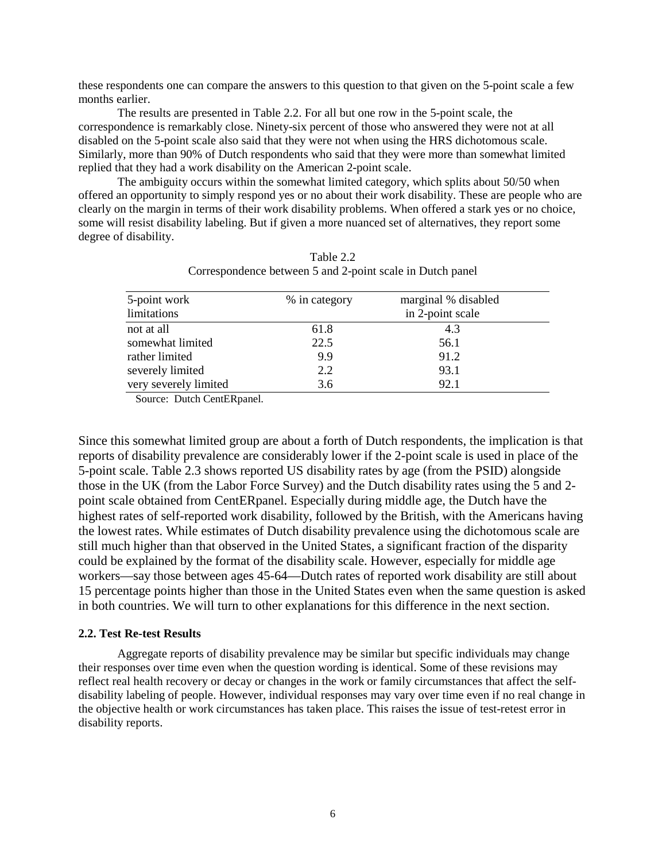these respondents one can compare the answers to this question to that given on the 5-point scale a few months earlier.

The results are presented in Table 2.2. For all but one row in the 5-point scale, the correspondence is remarkably close. Ninety-six percent of those who answered they were not at all disabled on the 5-point scale also said that they were not when using the HRS dichotomous scale. Similarly, more than 90% of Dutch respondents who said that they were more than somewhat limited replied that they had a work disability on the American 2-point scale.

The ambiguity occurs within the somewhat limited category, which splits about 50/50 when offered an opportunity to simply respond yes or no about their work disability. These are people who are clearly on the margin in terms of their work disability problems. When offered a stark yes or no choice, some will resist disability labeling. But if given a more nuanced set of alternatives, they report some degree of disability.

| % in category | marginal % disabled |
|---------------|---------------------|
|               | in 2-point scale    |
| 61.8          | 4.3                 |
| 22.5          | 56.1                |
| 9.9           | 91.2                |
| 2.2           | 93.1                |
| 3.6           | 92.1                |
|               |                     |

Table 2.2 Correspondence between 5 and 2-point scale in Dutch panel

Source: Dutch CentERpanel.

Since this somewhat limited group are about a forth of Dutch respondents, the implication is that reports of disability prevalence are considerably lower if the 2-point scale is used in place of the 5-point scale. Table 2.3 shows reported US disability rates by age (from the PSID) alongside those in the UK (from the Labor Force Survey) and the Dutch disability rates using the 5 and 2 point scale obtained from CentERpanel. Especially during middle age, the Dutch have the highest rates of self-reported work disability, followed by the British, with the Americans having the lowest rates. While estimates of Dutch disability prevalence using the dichotomous scale are still much higher than that observed in the United States, a significant fraction of the disparity could be explained by the format of the disability scale. However, especially for middle age workers—say those between ages 45-64—Dutch rates of reported work disability are still about 15 percentage points higher than those in the United States even when the same question is asked in both countries. We will turn to other explanations for this difference in the next section.

#### **2.2. Test Re-test Results**

Aggregate reports of disability prevalence may be similar but specific individuals may change their responses over time even when the question wording is identical. Some of these revisions may reflect real health recovery or decay or changes in the work or family circumstances that affect the selfdisability labeling of people. However, individual responses may vary over time even if no real change in the objective health or work circumstances has taken place. This raises the issue of test-retest error in disability reports.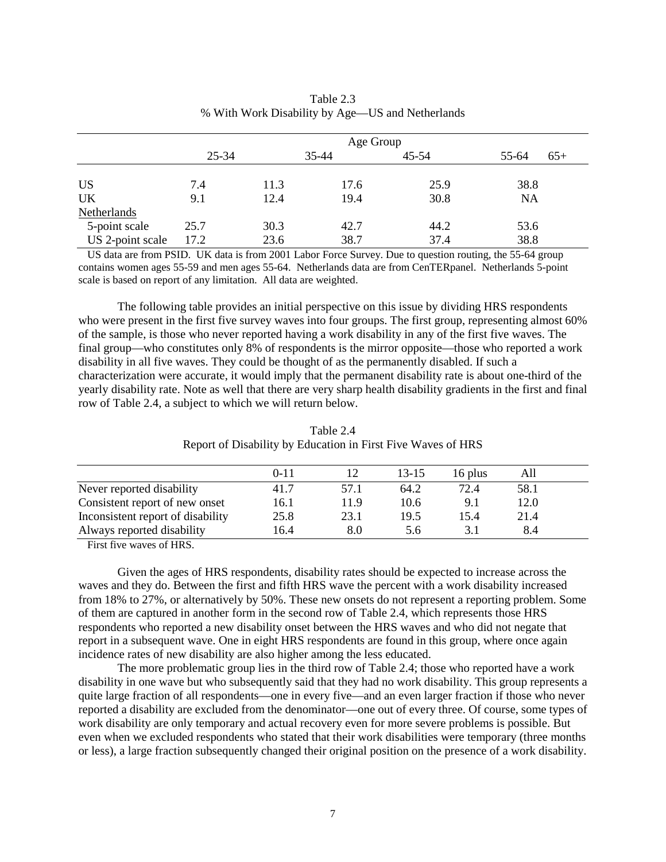|                  | Age Group |      |       |           |                |
|------------------|-----------|------|-------|-----------|----------------|
|                  | 25-34     |      | 35-44 | $45 - 54$ | 55-64<br>$65+$ |
| <b>US</b>        | 7.4       | 11.3 | 17.6  | 25.9      | 38.8           |
| <b>UK</b>        | 9.1       | 12.4 | 19.4  | 30.8      | <b>NA</b>      |
| Netherlands      |           |      |       |           |                |
| 5-point scale    | 25.7      | 30.3 | 42.7  | 44.2      | 53.6           |
| US 2-point scale | 17.2      | 23.6 | 38.7  | 37.4      | 38.8           |

| Table 2.3                                        |
|--------------------------------------------------|
| % With Work Disability by Age—US and Netherlands |

US data are from PSID. UK data is from 2001 Labor Force Survey. Due to question routing, the 55-64 group contains women ages 55-59 and men ages 55-64. Netherlands data are from CenTERpanel. Netherlands 5-point scale is based on report of any limitation. All data are weighted.

The following table provides an initial perspective on this issue by dividing HRS respondents who were present in the first five survey waves into four groups. The first group, representing almost 60% of the sample, is those who never reported having a work disability in any of the first five waves. The final group—who constitutes only 8% of respondents is the mirror opposite—those who reported a work disability in all five waves. They could be thought of as the permanently disabled. If such a characterization were accurate, it would imply that the permanent disability rate is about one-third of the yearly disability rate. Note as well that there are very sharp health disability gradients in the first and final row of Table 2.4, a subject to which we will return below.

|                                   | $0 - 11$ |      | $13 - 15$ | 16 plus | All  |  |
|-----------------------------------|----------|------|-----------|---------|------|--|
| Never reported disability         | 41.7     | 57.1 | 64.2      | 72.4    | 58.1 |  |
| Consistent report of new onset    | 16.1     | 11.9 | 10.6      | 9.1     | 12.0 |  |
| Inconsistent report of disability | 25.8     | 23.1 | 19.5      | 15.4    | 21.4 |  |
| Always reported disability        | 16.4     | 8.0  | 5.6       | 31      | 8.4  |  |

Table 2.4 Report of Disability by Education in First Five Waves of HRS

First five waves of HRS.

Given the ages of HRS respondents, disability rates should be expected to increase across the waves and they do. Between the first and fifth HRS wave the percent with a work disability increased from 18% to 27%, or alternatively by 50%. These new onsets do not represent a reporting problem. Some of them are captured in another form in the second row of Table 2.4, which represents those HRS respondents who reported a new disability onset between the HRS waves and who did not negate that report in a subsequent wave. One in eight HRS respondents are found in this group, where once again incidence rates of new disability are also higher among the less educated.

The more problematic group lies in the third row of Table 2.4; those who reported have a work disability in one wave but who subsequently said that they had no work disability. This group represents a quite large fraction of all respondents—one in every five—and an even larger fraction if those who never reported a disability are excluded from the denominator—one out of every three. Of course, some types of work disability are only temporary and actual recovery even for more severe problems is possible. But even when we excluded respondents who stated that their work disabilities were temporary (three months or less), a large fraction subsequently changed their original position on the presence of a work disability.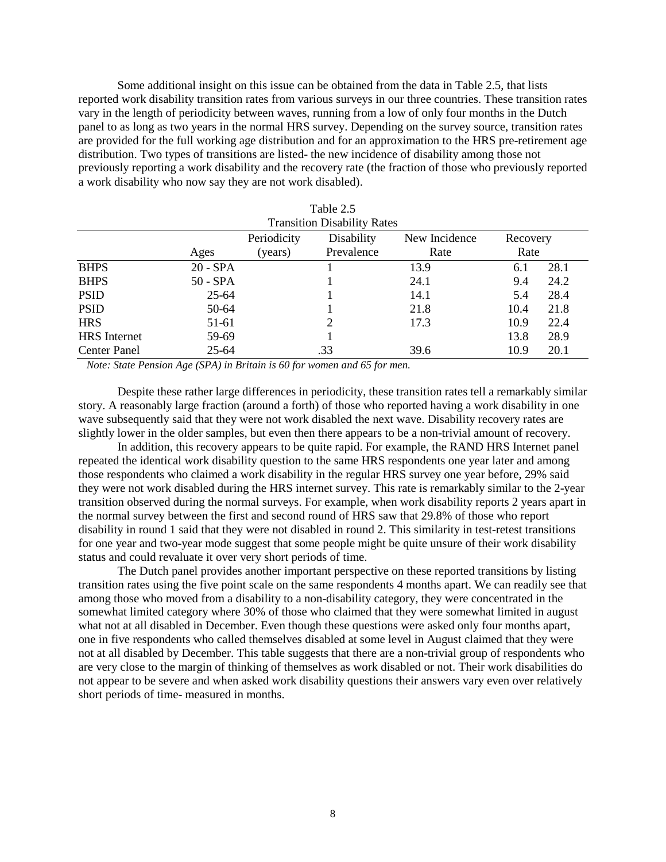Some additional insight on this issue can be obtained from the data in Table 2.5, that lists reported work disability transition rates from various surveys in our three countries. These transition rates vary in the length of periodicity between waves, running from a low of only four months in the Dutch panel to as long as two years in the normal HRS survey. Depending on the survey source, transition rates are provided for the full working age distribution and for an approximation to the HRS pre-retirement age distribution. Two types of transitions are listed- the new incidence of disability among those not previously reporting a work disability and the recovery rate (the fraction of those who previously reported a work disability who now say they are not work disabled).

|                     |            |             | Table 2.5                          |               |          |      |
|---------------------|------------|-------------|------------------------------------|---------------|----------|------|
|                     |            |             | <b>Transition Disability Rates</b> |               |          |      |
|                     |            | Periodicity | Disability                         | New Incidence | Recovery |      |
|                     | Ages       | (years)     | Prevalence                         | Rate          | Rate     |      |
| <b>BHPS</b>         | $20 - SPA$ |             |                                    | 13.9          | 6.1      | 28.1 |
| <b>BHPS</b>         | $50 - SPA$ |             |                                    | 24.1          | 9.4      | 24.2 |
| <b>PSID</b>         | $25 - 64$  |             |                                    | 14.1          | 5.4      | 28.4 |
| <b>PSID</b>         | 50-64      |             |                                    | 21.8          | 10.4     | 21.8 |
| <b>HRS</b>          | 51-61      |             | $\overline{c}$                     | 17.3          | 10.9     | 22.4 |
| <b>HRS</b> Internet | 59-69      |             |                                    |               | 13.8     | 28.9 |
| <b>Center Panel</b> | $25 - 64$  |             | .33                                | 39.6          | 10.9     | 20.1 |

*Note: State Pension Age (SPA) in Britain is 60 for women and 65 for men.*

Despite these rather large differences in periodicity, these transition rates tell a remarkably similar story. A reasonably large fraction (around a forth) of those who reported having a work disability in one wave subsequently said that they were not work disabled the next wave. Disability recovery rates are slightly lower in the older samples, but even then there appears to be a non-trivial amount of recovery.

In addition, this recovery appears to be quite rapid. For example, the RAND HRS Internet panel repeated the identical work disability question to the same HRS respondents one year later and among those respondents who claimed a work disability in the regular HRS survey one year before, 29% said they were not work disabled during the HRS internet survey. This rate is remarkably similar to the 2-year transition observed during the normal surveys. For example, when work disability reports 2 years apart in the normal survey between the first and second round of HRS saw that 29.8% of those who report disability in round 1 said that they were not disabled in round 2. This similarity in test-retest transitions for one year and two-year mode suggest that some people might be quite unsure of their work disability status and could revaluate it over very short periods of time.

The Dutch panel provides another important perspective on these reported transitions by listing transition rates using the five point scale on the same respondents 4 months apart. We can readily see that among those who moved from a disability to a non-disability category, they were concentrated in the somewhat limited category where 30% of those who claimed that they were somewhat limited in august what not at all disabled in December. Even though these questions were asked only four months apart, one in five respondents who called themselves disabled at some level in August claimed that they were not at all disabled by December. This table suggests that there are a non-trivial group of respondents who are very close to the margin of thinking of themselves as work disabled or not. Their work disabilities do not appear to be severe and when asked work disability questions their answers vary even over relatively short periods of time- measured in months.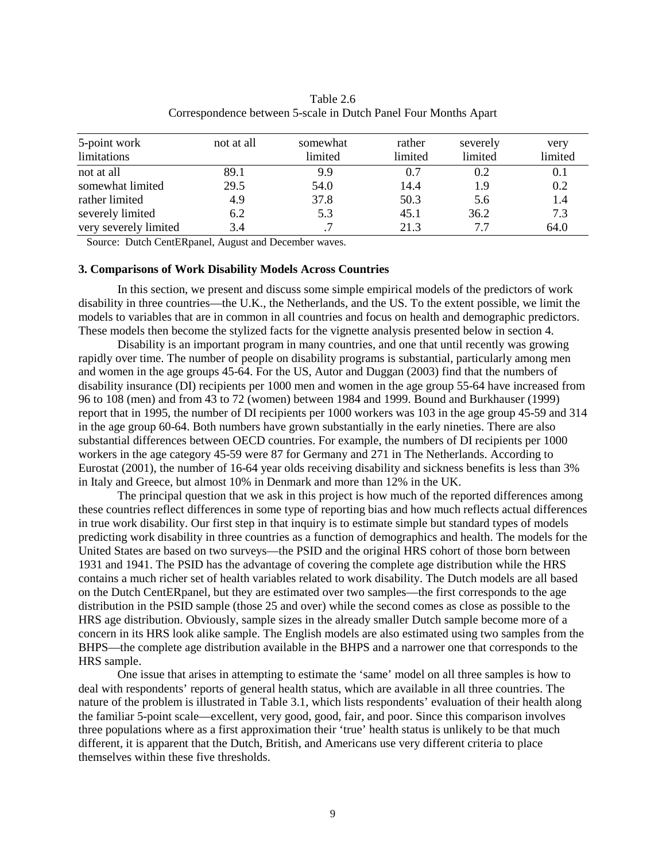| 5-point work<br>limitations | not at all | somewhat<br>limited | rather<br>limited | severely<br>limited | very<br>limited |
|-----------------------------|------------|---------------------|-------------------|---------------------|-----------------|
| not at all                  | 89.1       | 9.9                 | 0.7               | 0.2                 | 0.1             |
| somewhat limited            | 29.5       | 54.0                | 14.4              | 1.9                 | 0.2             |
| rather limited              | 4.9        | 37.8                | 50.3              | 5.6                 | 1.4             |
| severely limited            | 6.2        | 5.3                 | 45.1              | 36.2                | 7.3             |
| very severely limited       | 3.4        |                     | 21.3              | 77                  | 64.0            |

| Table 2.6                                                       |  |
|-----------------------------------------------------------------|--|
| Correspondence between 5-scale in Dutch Panel Four Months Apart |  |

Source: Dutch CentERpanel, August and December waves.

#### **3. Comparisons of Work Disability Models Across Countries**

In this section, we present and discuss some simple empirical models of the predictors of work disability in three countries—the U.K., the Netherlands, and the US. To the extent possible, we limit the models to variables that are in common in all countries and focus on health and demographic predictors. These models then become the stylized facts for the vignette analysis presented below in section 4.

Disability is an important program in many countries, and one that until recently was growing rapidly over time. The number of people on disability programs is substantial, particularly among men and women in the age groups 45-64. For the US, Autor and Duggan (2003) find that the numbers of disability insurance (DI) recipients per 1000 men and women in the age group 55-64 have increased from 96 to 108 (men) and from 43 to 72 (women) between 1984 and 1999. Bound and Burkhauser (1999) report that in 1995, the number of DI recipients per 1000 workers was 103 in the age group 45-59 and 314 in the age group 60-64. Both numbers have grown substantially in the early nineties. There are also substantial differences between OECD countries. For example, the numbers of DI recipients per 1000 workers in the age category 45-59 were 87 for Germany and 271 in The Netherlands. According to Eurostat (2001), the number of 16-64 year olds receiving disability and sickness benefits is less than 3% in Italy and Greece, but almost 10% in Denmark and more than 12% in the UK.

The principal question that we ask in this project is how much of the reported differences among these countries reflect differences in some type of reporting bias and how much reflects actual differences in true work disability. Our first step in that inquiry is to estimate simple but standard types of models predicting work disability in three countries as a function of demographics and health. The models for the United States are based on two surveys—the PSID and the original HRS cohort of those born between 1931 and 1941. The PSID has the advantage of covering the complete age distribution while the HRS contains a much richer set of health variables related to work disability. The Dutch models are all based on the Dutch CentERpanel, but they are estimated over two samples—the first corresponds to the age distribution in the PSID sample (those 25 and over) while the second comes as close as possible to the HRS age distribution. Obviously, sample sizes in the already smaller Dutch sample become more of a concern in its HRS look alike sample. The English models are also estimated using two samples from the BHPS—the complete age distribution available in the BHPS and a narrower one that corresponds to the HRS sample.

One issue that arises in attempting to estimate the 'same' model on all three samples is how to deal with respondents' reports of general health status, which are available in all three countries. The nature of the problem is illustrated in Table 3.1, which lists respondents' evaluation of their health along the familiar 5-point scale—excellent, very good, good, fair, and poor. Since this comparison involves three populations where as a first approximation their 'true' health status is unlikely to be that much different, it is apparent that the Dutch, British, and Americans use very different criteria to place themselves within these five thresholds.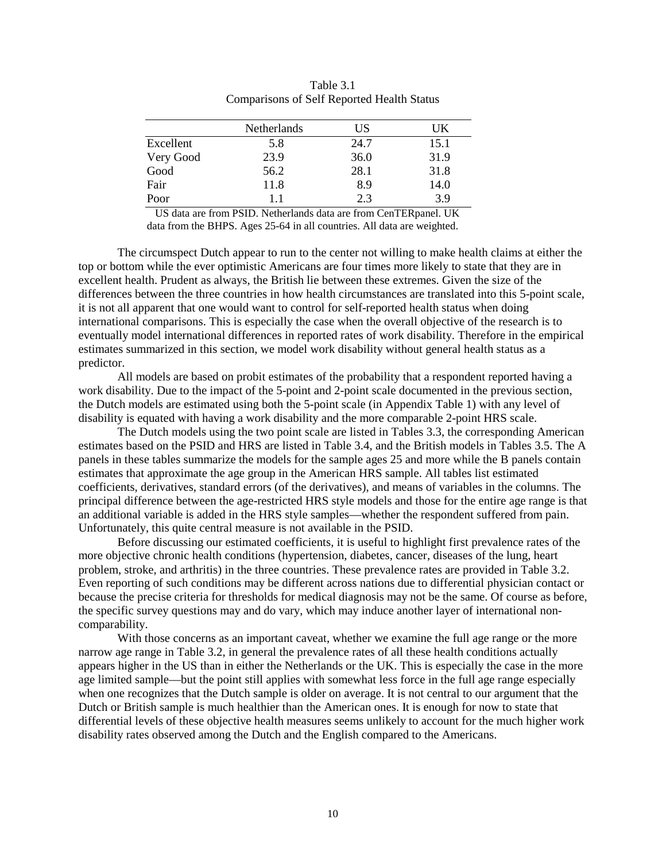|           | Netherlands | US   | UK   |
|-----------|-------------|------|------|
| Excellent | 5.8         | 24.7 | 15.1 |
| Very Good | 23.9        | 36.0 | 31.9 |
| Good      | 56.2        | 28.1 | 31.8 |
| Fair      | 11.8        | 8.9  | 14.0 |
| Poor      | 11          | 2.3  | 39   |

Table 3.1 Comparisons of Self Reported Health Status

US data are from PSID. Netherlands data are from CenTERpanel. UK data from the BHPS. Ages 25-64 in all countries. All data are weighted.

The circumspect Dutch appear to run to the center not willing to make health claims at either the top or bottom while the ever optimistic Americans are four times more likely to state that they are in excellent health. Prudent as always, the British lie between these extremes. Given the size of the differences between the three countries in how health circumstances are translated into this 5-point scale, it is not all apparent that one would want to control for self-reported health status when doing international comparisons. This is especially the case when the overall objective of the research is to eventually model international differences in reported rates of work disability. Therefore in the empirical estimates summarized in this section, we model work disability without general health status as a predictor.

All models are based on probit estimates of the probability that a respondent reported having a work disability. Due to the impact of the 5-point and 2-point scale documented in the previous section, the Dutch models are estimated using both the 5-point scale (in Appendix Table 1) with any level of disability is equated with having a work disability and the more comparable 2-point HRS scale.

The Dutch models using the two point scale are listed in Tables 3.3, the corresponding American estimates based on the PSID and HRS are listed in Table 3.4, and the British models in Tables 3.5. The A panels in these tables summarize the models for the sample ages 25 and more while the B panels contain estimates that approximate the age group in the American HRS sample. All tables list estimated coefficients, derivatives, standard errors (of the derivatives), and means of variables in the columns. The principal difference between the age-restricted HRS style models and those for the entire age range is that an additional variable is added in the HRS style samples—whether the respondent suffered from pain. Unfortunately, this quite central measure is not available in the PSID.

Before discussing our estimated coefficients, it is useful to highlight first prevalence rates of the more objective chronic health conditions (hypertension, diabetes, cancer, diseases of the lung, heart problem, stroke, and arthritis) in the three countries. These prevalence rates are provided in Table 3.2. Even reporting of such conditions may be different across nations due to differential physician contact or because the precise criteria for thresholds for medical diagnosis may not be the same. Of course as before, the specific survey questions may and do vary, which may induce another layer of international noncomparability.

With those concerns as an important caveat, whether we examine the full age range or the more narrow age range in Table 3.2, in general the prevalence rates of all these health conditions actually appears higher in the US than in either the Netherlands or the UK. This is especially the case in the more age limited sample—but the point still applies with somewhat less force in the full age range especially when one recognizes that the Dutch sample is older on average. It is not central to our argument that the Dutch or British sample is much healthier than the American ones. It is enough for now to state that differential levels of these objective health measures seems unlikely to account for the much higher work disability rates observed among the Dutch and the English compared to the Americans.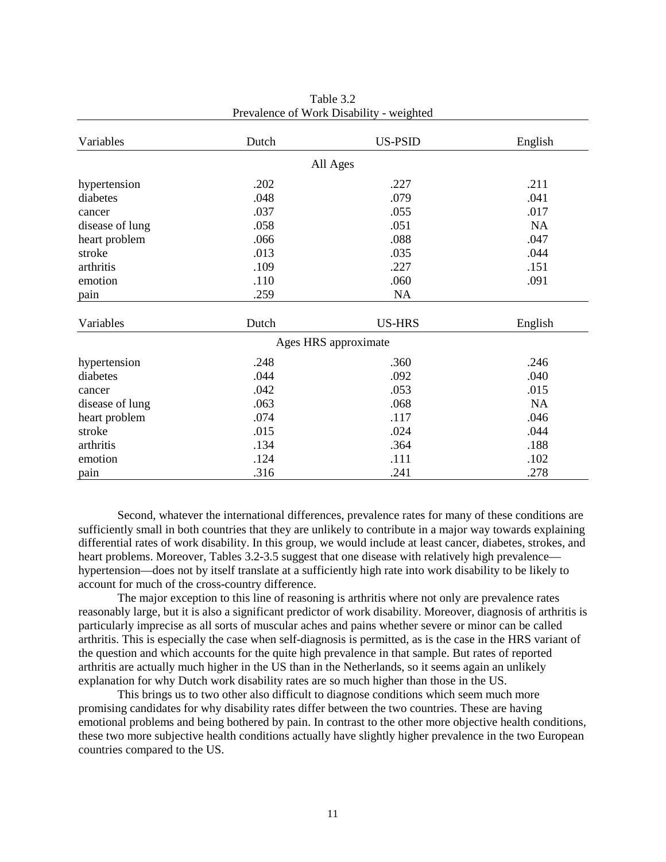| Variables       | Dutch | <b>US-PSID</b>       | English   |
|-----------------|-------|----------------------|-----------|
|                 |       | All Ages             |           |
| hypertension    | .202  | .227                 | .211      |
| diabetes        | .048  | .079                 | .041      |
| cancer          | .037  | .055                 | .017      |
| disease of lung | .058  | .051                 | <b>NA</b> |
| heart problem   | .066  | .088                 | .047      |
| stroke          | .013  | .035                 | .044      |
| arthritis       | .109  | .227                 | .151      |
| emotion         | .110  | .060                 | .091      |
| pain            | .259  | NA                   |           |
| Variables       | Dutch | <b>US-HRS</b>        | English   |
|                 |       | Ages HRS approximate |           |
| hypertension    | .248  | .360                 | .246      |
| diabetes        | .044  | .092                 | .040      |
| cancer          | .042  | .053                 | .015      |
| disease of lung | .063  | .068                 | NA        |
| heart problem   | .074  | .117                 | .046      |
| stroke          | .015  | .024                 | .044      |
| arthritis       | .134  | .364                 | .188      |
| emotion         | .124  | .111                 | .102      |
| pain            | .316  | .241                 | .278      |

Table 3.2 Prevalence of Work Disability - weighted

Second, whatever the international differences, prevalence rates for many of these conditions are sufficiently small in both countries that they are unlikely to contribute in a major way towards explaining differential rates of work disability. In this group, we would include at least cancer, diabetes, strokes, and heart problems. Moreover, Tables 3.2-3.5 suggest that one disease with relatively high prevalence hypertension—does not by itself translate at a sufficiently high rate into work disability to be likely to account for much of the cross-country difference.

The major exception to this line of reasoning is arthritis where not only are prevalence rates reasonably large, but it is also a significant predictor of work disability. Moreover, diagnosis of arthritis is particularly imprecise as all sorts of muscular aches and pains whether severe or minor can be called arthritis. This is especially the case when self-diagnosis is permitted, as is the case in the HRS variant of the question and which accounts for the quite high prevalence in that sample. But rates of reported arthritis are actually much higher in the US than in the Netherlands, so it seems again an unlikely explanation for why Dutch work disability rates are so much higher than those in the US.

This brings us to two other also difficult to diagnose conditions which seem much more promising candidates for why disability rates differ between the two countries. These are having emotional problems and being bothered by pain. In contrast to the other more objective health conditions, these two more subjective health conditions actually have slightly higher prevalence in the two European countries compared to the US.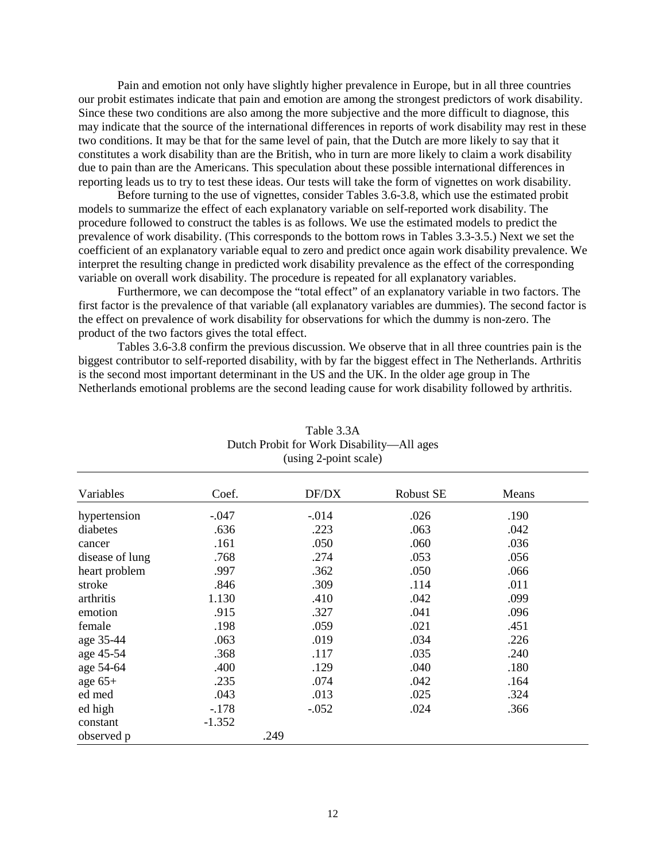Pain and emotion not only have slightly higher prevalence in Europe, but in all three countries our probit estimates indicate that pain and emotion are among the strongest predictors of work disability. Since these two conditions are also among the more subjective and the more difficult to diagnose, this may indicate that the source of the international differences in reports of work disability may rest in these two conditions. It may be that for the same level of pain, that the Dutch are more likely to say that it constitutes a work disability than are the British, who in turn are more likely to claim a work disability due to pain than are the Americans. This speculation about these possible international differences in reporting leads us to try to test these ideas. Our tests will take the form of vignettes on work disability.

Before turning to the use of vignettes, consider Tables 3.6-3.8, which use the estimated probit models to summarize the effect of each explanatory variable on self-reported work disability. The procedure followed to construct the tables is as follows. We use the estimated models to predict the prevalence of work disability. (This corresponds to the bottom rows in Tables 3.3-3.5.) Next we set the coefficient of an explanatory variable equal to zero and predict once again work disability prevalence. We interpret the resulting change in predicted work disability prevalence as the effect of the corresponding variable on overall work disability. The procedure is repeated for all explanatory variables.

Furthermore, we can decompose the "total effect" of an explanatory variable in two factors. The first factor is the prevalence of that variable (all explanatory variables are dummies). The second factor is the effect on prevalence of work disability for observations for which the dummy is non-zero. The product of the two factors gives the total effect.

Tables 3.6-3.8 confirm the previous discussion. We observe that in all three countries pain is the biggest contributor to self-reported disability, with by far the biggest effect in The Netherlands. Arthritis is the second most important determinant in the US and the UK. In the older age group in The Netherlands emotional problems are the second leading cause for work disability followed by arthritis.

|                 |          | $\mu$ <sub>1</sub> $\mu$ <sub>2</sub> $\mu$ <sub>2</sub> $\mu$ <sub>2</sub> $\mu$ <sub>2</sub> $\mu$ <sub>2</sub> $\mu$ <sub>2</sub> $\mu$ <sub>2</sub> $\mu$ <sub>2</sub> $\mu$ <sub>2</sub> $\mu$ <sub>2</sub> $\mu$ <sub>2</sub> $\mu$ <sub>2</sub> $\mu$ <sub>2</sub> $\mu$ <sub>2</sub> $\mu$ <sub>2</sub> $\mu$ <sub>2</sub> $\mu$ <sub>2</sub> $\mu$ <sub>2</sub> $\mu$ <sub>2</sub> $\mu$ <sub>2</sub> $\mu$ <sub>2</sub> $\mu$ <sub>2</sub> $\mu$ <sub>2</sub> $\mu$ <sub>2</sub> $\mu$ <sub>2</sub> $\mu$ <sub>2</sub> $\mu$ <sub></sub> |                  |       |  |
|-----------------|----------|----------------------------------------------------------------------------------------------------------------------------------------------------------------------------------------------------------------------------------------------------------------------------------------------------------------------------------------------------------------------------------------------------------------------------------------------------------------------------------------------------------------------------------------------------|------------------|-------|--|
| Variables       | Coef.    | DF/DX                                                                                                                                                                                                                                                                                                                                                                                                                                                                                                                                              | <b>Robust SE</b> | Means |  |
| hypertension    | $-.047$  | $-0.014$                                                                                                                                                                                                                                                                                                                                                                                                                                                                                                                                           | .026             | .190  |  |
| diabetes        | .636     | .223                                                                                                                                                                                                                                                                                                                                                                                                                                                                                                                                               | .063             | .042  |  |
| cancer          | .161     | .050                                                                                                                                                                                                                                                                                                                                                                                                                                                                                                                                               | .060             | .036  |  |
| disease of lung | .768     | .274                                                                                                                                                                                                                                                                                                                                                                                                                                                                                                                                               | .053             | .056  |  |
| heart problem   | .997     | .362                                                                                                                                                                                                                                                                                                                                                                                                                                                                                                                                               | .050             | .066  |  |
| stroke          | .846     | .309                                                                                                                                                                                                                                                                                                                                                                                                                                                                                                                                               | .114             | .011  |  |
| arthritis       | 1.130    | .410                                                                                                                                                                                                                                                                                                                                                                                                                                                                                                                                               | .042             | .099  |  |
| emotion         | .915     | .327                                                                                                                                                                                                                                                                                                                                                                                                                                                                                                                                               | .041             | .096  |  |
| female          | .198     | .059                                                                                                                                                                                                                                                                                                                                                                                                                                                                                                                                               | .021             | .451  |  |
| age 35-44       | .063     | .019                                                                                                                                                                                                                                                                                                                                                                                                                                                                                                                                               | .034             | .226  |  |
| age 45-54       | .368     | .117                                                                                                                                                                                                                                                                                                                                                                                                                                                                                                                                               | .035             | .240  |  |
| age 54-64       | .400     | .129                                                                                                                                                                                                                                                                                                                                                                                                                                                                                                                                               | .040             | .180  |  |
| age $65+$       | .235     | .074                                                                                                                                                                                                                                                                                                                                                                                                                                                                                                                                               | .042             | .164  |  |
| ed med          | .043     | .013                                                                                                                                                                                                                                                                                                                                                                                                                                                                                                                                               | .025             | .324  |  |
| ed high         | $-.178$  | $-.052$                                                                                                                                                                                                                                                                                                                                                                                                                                                                                                                                            | .024             | .366  |  |
| constant        | $-1.352$ |                                                                                                                                                                                                                                                                                                                                                                                                                                                                                                                                                    |                  |       |  |
| observed p      |          | .249                                                                                                                                                                                                                                                                                                                                                                                                                                                                                                                                               |                  |       |  |

| Table 3.3A                                |
|-------------------------------------------|
| Dutch Probit for Work Disability—All ages |
| (using 2-point scale)                     |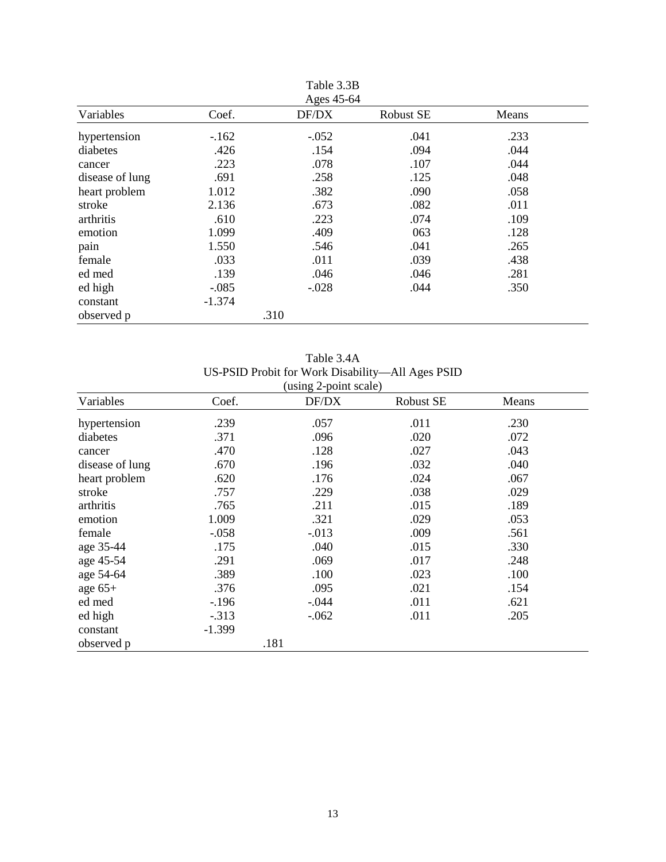| Table 3.3B<br>Ages 45-64 |          |         |                  |       |  |
|--------------------------|----------|---------|------------------|-------|--|
| Variables                | Coef.    | DF/DX   | <b>Robust SE</b> | Means |  |
| hypertension             | $-.162$  | $-.052$ | .041             | .233  |  |
| diabetes                 | .426     | .154    | .094             | .044  |  |
| cancer                   | .223     | .078    | .107             | .044  |  |
| disease of lung          | .691     | .258    | .125             | .048  |  |
| heart problem            | 1.012    | .382    | .090             | .058  |  |
| stroke                   | 2.136    | .673    | .082             | .011  |  |
| arthritis                | .610     | .223    | .074             | .109  |  |
| emotion                  | 1.099    | .409    | 063              | .128  |  |
| pain                     | 1.550    | .546    | .041             | .265  |  |
| female                   | .033     | .011    | .039             | .438  |  |
| ed med                   | .139     | .046    | .046             | .281  |  |
| ed high                  | $-.085$  | $-.028$ | .044             | .350  |  |
| constant                 | $-1.374$ |         |                  |       |  |
| observed p               |          | .310    |                  |       |  |

Table 3.4A US-PSID Probit for Work Disability—All Ages PSID (using 2-point scale) Variables Coef. DF/DX Robust SE Means hypertension .239 .057 .011 .230 diabetes .371 .096 .020 .072 cancer .470 .128 .027 .043 disease of lung .670 .196 .032 .040 heart problem .620 .024 .067 stroke .757 .229 .038 .029 arthritis .765 .211 .015 .189 emotion 1.009 .321 .029 .053 female  $-.058$   $-.013$   $.009$   $.561$ age 35-44 .175 .040 .015 .330 age 45-54 .291 .069 .017 .248<br>age 54-64 .389 .100 .023 .100 age 54-64 .389 .100 .023 .100 age 65+ .376 .095 .095 .021 .154 ed med  $-.196$   $-.044$   $.011$   $.621$ ed high -.313 -.062 .011 .205 constant  $-1.399$ observed p .181

13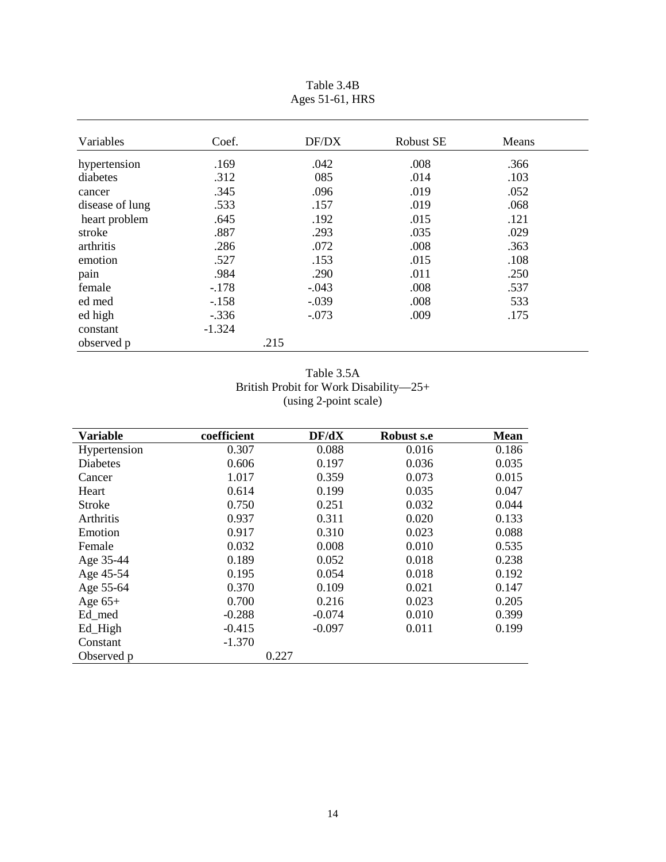| Variables       | Coef.    | DF/DX   | <b>Robust SE</b> | Means |
|-----------------|----------|---------|------------------|-------|
| hypertension    | .169     | .042    | .008             | .366  |
| diabetes        | .312     | 085     | .014             | .103  |
| cancer          | .345     | .096    | .019             | .052  |
| disease of lung | .533     | .157    | .019             | .068  |
| heart problem   | .645     | .192    | .015             | .121  |
| stroke          | .887     | .293    | .035             | .029  |
| arthritis       | .286     | .072    | .008             | .363  |
| emotion         | .527     | .153    | .015             | .108  |
| pain            | .984     | .290    | .011             | .250  |
| female          | $-.178$  | $-.043$ | .008             | .537  |
| ed med          | $-.158$  | $-.039$ | .008             | 533   |
| ed high         | $-.336$  | $-.073$ | .009             | .175  |
| constant        | $-1.324$ |         |                  |       |
| observed p      |          | .215    |                  |       |

Table 3.4B Ages 51-61, HRS

| Table 3.5A                             |
|----------------------------------------|
| British Probit for Work Disability-25+ |
| (using 2-point scale)                  |

| <b>Variable</b> | coefficient | DF/dX    | Robust s.e | <b>Mean</b> |
|-----------------|-------------|----------|------------|-------------|
| Hypertension    | 0.307       | 0.088    | 0.016      | 0.186       |
| <b>Diabetes</b> | 0.606       | 0.197    | 0.036      | 0.035       |
| Cancer          | 1.017       | 0.359    | 0.073      | 0.015       |
| Heart           | 0.614       | 0.199    | 0.035      | 0.047       |
| <b>Stroke</b>   | 0.750       | 0.251    | 0.032      | 0.044       |
| Arthritis       | 0.937       | 0.311    | 0.020      | 0.133       |
| Emotion         | 0.917       | 0.310    | 0.023      | 0.088       |
| Female          | 0.032       | 0.008    | 0.010      | 0.535       |
| Age 35-44       | 0.189       | 0.052    | 0.018      | 0.238       |
| Age 45-54       | 0.195       | 0.054    | 0.018      | 0.192       |
| Age 55-64       | 0.370       | 0.109    | 0.021      | 0.147       |
| Age $65+$       | 0.700       | 0.216    | 0.023      | 0.205       |
| Ed_med          | $-0.288$    | $-0.074$ | 0.010      | 0.399       |
| Ed_High         | $-0.415$    | $-0.097$ | 0.011      | 0.199       |
| Constant        | $-1.370$    |          |            |             |
| Observed p      |             | 0.227    |            |             |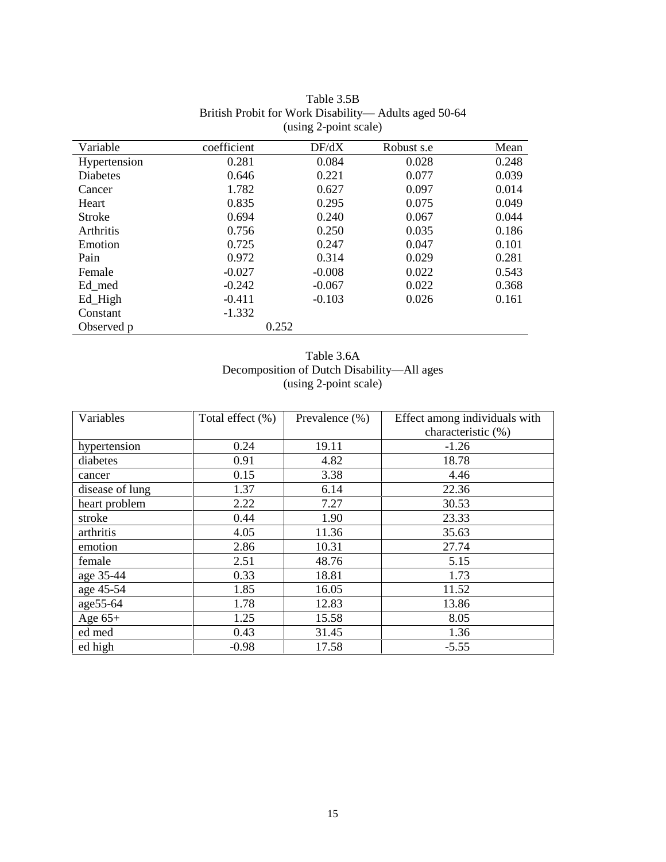| Variable     | coefficient | DF/dX    | Robust s.e | Mean  |
|--------------|-------------|----------|------------|-------|
| Hypertension | 0.281       | 0.084    | 0.028      | 0.248 |
| Diabetes     | 0.646       | 0.221    | 0.077      | 0.039 |
| Cancer       | 1.782       | 0.627    | 0.097      | 0.014 |
| Heart        | 0.835       | 0.295    | 0.075      | 0.049 |
| Stroke       | 0.694       | 0.240    | 0.067      | 0.044 |
| Arthritis    | 0.756       | 0.250    | 0.035      | 0.186 |
| Emotion      | 0.725       | 0.247    | 0.047      | 0.101 |
| Pain         | 0.972       | 0.314    | 0.029      | 0.281 |
| Female       | $-0.027$    | $-0.008$ | 0.022      | 0.543 |
| Ed med       | $-0.242$    | $-0.067$ | 0.022      | 0.368 |
| Ed_High      | $-0.411$    | $-0.103$ | 0.026      | 0.161 |
| Constant     | $-1.332$    |          |            |       |
| Observed p   |             | 0.252    |            |       |

| Table 3.5B                                            |  |
|-------------------------------------------------------|--|
| British Probit for Work Disability— Adults aged 50-64 |  |
| (using 2-point scale)                                 |  |

| Table 3.6A                                 |
|--------------------------------------------|
| Decomposition of Dutch Disability—All ages |
| (using 2-point scale)                      |

| Variables       | Total effect (%) | Prevalence $(\%)$ | Effect among individuals with<br>characteristic (%) |
|-----------------|------------------|-------------------|-----------------------------------------------------|
| hypertension    | 0.24             | 19.11             | $-1.26$                                             |
| diabetes        | 0.91             | 4.82              | 18.78                                               |
| cancer          | 0.15             | 3.38              | 4.46                                                |
| disease of lung | 1.37             | 6.14              | 22.36                                               |
| heart problem   | 2.22             | 7.27              | 30.53                                               |
| stroke          | 0.44             | 1.90              | 23.33                                               |
| arthritis       | 4.05             | 11.36             | 35.63                                               |
| emotion         | 2.86             | 10.31             | 27.74                                               |
| female          | 2.51             | 48.76             | 5.15                                                |
| age 35-44       | 0.33             | 18.81             | 1.73                                                |
| age 45-54       | 1.85             | 16.05             | 11.52                                               |
| age55-64        | 1.78             | 12.83             | 13.86                                               |
| Age $65+$       | 1.25             | 15.58             | 8.05                                                |
| ed med          | 0.43             | 31.45             | 1.36                                                |
| ed high         | $-0.98$          | 17.58             | $-5.55$                                             |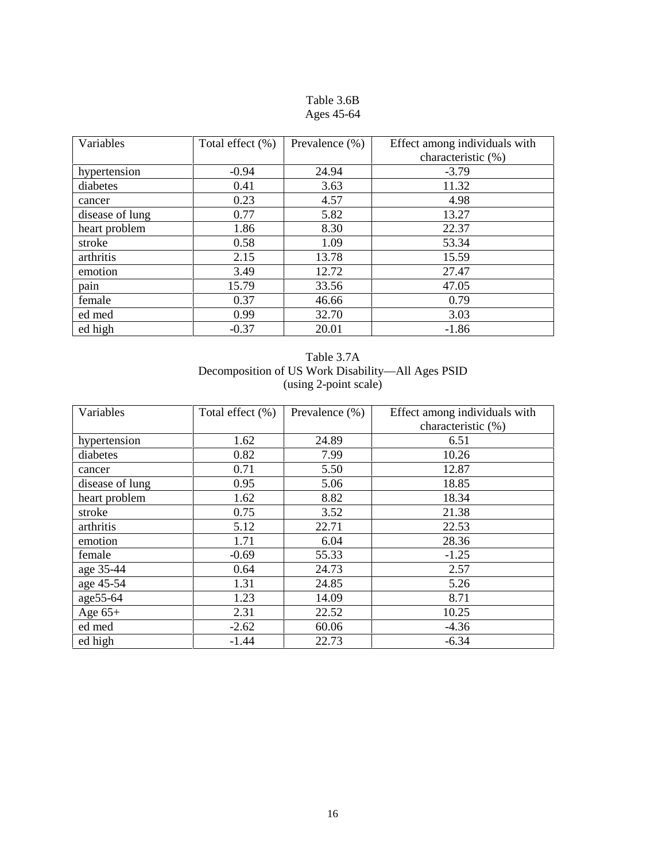## Table 3.6B Ages 45-64

| Variables       | Total effect (%) | Prevalence $(\% )$ | Effect among individuals with |
|-----------------|------------------|--------------------|-------------------------------|
|                 |                  |                    | characteristic (%)            |
| hypertension    | $-0.94$          | 24.94              | $-3.79$                       |
| diabetes        | 0.41             | 3.63               | 11.32                         |
| cancer          | 0.23             | 4.57               | 4.98                          |
| disease of lung | 0.77             | 5.82               | 13.27                         |
| heart problem   | 1.86             | 8.30               | 22.37                         |
| stroke          | 0.58             | 1.09               | 53.34                         |
| arthritis       | 2.15             | 13.78              | 15.59                         |
| emotion         | 3.49             | 12.72              | 27.47                         |
| pain            | 15.79            | 33.56              | 47.05                         |
| female          | 0.37             | 46.66              | 0.79                          |
| ed med          | 0.99             | 32.70              | 3.03                          |
| ed high         | $-0.37$          | 20.01              | $-1.86$                       |

### Table 3.7A Decomposition of US Work Disability—All Ages PSID (using 2-point scale)

| Variables       | Total effect (%) | Prevalence (%) | Effect among individuals with<br>characteristic (%) |
|-----------------|------------------|----------------|-----------------------------------------------------|
| hypertension    | 1.62             | 24.89          | 6.51                                                |
| diabetes        | 0.82             | 7.99           | 10.26                                               |
| cancer          | 0.71             | 5.50           | 12.87                                               |
| disease of lung | 0.95             | 5.06           | 18.85                                               |
| heart problem   | 1.62             | 8.82           | 18.34                                               |
| stroke          | 0.75             | 3.52           | 21.38                                               |
| arthritis       | 5.12             | 22.71          | 22.53                                               |
| emotion         | 1.71             | 6.04           | 28.36                                               |
| female          | $-0.69$          | 55.33          | $-1.25$                                             |
| age 35-44       | 0.64             | 24.73          | 2.57                                                |
| age 45-54       | 1.31             | 24.85          | 5.26                                                |
| age55-64        | 1.23             | 14.09          | 8.71                                                |
| Age $65+$       | 2.31             | 22.52          | 10.25                                               |
| ed med          | $-2.62$          | 60.06          | $-4.36$                                             |
| ed high         | $-1.44$          | 22.73          | $-6.34$                                             |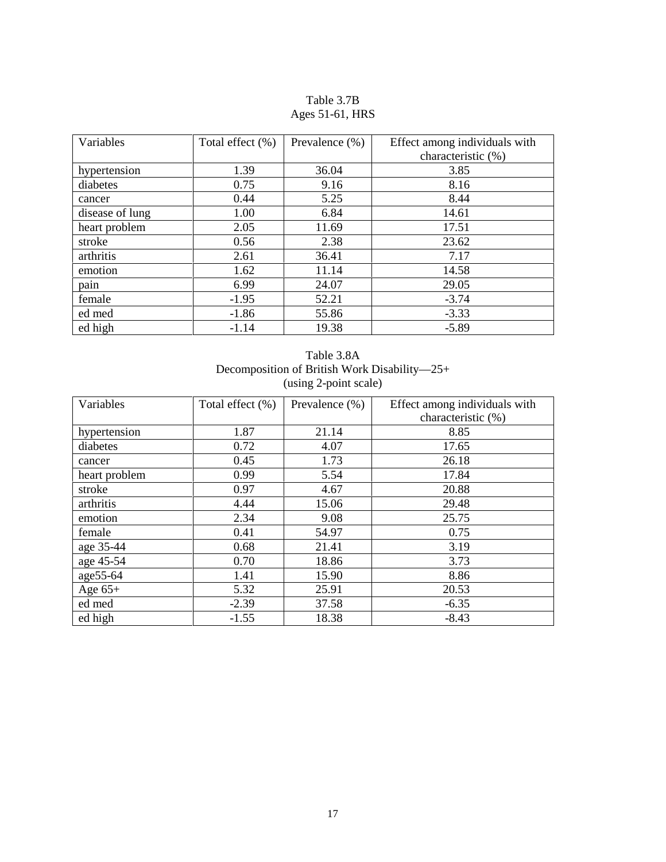| Variables       | Total effect $(\%)$ | Prevalence $(\% )$ | Effect among individuals with |
|-----------------|---------------------|--------------------|-------------------------------|
|                 |                     |                    | characteristic (%)            |
| hypertension    | 1.39                | 36.04              | 3.85                          |
| diabetes        | 0.75                | 9.16               | 8.16                          |
| cancer          | 0.44                | 5.25               | 8.44                          |
| disease of lung | 1.00                | 6.84               | 14.61                         |
| heart problem   | 2.05                | 11.69              | 17.51                         |
| stroke          | 0.56                | 2.38               | 23.62                         |
| arthritis       | 2.61                | 36.41              | 7.17                          |
| emotion         | 1.62                | 11.14              | 14.58                         |
| pain            | 6.99                | 24.07              | 29.05                         |
| female          | $-1.95$             | 52.21              | $-3.74$                       |
| ed med          | $-1.86$             | 55.86              | $-3.33$                       |
| ed high         | $-1.14$             | 19.38              | $-5.89$                       |

## Table 3.7B Ages 51-61, HRS

Table 3.8A Decomposition of British Work Disability—25+ (using 2-point scale)

| Variables     | Total effect (%) | Prevalence $(\% )$ | Effect among individuals with<br>characteristic (%) |
|---------------|------------------|--------------------|-----------------------------------------------------|
| hypertension  | 1.87             | 21.14              | 8.85                                                |
| diabetes      | 0.72             | 4.07               | 17.65                                               |
| cancer        | 0.45             | 1.73               | 26.18                                               |
| heart problem | 0.99             | 5.54               | 17.84                                               |
| stroke        | 0.97             | 4.67               | 20.88                                               |
| arthritis     | 4.44             | 15.06              | 29.48                                               |
| emotion       | 2.34             | 9.08               | 25.75                                               |
| female        | 0.41             | 54.97              | 0.75                                                |
| age 35-44     | 0.68             | 21.41              | 3.19                                                |
| age 45-54     | 0.70             | 18.86              | 3.73                                                |
| age55-64      | 1.41             | 15.90              | 8.86                                                |
| Age $65+$     | 5.32             | 25.91              | 20.53                                               |
| ed med        | $-2.39$          | 37.58              | $-6.35$                                             |
| ed high       | $-1.55$          | 18.38              | $-8.43$                                             |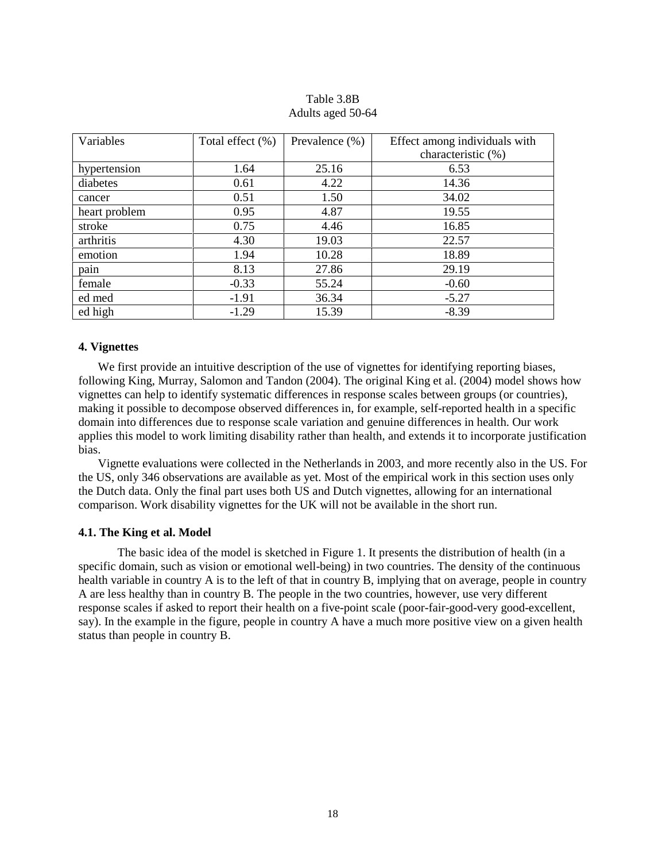| Variables     | Total effect $(\%)$ | Prevalence $(\% )$ | Effect among individuals with |
|---------------|---------------------|--------------------|-------------------------------|
|               |                     |                    | characteristic (%)            |
| hypertension  | 1.64                | 25.16              | 6.53                          |
| diabetes      | 0.61                | 4.22               | 14.36                         |
| cancer        | 0.51                | 1.50               | 34.02                         |
| heart problem | 0.95                | 4.87               | 19.55                         |
| stroke        | 0.75                | 4.46               | 16.85                         |
| arthritis     | 4.30                | 19.03              | 22.57                         |
| emotion       | 1.94                | 10.28              | 18.89                         |
| pain          | 8.13                | 27.86              | 29.19                         |
| female        | $-0.33$             | 55.24              | $-0.60$                       |
| ed med        | $-1.91$             | 36.34              | $-5.27$                       |
| ed high       | $-1.29$             | 15.39              | $-8.39$                       |

#### Table 3.8B Adults aged 50-64

#### **4. Vignettes**

We first provide an intuitive description of the use of vignettes for identifying reporting biases, following King, Murray, Salomon and Tandon (2004). The original King et al. (2004) model shows how vignettes can help to identify systematic differences in response scales between groups (or countries), making it possible to decompose observed differences in, for example, self-reported health in a specific domain into differences due to response scale variation and genuine differences in health. Our work applies this model to work limiting disability rather than health, and extends it to incorporate justification bias.

Vignette evaluations were collected in the Netherlands in 2003, and more recently also in the US. For the US, only 346 observations are available as yet. Most of the empirical work in this section uses only the Dutch data. Only the final part uses both US and Dutch vignettes, allowing for an international comparison. Work disability vignettes for the UK will not be available in the short run.

#### **4.1. The King et al. Model**

The basic idea of the model is sketched in Figure 1. It presents the distribution of health (in a specific domain, such as vision or emotional well-being) in two countries. The density of the continuous health variable in country A is to the left of that in country B, implying that on average, people in country A are less healthy than in country B. The people in the two countries, however, use very different response scales if asked to report their health on a five-point scale (poor-fair-good-very good-excellent, say). In the example in the figure, people in country A have a much more positive view on a given health status than people in country B.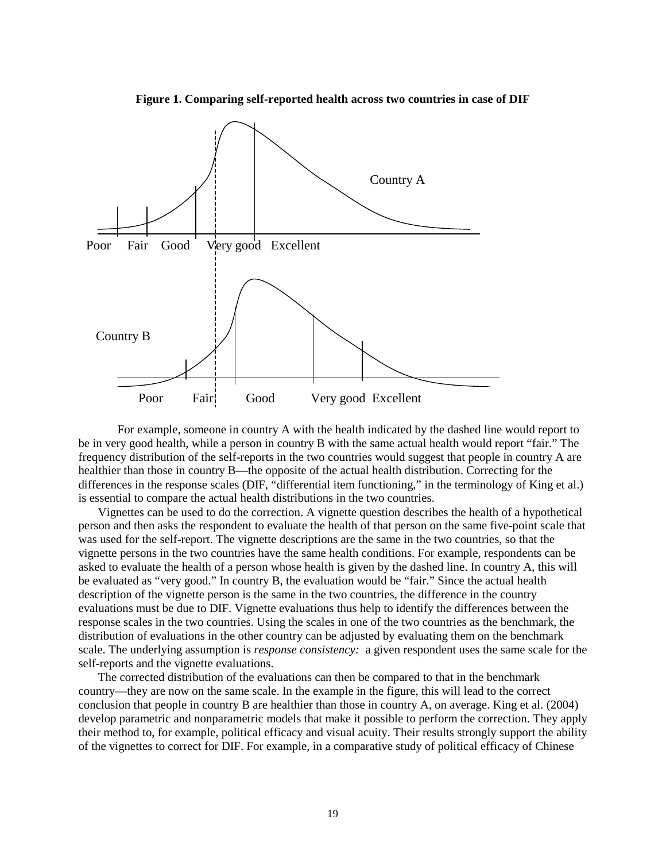**Figure 1. Comparing self-reported health across two countries in case of DIF**



For example, someone in country A with the health indicated by the dashed line would report to be in very good health, while a person in country B with the same actual health would report "fair." The frequency distribution of the self-reports in the two countries would suggest that people in country A are healthier than those in country B—the opposite of the actual health distribution. Correcting for the differences in the response scales (DIF, "differential item functioning," in the terminology of King et al.) is essential to compare the actual health distributions in the two countries.

Vignettes can be used to do the correction. A vignette question describes the health of a hypothetical person and then asks the respondent to evaluate the health of that person on the same five-point scale that was used for the self-report. The vignette descriptions are the same in the two countries, so that the vignette persons in the two countries have the same health conditions. For example, respondents can be asked to evaluate the health of a person whose health is given by the dashed line. In country A, this will be evaluated as "very good." In country B, the evaluation would be "fair." Since the actual health description of the vignette person is the same in the two countries, the difference in the country evaluations must be due to DIF. Vignette evaluations thus help to identify the differences between the response scales in the two countries. Using the scales in one of the two countries as the benchmark, the distribution of evaluations in the other country can be adjusted by evaluating them on the benchmark scale. The underlying assumption is *response consistency:* a given respondent uses the same scale for the self-reports and the vignette evaluations.

The corrected distribution of the evaluations can then be compared to that in the benchmark country—they are now on the same scale. In the example in the figure, this will lead to the correct conclusion that people in country B are healthier than those in country A, on average. King et al. (2004) develop parametric and nonparametric models that make it possible to perform the correction. They apply their method to, for example, political efficacy and visual acuity. Their results strongly support the ability of the vignettes to correct for DIF. For example, in a comparative study of political efficacy of Chinese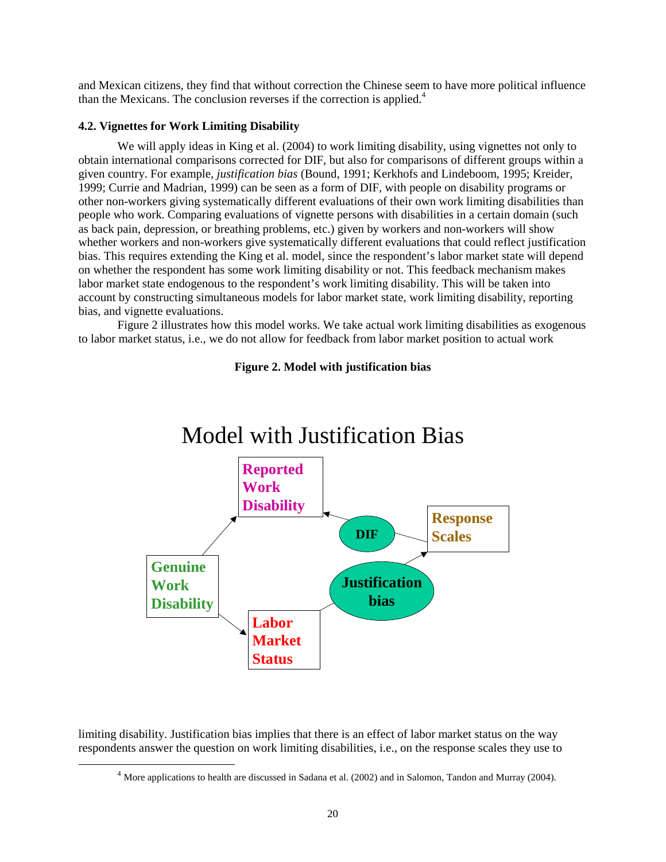and Mexican citizens, they find that without correction the Chinese seem to have more political influence than the Mexicans. The conclusion reverses if the correction is applied. 4

#### **4.2. Vignettes for Work Limiting Disability**

 $\overline{a}$ 

We will apply ideas in King et al. (2004) to work limiting disability, using vignettes not only to obtain international comparisons corrected for DIF, but also for comparisons of different groups within a given country. For example, *justification bias* (Bound, 1991; Kerkhofs and Lindeboom, 1995; Kreider, 1999; Currie and Madrian, 1999) can be seen as a form of DIF, with people on disability programs or other non-workers giving systematically different evaluations of their own work limiting disabilities than people who work. Comparing evaluations of vignette persons with disabilities in a certain domain (such as back pain, depression, or breathing problems, etc.) given by workers and non-workers will show whether workers and non-workers give systematically different evaluations that could reflect justification bias. This requires extending the King et al. model, since the respondent's labor market state will depend on whether the respondent has some work limiting disability or not. This feedback mechanism makes labor market state endogenous to the respondent's work limiting disability. This will be taken into account by constructing simultaneous models for labor market state, work limiting disability, reporting bias, and vignette evaluations.

Figure 2 illustrates how this model works. We take actual work limiting disabilities as exogenous to labor market status, i.e., we do not allow for feedback from labor market position to actual work

#### **Figure 2. Model with justification bias**





limiting disability. Justification bias implies that there is an effect of labor market status on the way respondents answer the question on work limiting disabilities, i.e., on the response scales they use to

<sup>&</sup>lt;sup>4</sup> More applications to health are discussed in Sadana et al. (2002) and in Salomon, Tandon and Murray (2004).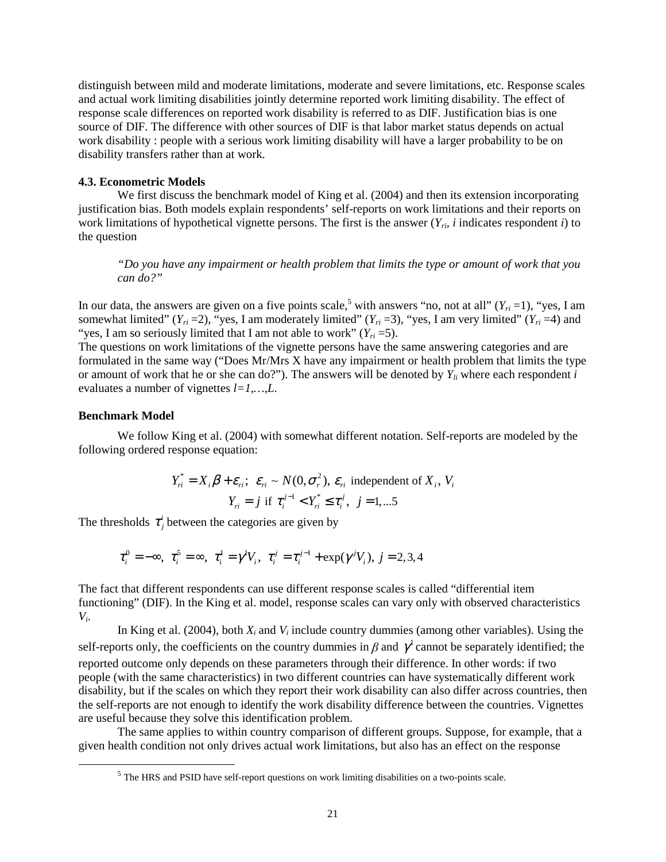distinguish between mild and moderate limitations, moderate and severe limitations, etc. Response scales and actual work limiting disabilities jointly determine reported work limiting disability. The effect of response scale differences on reported work disability is referred to as DIF. Justification bias is one source of DIF. The difference with other sources of DIF is that labor market status depends on actual work disability : people with a serious work limiting disability will have a larger probability to be on disability transfers rather than at work.

#### **4.3. Econometric Models**

We first discuss the benchmark model of King et al. (2004) and then its extension incorporating justification bias. Both models explain respondents' self-reports on work limitations and their reports on work limitations of hypothetical vignette persons. The first is the answer  $(Y_{r_i}, i$  indicates respondent *i*) to the question

*"Do you have any impairment or health problem that limits the type or amount of work that you can do?"*

In our data, the answers are given on a five points scale, <sup>5</sup> with answers "no, not at all" (*Yri* =1), "yes, I am somewhat limited" ( $Y_{ri}$  =2), "yes, I am moderately limited" ( $Y_{ri}$  =3), "yes, I am very limited" ( $Y_{ri}$  =4) and "yes, I am so seriously limited that I am not able to work"  $(Y_n = 5)$ .

The questions on work limitations of the vignette persons have the same answering categories and are formulated in the same way ("Does Mr/Mrs X have any impairment or health problem that limits the type or amount of work that he or she can do?"). The answers will be denoted by *Yli* where each respondent *i* evaluates a number of vignettes *l=1,…,L*.

#### **Benchmark Model**

 $\overline{a}$ 

We follow King et al. (2004) with somewhat different notation. Self-reports are modeled by the following ordered response equation:

$$
Y_{ri}^* = X_i \beta + \varepsilon_{ri}; \ \varepsilon_{ri} \sim N(0, \sigma_r^2), \ \varepsilon_{ri} \text{ independent of } X_i, \ V_i
$$

$$
Y_{ri} = j \text{ if } \tau_i^{j-1} < Y_{ri}^* \leq \tau_i^j, \ \ j = 1, \dots 5
$$

The thresholds  $\tau^i_i$  $\tau_j^i$  between the categories are given by

$$
\tau_i^0 = -\infty, \ \tau_i^5 = \infty, \ \tau_i^1 = \gamma^1 V_i, \ \tau_i^j = \tau_i^{j-1} + \exp(\gamma^j V_i), \ j = 2, 3, 4
$$

The fact that different respondents can use different response scales is called "differential item functioning" (DIF). In the King et al. model, response scales can vary only with observed characteristics *Vi* .

In King et al. (2004), both  $X_i$  and  $V_i$  include country dummies (among other variables). Using the self-reports only, the coefficients on the country dummies in  $\beta$  and  $\gamma^l$  cannot be separately identified; the reported outcome only depends on these parameters through their difference. In other words: if two people (with the same characteristics) in two different countries can have systematically different work disability, but if the scales on which they report their work disability can also differ across countries, then the self-reports are not enough to identify the work disability difference between the countries. Vignettes are useful because they solve this identification problem.

The same applies to within country comparison of different groups. Suppose, for example, that a given health condition not only drives actual work limitations, but also has an effect on the response

<sup>&</sup>lt;sup>5</sup> The HRS and PSID have self-report questions on work limiting disabilities on a two-points scale.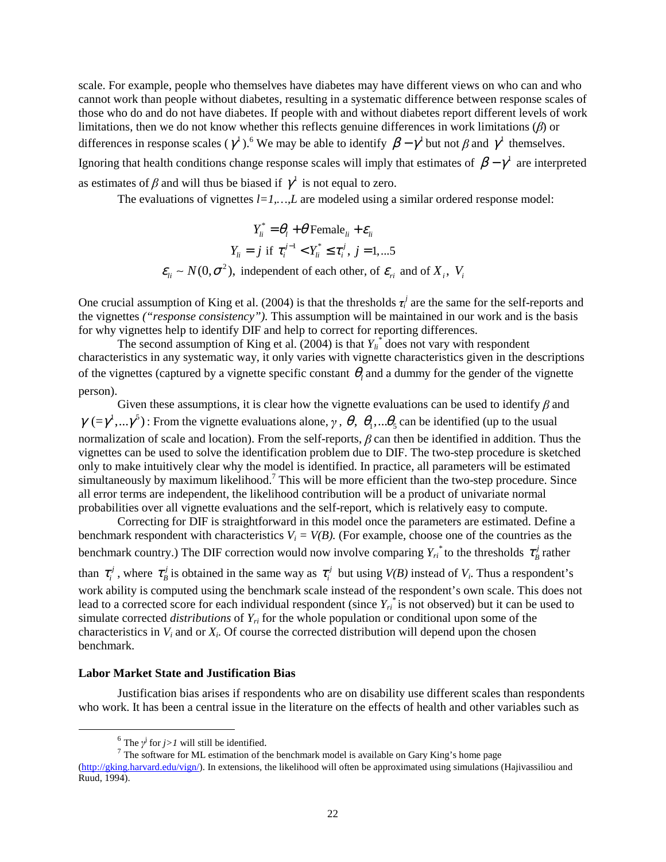scale. For example, people who themselves have diabetes may have different views on who can and who cannot work than people without diabetes, resulting in a systematic difference between response scales of those who do and do not have diabetes. If people with and without diabetes report different levels of work limitations, then we do not know whether this reflects genuine differences in work limitations  $(\beta)$  or differences in response scales ( $\gamma^1$ ).<sup>6</sup> We may be able to identify  $\beta - \gamma^1$  but not  $\beta$  and  $\gamma^1$  themselves. Ignoring that health conditions change response scales will imply that estimates of  $\beta - \gamma^1$  are interpreted as estimates of  $\beta$  and will thus be biased if  $\gamma^1$  is not equal to zero.

The evaluations of vignettes  $l=1,...,L$  are modeled using a similar ordered response model:

$$
Y_{li}^* = \theta_l + \theta \text{ Female}_{li} + \varepsilon_{li}
$$
  

$$
Y_{li} = j \text{ if } \tau_i^{j-1} < Y_{li}^* \le \tau_i^j, \ j = 1, \dots 5
$$
  

$$
\varepsilon_{li} \sim N(0, \sigma^2), \text{ independent of each other, of } \varepsilon_{ri} \text{ and of } X_i, \ V_i
$$

One crucial assumption of King et al. (2004) is that the thresholds  $\tau_i^j$  are the same for the self-reports and the vignettes *("response consistency").* This assumption will be maintained in our work and is the basis for why vignettes help to identify DIF and help to correct for reporting differences.

The second assumption of King et al.  $(2004)$  is that  $Y<sub>li</sub>^*$  does not vary with respondent characteristics in any systematic way, it only varies with vignette characteristics given in the descriptions of the vignettes (captured by a vignette specific constant  $\theta$ <sub>l</sub> and a dummy for the gender of the vignette person).

Given these assumptions, it is clear how the vignette evaluations can be used to identify  $\beta$  and  $\gamma (= \gamma^1,...\gamma^5)$ : From the vignette evaluations alone,  $\gamma$ ,  $\theta$ ,  $\theta_1,...\theta_5$  can be identified (up to the usual normalization of scale and location). From the self-reports,  $\beta$  can then be identified in addition. Thus the vignettes can be used to solve the identification problem due to DIF. The two-step procedure is sketched only to make intuitively clear why the model is identified. In practice, all parameters will be estimated simultaneously by maximum likelihood.<sup>7</sup> This will be more efficient than the two-step procedure. Since all error terms are independent, the likelihood contribution will be a product of univariate normal probabilities over all vignette evaluations and the self-report, which is relatively easy to compute.

Correcting for DIF is straightforward in this model once the parameters are estimated. Define a benchmark respondent with characteristics  $V_i = V(B)$ . (For example, choose one of the countries as the benchmark country.) The DIF correction would now involve comparing  $Y_{ri}^*$  to the thresholds  $\tau_B^j$  $\tau^{\scriptscriptstyle J}_{\scriptscriptstyle B}$  rather than  $\tau_i^j$  $\tau_i^j$ , where  $\tau_B^j$  $\tau_B^j$  is obtained in the same way as  $\tau_i^j$  $\tau_i^j$  but using *V(B)* instead of *V<sub>i</sub>*. Thus a respondent's work ability is computed using the benchmark scale instead of the respondent's own scale. This does not lead to a corrected score for each individual respondent (since *Yri \** is not observed) but it can be used to simulate corrected *distributions* of *Yri* for the whole population or conditional upon some of the characteristics in *V<sup>i</sup>* and or *X<sup>i</sup>* . Of course the corrected distribution will depend upon the chosen benchmark.

#### **Labor Market State and Justification Bias**

Justification bias arises if respondents who are on disability use different scales than respondents who work. It has been a central issue in the literature on the effects of health and other variables such as

 $\overline{a}$ 

<sup>&</sup>lt;sup>6</sup> The  $\gamma$ <sup>*j*</sup> for *j*>*1* will still be identified.

 $<sup>7</sup>$  The software for ML estimation of the benchmark model is available on Gary King's home page</sup>

<sup>(</sup>http://gking.harvard.edu/vign/). In extensions, the likelihood will often be approximated using simulations (Hajivassiliou and Ruud, 1994).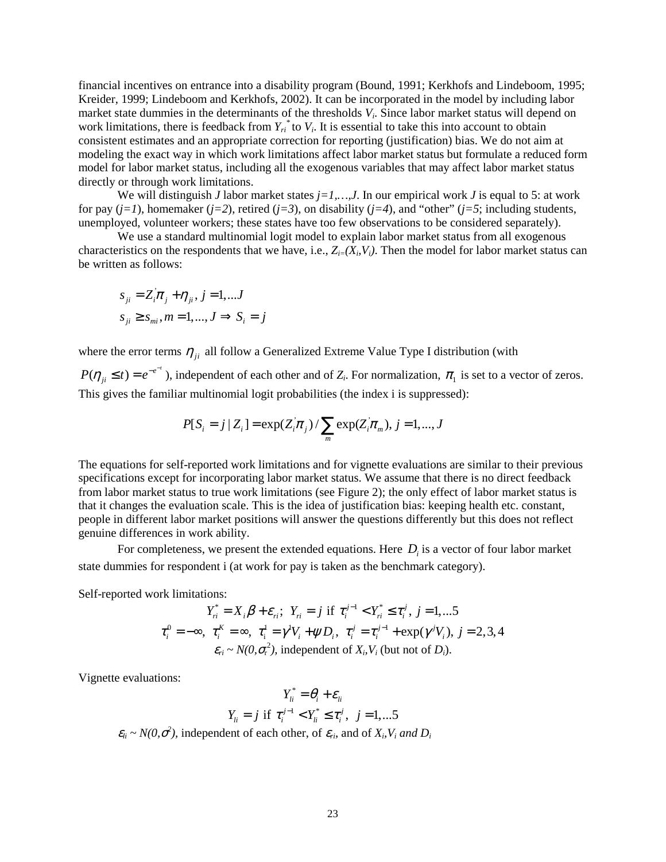financial incentives on entrance into a disability program (Bound, 1991; Kerkhofs and Lindeboom, 1995; Kreider, 1999; Lindeboom and Kerkhofs, 2002). It can be incorporated in the model by including labor market state dummies in the determinants of the thresholds *V<sup>i</sup>* . Since labor market status will depend on work limitations, there is feedback from  $Y_{ri}^*$  to  $V_i$ . It is essential to take this into account to obtain consistent estimates and an appropriate correction for reporting (justification) bias. We do not aim at modeling the exact way in which work limitations affect labor market status but formulate a reduced form model for labor market status, including all the exogenous variables that may affect labor market status directly or through work limitations.

We will distinguish *J* labor market states  $j=1,...,J$ . In our empirical work *J* is equal to 5: at work for pay  $(j=1)$ , homemaker  $(j=2)$ , retired  $(j=3)$ , on disability  $(j=4)$ , and "other"  $(j=5)$ ; including students, unemployed, volunteer workers; these states have too few observations to be considered separately).

We use a standard multinomial logit model to explain labor market status from all exogenous characteristics on the respondents that we have, i.e.,  $Z_{i} = (X_i, V_i)$ . Then the model for labor market status can be written as follows:

$$
s_{ji} = Z_i \overline{x}_j + \eta_{ji}, j = 1,...J
$$
  

$$
s_{ji} \ge s_{mi}, m = 1,...,J \implies S_i = j
$$

where the error terms  $\eta_{ji}$  all follow a Generalized Extreme Value Type I distribution (with

 $P(\eta_{ji} \le t) = e^{-e^{-t}}$ , independent of each other and of  $Z_i$ . For normalization,  $\pi_1$  is set to a vector of zeros. This gives the familiar multinomial logit probabilities (the index i is suppressed):

$$
P[S_i = j | Z_i] = \exp(Z_i \pi_j) / \sum_m \exp(Z_i \pi_m), j = 1, ..., J
$$

The equations for self-reported work limitations and for vignette evaluations are similar to their previous specifications except for incorporating labor market status. We assume that there is no direct feedback from labor market status to true work limitations (see Figure 2); the only effect of labor market status is that it changes the evaluation scale. This is the idea of justification bias: keeping health etc. constant, people in different labor market positions will answer the questions differently but this does not reflect genuine differences in work ability.

For completeness, we present the extended equations. Here  $D_i$  is a vector of four labor market state dummies for respondent i (at work for pay is taken as the benchmark category).

Self-reported work limitations:

$$
Y_{ri}^* = X_i \beta + \varepsilon_{ri}; \ Y_{ri} = j \text{ if } \tau_i^{j-1} < Y_{ri}^* \leq \tau_i^j, \ j = 1, \dots 5
$$
\n
$$
\tau_i^0 = -\infty, \ \tau_i^K = \infty, \ \tau_i^1 = \gamma^1 V_i + \psi D_i, \ \tau_i^j = \tau_i^{j-1} + \exp(\gamma^j V_i), \ j = 2, 3, 4
$$
\n
$$
\varepsilon_{ri} \sim N(0, \sigma_i^2), \text{ independent of } X_i, V_i \text{ (but not of } D_i).
$$

Vignette evaluations:

$$
Y_{li}^* = \theta_i + \varepsilon_{li}
$$
  

$$
Y_{li} = j \text{ if } \tau_i^{j-1} < Y_{li}^* \le \tau_i^j, \ \ j = 1, \dots 5
$$

 $\varepsilon_{li} \sim N(0, \sigma^2)$ , independent of each other, of  $\varepsilon_{ri}$ , and of  $X_i V_i$  *and*  $D_i$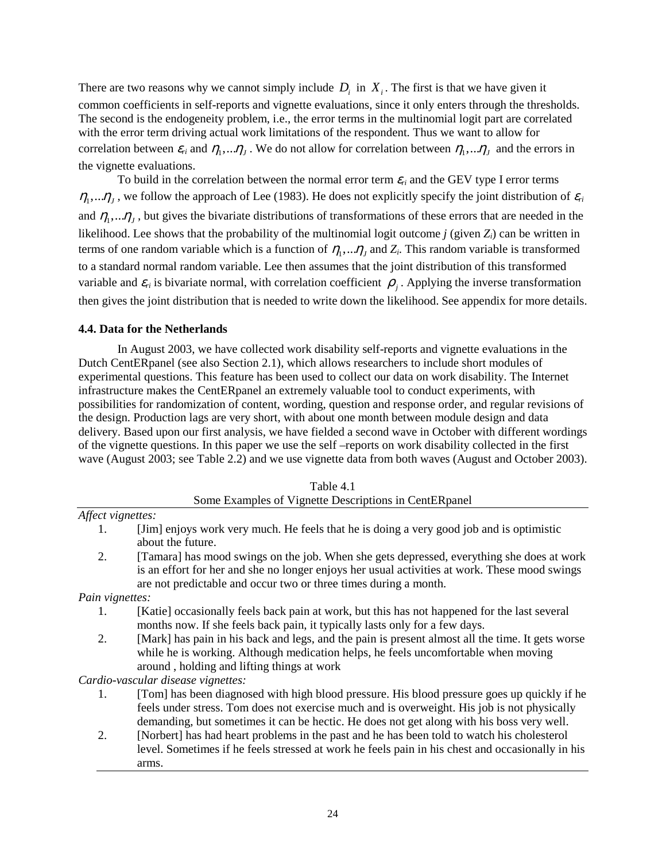There are two reasons why we cannot simply include  $D_i$  in  $X_i$ . The first is that we have given it common coefficients in self-reports and vignette evaluations, since it only enters through the thresholds. The second is the endogeneity problem, i.e., the error terms in the multinomial logit part are correlated with the error term driving actual work limitations of the respondent*.* Thus we want to allow for correlation between  $\varepsilon_{ri}$  and  $\eta_1,...\eta_j$ . We do not allow for correlation between  $\eta_1,...\eta_j$  and the errors in the vignette evaluations.

To build in the correlation between the normal error term  $\varepsilon$ <sub>*ri*</sub> and the GEV type I error terms  $\eta_1,...\eta_J$ , we follow the approach of Lee (1983). He does not explicitly specify the joint distribution of  $\varepsilon_{ri}$ and  $\eta_1,...\eta_j$ , but gives the bivariate distributions of transformations of these errors that are needed in the likelihood. Lee shows that the probability of the multinomial logit outcome *j* (given *Zi*) can be written in terms of one random variable which is a function of  $\eta_1, \dots, \eta_j$  and  $Z_i$ . This random variable is transformed to a standard normal random variable. Lee then assumes that the joint distribution of this transformed variable and  $\varepsilon_{ri}$  is bivariate normal, with correlation coefficient  $\rho_j$ . Applying the inverse transformation then gives the joint distribution that is needed to write down the likelihood. See appendix for more details.

#### **4.4. Data for the Netherlands**

In August 2003, we have collected work disability self-reports and vignette evaluations in the Dutch CentERpanel (see also Section 2.1), which allows researchers to include short modules of experimental questions. This feature has been used to collect our data on work disability. The Internet infrastructure makes the CentERpanel an extremely valuable tool to conduct experiments, with possibilities for randomization of content, wording, question and response order, and regular revisions of the design. Production lags are very short, with about one month between module design and data delivery. Based upon our first analysis, we have fielded a second wave in October with different wordings of the vignette questions. In this paper we use the self –reports on work disability collected in the first wave (August 2003; see Table 2.2) and we use vignette data from both waves (August and October 2003).

| Table 4.1                                              |
|--------------------------------------------------------|
| Some Examples of Vignette Descriptions in CentER panel |

#### *Affect vignettes:*

- 1. [Jim] enjoys work very much. He feels that he is doing a very good job and is optimistic about the future.
- 2. [Tamara] has mood swings on the job. When she gets depressed, everything she does at work is an effort for her and she no longer enjoys her usual activities at work. These mood swings are not predictable and occur two or three times during a month.

*Pain vignettes:*

- 1. [Katie] occasionally feels back pain at work, but this has not happened for the last several months now. If she feels back pain, it typically lasts only for a few days.
- 2. [Mark] has pain in his back and legs, and the pain is present almost all the time. It gets worse while he is working. Although medication helps, he feels uncomfortable when moving around , holding and lifting things at work

*Cardio-vascular disease vignettes:*

- 1. [Tom] has been diagnosed with high blood pressure. His blood pressure goes up quickly if he feels under stress. Tom does not exercise much and is overweight. His job is not physically demanding, but sometimes it can be hectic. He does not get along with his boss very well.
- 2. [Norbert] has had heart problems in the past and he has been told to watch his cholesterol level. Sometimes if he feels stressed at work he feels pain in his chest and occasionally in his arms.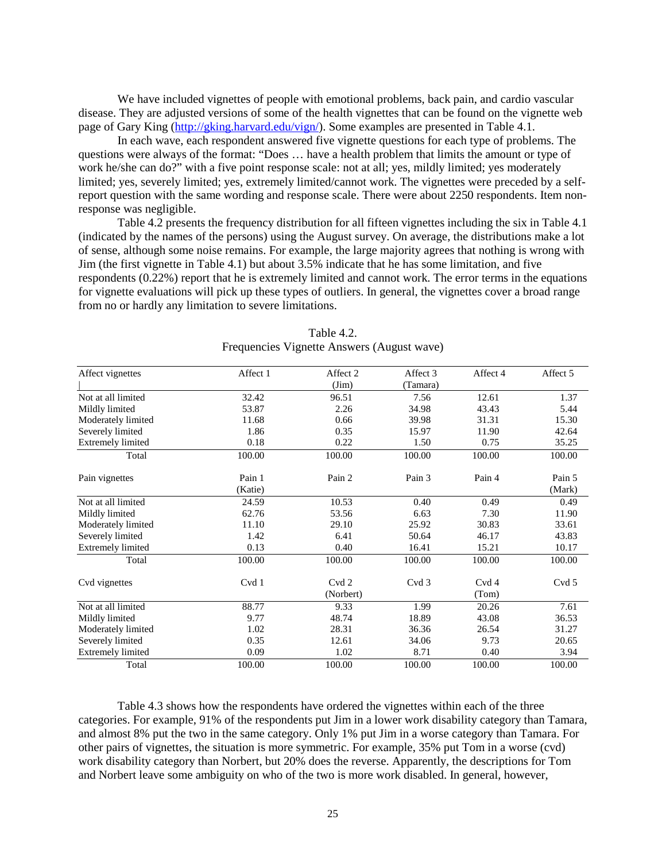We have included vignettes of people with emotional problems, back pain, and cardio vascular disease. They are adjusted versions of some of the health vignettes that can be found on the vignette web page of Gary King (http://gking.harvard.edu/vign/). Some examples are presented in Table 4.1.

In each wave, each respondent answered five vignette questions for each type of problems. The questions were always of the format: "Does … have a health problem that limits the amount or type of work he/she can do?" with a five point response scale: not at all; yes, mildly limited; yes moderately limited; yes, severely limited; yes, extremely limited/cannot work. The vignettes were preceded by a selfreport question with the same wording and response scale. There were about 2250 respondents. Item nonresponse was negligible.

Table 4.2 presents the frequency distribution for all fifteen vignettes including the six in Table 4.1 (indicated by the names of the persons) using the August survey. On average, the distributions make a lot of sense, although some noise remains. For example, the large majority agrees that nothing is wrong with Jim (the first vignette in Table 4.1) but about 3.5% indicate that he has some limitation, and five respondents (0.22%) report that he is extremely limited and cannot work. The error terms in the equations for vignette evaluations will pick up these types of outliers. In general, the vignettes cover a broad range from no or hardly any limitation to severe limitations.

| Affect vignettes         | Affect 1 | Affect 2         | Affect 3 | Affect 4 | Affect 5 |
|--------------------------|----------|------------------|----------|----------|----------|
|                          |          | (Jim)            | (Tamara) |          |          |
| Not at all limited       | 32.42    | 96.51            | 7.56     | 12.61    | 1.37     |
| Mildly limited           | 53.87    | 2.26             | 34.98    | 43.43    | 5.44     |
| Moderately limited       | 11.68    | 0.66             | 39.98    | 31.31    | 15.30    |
| Severely limited         | 1.86     | 0.35             | 15.97    | 11.90    | 42.64    |
| <b>Extremely limited</b> | 0.18     | 0.22             | 1.50     | 0.75     | 35.25    |
| Total                    | 100.00   | 100.00           | 100.00   | 100.00   | 100.00   |
| Pain vignettes           | Pain 1   | Pain 2           | Pain 3   | Pain 4   | Pain 5   |
|                          | (Katie)  |                  |          |          | (Mark)   |
| Not at all limited       | 24.59    | 10.53            | 0.40     | 0.49     | 0.49     |
| Mildly limited           | 62.76    | 53.56            | 6.63     | 7.30     | 11.90    |
| Moderately limited       | 11.10    | 29.10            | 25.92    | 30.83    | 33.61    |
| Severely limited         | 1.42     | 6.41             | 50.64    | 46.17    | 43.83    |
| <b>Extremely limited</b> | 0.13     | 0.40             | 16.41    | 15.21    | 10.17    |
| Total                    | 100.00   | 100.00           | 100.00   | 100.00   | 100.00   |
| Cvd vignettes            | Cvd 1    | Cvd <sub>2</sub> | Cvd 3    | Cvd 4    | Cvd 5    |
|                          |          | (Norbert)        |          | (Tom)    |          |
| Not at all limited       | 88.77    | 9.33             | 1.99     | 20.26    | 7.61     |
| Mildly limited           | 9.77     | 48.74            | 18.89    | 43.08    | 36.53    |
| Moderately limited       | 1.02     | 28.31            | 36.36    | 26.54    | 31.27    |
| Severely limited         | 0.35     | 12.61            | 34.06    | 9.73     | 20.65    |
| <b>Extremely limited</b> | 0.09     | 1.02             | 8.71     | 0.40     | 3.94     |
| Total                    | 100.00   | 100.00           | 100.00   | 100.00   | 100.00   |

Table 4.2. Frequencies Vignette Answers (August wave)

Table 4.3 shows how the respondents have ordered the vignettes within each of the three categories. For example, 91% of the respondents put Jim in a lower work disability category than Tamara, and almost 8% put the two in the same category. Only 1% put Jim in a worse category than Tamara. For other pairs of vignettes, the situation is more symmetric. For example, 35% put Tom in a worse (cvd) work disability category than Norbert, but 20% does the reverse. Apparently, the descriptions for Tom and Norbert leave some ambiguity on who of the two is more work disabled. In general, however,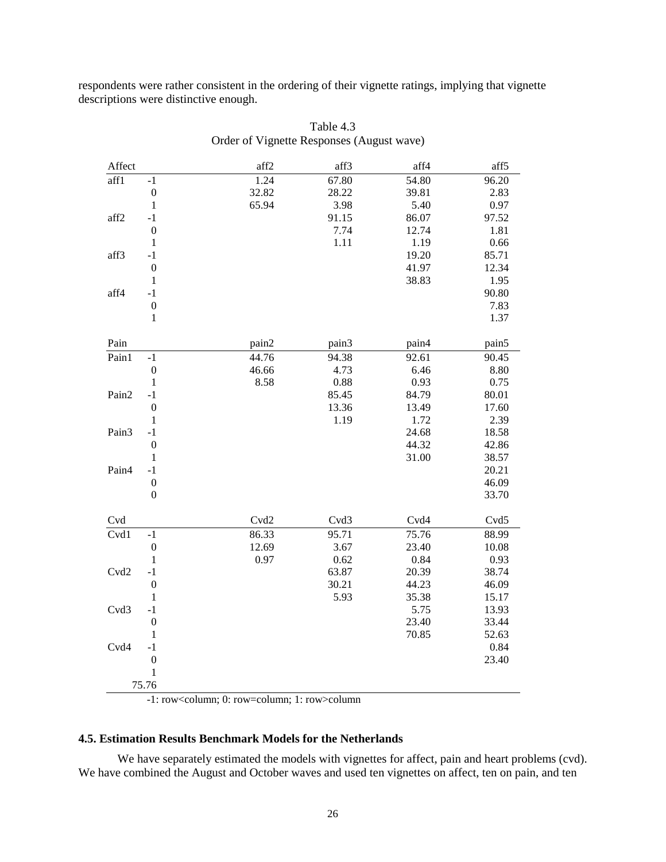respondents were rather consistent in the ordering of their vignette ratings, implying that vignette descriptions were distinctive enough.

| Affect           |                  | aff2  | aff3  | aff4  | aff5  |
|------------------|------------------|-------|-------|-------|-------|
| aff1             | $^{\rm -1}$      | 1.24  | 67.80 | 54.80 | 96.20 |
|                  | $\boldsymbol{0}$ | 32.82 | 28.22 | 39.81 | 2.83  |
|                  | $\,1\,$          | 65.94 | 3.98  | 5.40  | 0.97  |
| aff <sub>2</sub> | $^{\rm -1}$      |       | 91.15 | 86.07 | 97.52 |
|                  | $\boldsymbol{0}$ |       | 7.74  | 12.74 | 1.81  |
|                  | $\mathbf{1}$     |       | 1.11  | 1.19  | 0.66  |
| aff3             | $^{\rm -1}$      |       |       | 19.20 | 85.71 |
|                  | $\boldsymbol{0}$ |       |       | 41.97 | 12.34 |
|                  | $\mathbf{1}$     |       |       | 38.83 | 1.95  |
| aff4             | $-1$             |       |       |       | 90.80 |
|                  | $\boldsymbol{0}$ |       |       |       | 7.83  |
|                  | $\mathbf{1}$     |       |       |       | 1.37  |
| Pain             |                  | pain2 | pain3 | pain4 | pain5 |
| Pain1            | $-1$             | 44.76 | 94.38 | 92.61 | 90.45 |
|                  | $\boldsymbol{0}$ | 46.66 | 4.73  | 6.46  | 8.80  |
|                  | $\mathbf{1}$     | 8.58  | 0.88  | 0.93  | 0.75  |
| Pain2            | $^{\rm -1}$      |       | 85.45 | 84.79 | 80.01 |
|                  | $\boldsymbol{0}$ |       | 13.36 | 13.49 | 17.60 |
|                  | $\mathbf 1$      |       | 1.19  | 1.72  | 2.39  |
| Pain3            | $^{\mbox{-}1}$   |       |       | 24.68 | 18.58 |
|                  | $\boldsymbol{0}$ |       |       | 44.32 | 42.86 |
|                  | $1\,$            |       |       | 31.00 | 38.57 |
| Pain4            | $^{\rm -1}$      |       |       |       | 20.21 |
|                  | $\boldsymbol{0}$ |       |       |       | 46.09 |
|                  | $\boldsymbol{0}$ |       |       |       | 33.70 |
| Cvd              |                  | Cvd2  | Cvd3  | Cvd4  | Cvd5  |
| Cvd1             | $^{\rm -1}$      | 86.33 | 95.71 | 75.76 | 88.99 |
|                  | $\boldsymbol{0}$ | 12.69 | 3.67  | 23.40 | 10.08 |
|                  | $\mathbf{1}$     | 0.97  | 0.62  | 0.84  | 0.93  |
| Cvd2             | $^{\rm -1}$      |       | 63.87 | 20.39 | 38.74 |
|                  | $\boldsymbol{0}$ |       | 30.21 | 44.23 | 46.09 |
|                  | $\mathbf{1}$     |       | 5.93  | 35.38 | 15.17 |
| Cvd3             | $^{\rm -1}$      |       |       | 5.75  | 13.93 |
|                  | $\boldsymbol{0}$ |       |       | 23.40 | 33.44 |
|                  | $\mathbf{1}$     |       |       | 70.85 | 52.63 |
| Cvd4             | $^{\rm -1}$      |       |       |       | 0.84  |
|                  | $\boldsymbol{0}$ |       |       |       | 23.40 |
|                  | $\,1\,$          |       |       |       |       |
|                  | 75.76            |       |       |       |       |

Table 4.3 Order of Vignette Responses (August wave)

-1: row<column; 0: row=column; 1: row>column

#### **4.5. Estimation Results Benchmark Models for the Netherlands**

We have separately estimated the models with vignettes for affect, pain and heart problems (cvd). We have combined the August and October waves and used ten vignettes on affect, ten on pain, and ten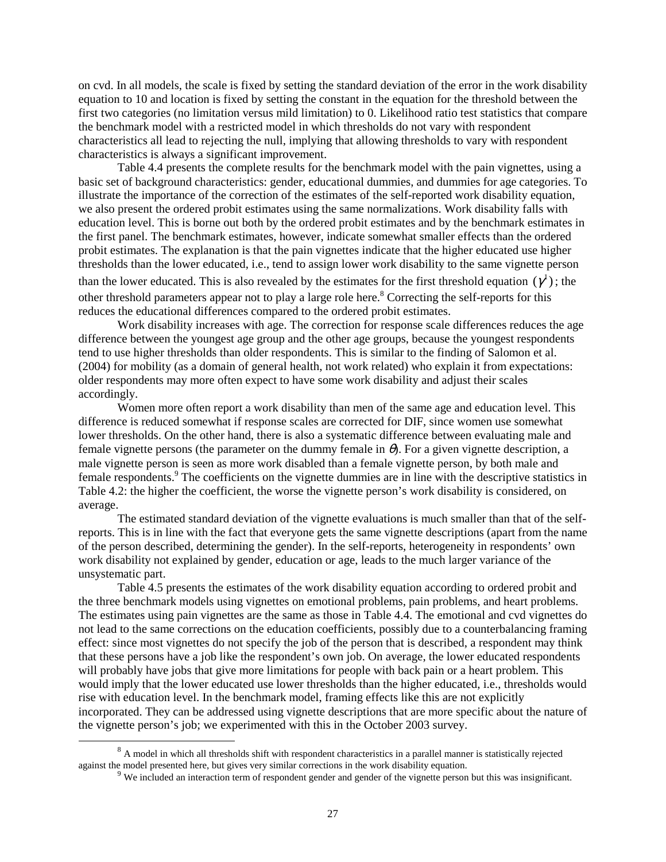on cvd. In all models, the scale is fixed by setting the standard deviation of the error in the work disability equation to 10 and location is fixed by setting the constant in the equation for the threshold between the first two categories (no limitation versus mild limitation) to 0. Likelihood ratio test statistics that compare the benchmark model with a restricted model in which thresholds do not vary with respondent characteristics all lead to rejecting the null, implying that allowing thresholds to vary with respondent characteristics is always a significant improvement.

Table 4.4 presents the complete results for the benchmark model with the pain vignettes, using a basic set of background characteristics: gender, educational dummies, and dummies for age categories. To illustrate the importance of the correction of the estimates of the self-reported work disability equation, we also present the ordered probit estimates using the same normalizations. Work disability falls with education level. This is borne out both by the ordered probit estimates and by the benchmark estimates in the first panel. The benchmark estimates, however, indicate somewhat smaller effects than the ordered probit estimates. The explanation is that the pain vignettes indicate that the higher educated use higher thresholds than the lower educated, i.e., tend to assign lower work disability to the same vignette person than the lower educated. This is also revealed by the estimates for the first threshold equation  $(\gamma^l)$ ; the other threshold parameters appear not to play a large role here. <sup>8</sup> Correcting the self-reports for this reduces the educational differences compared to the ordered probit estimates.

Work disability increases with age. The correction for response scale differences reduces the age difference between the youngest age group and the other age groups, because the youngest respondents tend to use higher thresholds than older respondents. This is similar to the finding of Salomon et al. (2004) for mobility (as a domain of general health, not work related) who explain it from expectations: older respondents may more often expect to have some work disability and adjust their scales accordingly.

Women more often report a work disability than men of the same age and education level. This difference is reduced somewhat if response scales are corrected for DIF, since women use somewhat lower thresholds. On the other hand, there is also a systematic difference between evaluating male and female vignette persons (the parameter on the dummy female in  $\theta$ ). For a given vignette description, a male vignette person is seen as more work disabled than a female vignette person, by both male and female respondents.<sup>9</sup> The coefficients on the vignette dummies are in line with the descriptive statistics in Table 4.2: the higher the coefficient, the worse the vignette person's work disability is considered, on average.

The estimated standard deviation of the vignette evaluations is much smaller than that of the selfreports. This is in line with the fact that everyone gets the same vignette descriptions (apart from the name of the person described, determining the gender). In the self-reports, heterogeneity in respondents' own work disability not explained by gender, education or age, leads to the much larger variance of the unsystematic part.

Table 4.5 presents the estimates of the work disability equation according to ordered probit and the three benchmark models using vignettes on emotional problems, pain problems, and heart problems. The estimates using pain vignettes are the same as those in Table 4.4. The emotional and cvd vignettes do not lead to the same corrections on the education coefficients, possibly due to a counterbalancing framing effect: since most vignettes do not specify the job of the person that is described, a respondent may think that these persons have a job like the respondent's own job. On average, the lower educated respondents will probably have jobs that give more limitations for people with back pain or a heart problem. This would imply that the lower educated use lower thresholds than the higher educated, i.e., thresholds would rise with education level. In the benchmark model, framing effects like this are not explicitly incorporated. They can be addressed using vignette descriptions that are more specific about the nature of the vignette person's job; we experimented with this in the October 2003 survey.

 $\overline{a}$ 

<sup>&</sup>lt;sup>8</sup> A model in which all thresholds shift with respondent characteristics in a parallel manner is statistically rejected against the model presented here, but gives very similar corrections in the work disability equation.

<sup>&</sup>lt;sup>9</sup> We included an interaction term of respondent gender and gender of the vignette person but this was insignificant.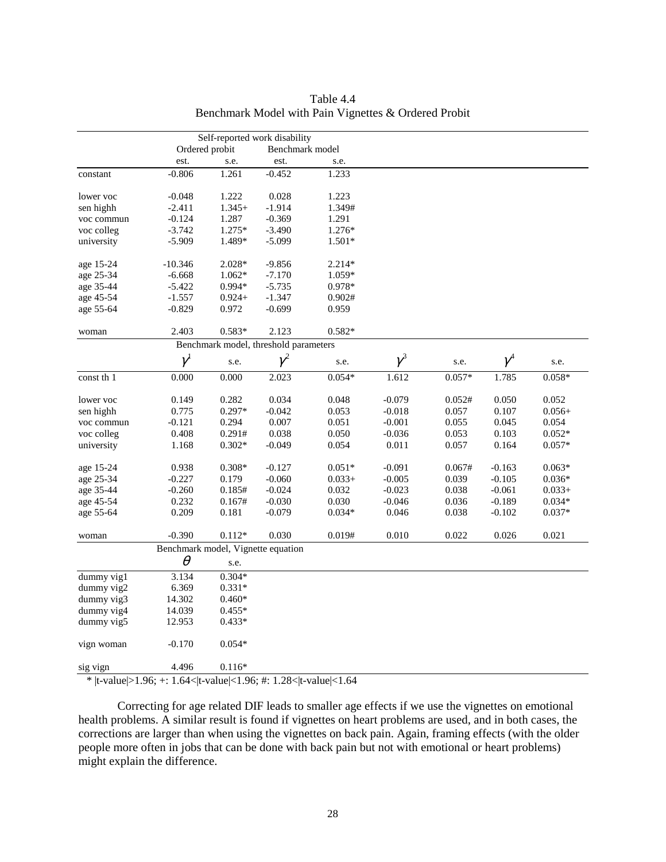| Ordered probit<br>Benchmark model<br>est.<br>est.<br>s.e.<br>s.e.<br>$-0.806$<br>1.261<br>$-0.452$<br>1.233<br>constant<br>1.222<br>1.223<br>$-0.048$<br>0.028<br>lower voc<br>$-2.411$<br>$1.345+$<br>$-1.914$<br>1.349#<br>sen highh<br>1.287<br>$-0.369$<br>$-0.124$<br>1.291<br>voc commun<br>1.275*<br>1.276*<br>voc colleg<br>$-3.742$<br>$-3.490$<br>1.489*<br>$-5.099$<br>$-5.909$<br>1.501*<br>age 15-24<br>$-10.346$<br>$2.028*$<br>$-9.856$<br>$2.214*$<br>1.059*<br>age 25-34<br>$-6.668$<br>$1.062*$<br>$-7.170$<br>0.994*<br>0.978*<br>age 35-44<br>$-5.422$<br>$-5.735$<br>age 45-54<br>$-1.557$<br>$0.924+$<br>$-1.347$<br>0.902#<br>0.972<br>$-0.699$<br>age 55-64<br>$-0.829$<br>0.959<br>2.403<br>$0.583*$<br>2.123<br>$0.582*$<br>woman<br>Benchmark model, threshold parameters<br>$\gamma^1$<br>$\gamma^3$<br>$\gamma^2$<br>$\gamma^4$<br>s.e.<br>s.e.<br>s.e.<br>s.e.<br>1.612<br>1.785<br>0.000<br>0.000<br>2.023<br>$0.054*$<br>$0.057*$<br>$0.058*$<br>0.282<br>0.034<br>0.048<br>$-0.079$<br>0.050<br>0.052<br>lower voc<br>0.149<br>0.052#<br>0.775<br>$0.297*$<br>$-0.042$<br>0.053<br>0.057<br>0.107<br>$0.056+$<br>sen highh<br>$-0.018$<br>0.294<br>0.007<br>0.055<br>0.045<br>$-0.121$<br>0.051<br>$-0.001$<br>0.054<br>voc commun<br>0.408<br>0.291#<br>0.038<br>0.050<br>$-0.036$<br>0.053<br>0.103<br>$0.052*$<br>voc colleg<br>1.168<br>$0.302*$<br>$-0.049$<br>0.054<br>0.011<br>0.057<br>0.164<br>$0.057*$<br>$0.308*$<br>$-0.163$<br>$0.063*$<br>age 15-24<br>0.938<br>$-0.127$<br>$0.051*$<br>$-0.091$<br>0.067#<br>$-0.227$<br>0.179<br>$-0.060$<br>$0.033+$<br>$-0.005$<br>0.039<br>$-0.105$<br>$0.036*$<br>age 25-34<br>0.032<br>0.038<br>$-0.061$<br>age 35-44<br>$-0.260$<br>0.185#<br>$-0.024$<br>$-0.023$<br>$0.033+$<br>age 45-54<br>0.232<br>0.167#<br>$-0.030$<br>0.030<br>$-0.046$<br>0.036<br>$-0.189$<br>$0.034*$<br>0.209<br>0.181<br>$-0.079$<br>$0.034*$<br>0.046<br>0.038<br>$-0.102$<br>$0.037*$<br>age 55-64<br>$-0.390$<br>$0.112*$<br>0.030<br>0.019#<br>0.010<br>0.022<br>0.026<br>0.021<br>woman<br>Benchmark model, Vignette equation<br>$\theta$<br>s.e.<br>3.134<br>$0.304*$<br>dummy vig1<br>dummy vig2<br>6.369<br>$0.331*$<br>dummy vig3<br>14.302<br>$0.460*$<br>dummy vig4<br>14.039<br>$0.455*$<br>dummy vig5<br>12.953<br>$0.433*$<br>$0.054*$<br>vign woman<br>$-0.170$<br>4.496<br>$0.116*$<br>sig vign<br>$\overline{a}$ |            | Self-reported work disability |  |  |  |  |
|-------------------------------------------------------------------------------------------------------------------------------------------------------------------------------------------------------------------------------------------------------------------------------------------------------------------------------------------------------------------------------------------------------------------------------------------------------------------------------------------------------------------------------------------------------------------------------------------------------------------------------------------------------------------------------------------------------------------------------------------------------------------------------------------------------------------------------------------------------------------------------------------------------------------------------------------------------------------------------------------------------------------------------------------------------------------------------------------------------------------------------------------------------------------------------------------------------------------------------------------------------------------------------------------------------------------------------------------------------------------------------------------------------------------------------------------------------------------------------------------------------------------------------------------------------------------------------------------------------------------------------------------------------------------------------------------------------------------------------------------------------------------------------------------------------------------------------------------------------------------------------------------------------------------------------------------------------------------------------------------------------------------------------------------------------------------------------------------------------------------------------------------------------------------------------------------------------------------------------------------------------------------------------------------------------------------------------------------------------------------------------------------------------|------------|-------------------------------|--|--|--|--|
|                                                                                                                                                                                                                                                                                                                                                                                                                                                                                                                                                                                                                                                                                                                                                                                                                                                                                                                                                                                                                                                                                                                                                                                                                                                                                                                                                                                                                                                                                                                                                                                                                                                                                                                                                                                                                                                                                                                                                                                                                                                                                                                                                                                                                                                                                                                                                                                                       |            |                               |  |  |  |  |
|                                                                                                                                                                                                                                                                                                                                                                                                                                                                                                                                                                                                                                                                                                                                                                                                                                                                                                                                                                                                                                                                                                                                                                                                                                                                                                                                                                                                                                                                                                                                                                                                                                                                                                                                                                                                                                                                                                                                                                                                                                                                                                                                                                                                                                                                                                                                                                                                       |            |                               |  |  |  |  |
|                                                                                                                                                                                                                                                                                                                                                                                                                                                                                                                                                                                                                                                                                                                                                                                                                                                                                                                                                                                                                                                                                                                                                                                                                                                                                                                                                                                                                                                                                                                                                                                                                                                                                                                                                                                                                                                                                                                                                                                                                                                                                                                                                                                                                                                                                                                                                                                                       |            |                               |  |  |  |  |
|                                                                                                                                                                                                                                                                                                                                                                                                                                                                                                                                                                                                                                                                                                                                                                                                                                                                                                                                                                                                                                                                                                                                                                                                                                                                                                                                                                                                                                                                                                                                                                                                                                                                                                                                                                                                                                                                                                                                                                                                                                                                                                                                                                                                                                                                                                                                                                                                       |            |                               |  |  |  |  |
|                                                                                                                                                                                                                                                                                                                                                                                                                                                                                                                                                                                                                                                                                                                                                                                                                                                                                                                                                                                                                                                                                                                                                                                                                                                                                                                                                                                                                                                                                                                                                                                                                                                                                                                                                                                                                                                                                                                                                                                                                                                                                                                                                                                                                                                                                                                                                                                                       |            |                               |  |  |  |  |
|                                                                                                                                                                                                                                                                                                                                                                                                                                                                                                                                                                                                                                                                                                                                                                                                                                                                                                                                                                                                                                                                                                                                                                                                                                                                                                                                                                                                                                                                                                                                                                                                                                                                                                                                                                                                                                                                                                                                                                                                                                                                                                                                                                                                                                                                                                                                                                                                       |            |                               |  |  |  |  |
|                                                                                                                                                                                                                                                                                                                                                                                                                                                                                                                                                                                                                                                                                                                                                                                                                                                                                                                                                                                                                                                                                                                                                                                                                                                                                                                                                                                                                                                                                                                                                                                                                                                                                                                                                                                                                                                                                                                                                                                                                                                                                                                                                                                                                                                                                                                                                                                                       |            |                               |  |  |  |  |
|                                                                                                                                                                                                                                                                                                                                                                                                                                                                                                                                                                                                                                                                                                                                                                                                                                                                                                                                                                                                                                                                                                                                                                                                                                                                                                                                                                                                                                                                                                                                                                                                                                                                                                                                                                                                                                                                                                                                                                                                                                                                                                                                                                                                                                                                                                                                                                                                       | university |                               |  |  |  |  |
|                                                                                                                                                                                                                                                                                                                                                                                                                                                                                                                                                                                                                                                                                                                                                                                                                                                                                                                                                                                                                                                                                                                                                                                                                                                                                                                                                                                                                                                                                                                                                                                                                                                                                                                                                                                                                                                                                                                                                                                                                                                                                                                                                                                                                                                                                                                                                                                                       |            |                               |  |  |  |  |
|                                                                                                                                                                                                                                                                                                                                                                                                                                                                                                                                                                                                                                                                                                                                                                                                                                                                                                                                                                                                                                                                                                                                                                                                                                                                                                                                                                                                                                                                                                                                                                                                                                                                                                                                                                                                                                                                                                                                                                                                                                                                                                                                                                                                                                                                                                                                                                                                       |            |                               |  |  |  |  |
|                                                                                                                                                                                                                                                                                                                                                                                                                                                                                                                                                                                                                                                                                                                                                                                                                                                                                                                                                                                                                                                                                                                                                                                                                                                                                                                                                                                                                                                                                                                                                                                                                                                                                                                                                                                                                                                                                                                                                                                                                                                                                                                                                                                                                                                                                                                                                                                                       |            |                               |  |  |  |  |
|                                                                                                                                                                                                                                                                                                                                                                                                                                                                                                                                                                                                                                                                                                                                                                                                                                                                                                                                                                                                                                                                                                                                                                                                                                                                                                                                                                                                                                                                                                                                                                                                                                                                                                                                                                                                                                                                                                                                                                                                                                                                                                                                                                                                                                                                                                                                                                                                       |            |                               |  |  |  |  |
|                                                                                                                                                                                                                                                                                                                                                                                                                                                                                                                                                                                                                                                                                                                                                                                                                                                                                                                                                                                                                                                                                                                                                                                                                                                                                                                                                                                                                                                                                                                                                                                                                                                                                                                                                                                                                                                                                                                                                                                                                                                                                                                                                                                                                                                                                                                                                                                                       |            |                               |  |  |  |  |
|                                                                                                                                                                                                                                                                                                                                                                                                                                                                                                                                                                                                                                                                                                                                                                                                                                                                                                                                                                                                                                                                                                                                                                                                                                                                                                                                                                                                                                                                                                                                                                                                                                                                                                                                                                                                                                                                                                                                                                                                                                                                                                                                                                                                                                                                                                                                                                                                       |            |                               |  |  |  |  |
|                                                                                                                                                                                                                                                                                                                                                                                                                                                                                                                                                                                                                                                                                                                                                                                                                                                                                                                                                                                                                                                                                                                                                                                                                                                                                                                                                                                                                                                                                                                                                                                                                                                                                                                                                                                                                                                                                                                                                                                                                                                                                                                                                                                                                                                                                                                                                                                                       |            |                               |  |  |  |  |
|                                                                                                                                                                                                                                                                                                                                                                                                                                                                                                                                                                                                                                                                                                                                                                                                                                                                                                                                                                                                                                                                                                                                                                                                                                                                                                                                                                                                                                                                                                                                                                                                                                                                                                                                                                                                                                                                                                                                                                                                                                                                                                                                                                                                                                                                                                                                                                                                       |            |                               |  |  |  |  |
|                                                                                                                                                                                                                                                                                                                                                                                                                                                                                                                                                                                                                                                                                                                                                                                                                                                                                                                                                                                                                                                                                                                                                                                                                                                                                                                                                                                                                                                                                                                                                                                                                                                                                                                                                                                                                                                                                                                                                                                                                                                                                                                                                                                                                                                                                                                                                                                                       | const th 1 |                               |  |  |  |  |
|                                                                                                                                                                                                                                                                                                                                                                                                                                                                                                                                                                                                                                                                                                                                                                                                                                                                                                                                                                                                                                                                                                                                                                                                                                                                                                                                                                                                                                                                                                                                                                                                                                                                                                                                                                                                                                                                                                                                                                                                                                                                                                                                                                                                                                                                                                                                                                                                       |            |                               |  |  |  |  |
|                                                                                                                                                                                                                                                                                                                                                                                                                                                                                                                                                                                                                                                                                                                                                                                                                                                                                                                                                                                                                                                                                                                                                                                                                                                                                                                                                                                                                                                                                                                                                                                                                                                                                                                                                                                                                                                                                                                                                                                                                                                                                                                                                                                                                                                                                                                                                                                                       |            |                               |  |  |  |  |
|                                                                                                                                                                                                                                                                                                                                                                                                                                                                                                                                                                                                                                                                                                                                                                                                                                                                                                                                                                                                                                                                                                                                                                                                                                                                                                                                                                                                                                                                                                                                                                                                                                                                                                                                                                                                                                                                                                                                                                                                                                                                                                                                                                                                                                                                                                                                                                                                       |            |                               |  |  |  |  |
|                                                                                                                                                                                                                                                                                                                                                                                                                                                                                                                                                                                                                                                                                                                                                                                                                                                                                                                                                                                                                                                                                                                                                                                                                                                                                                                                                                                                                                                                                                                                                                                                                                                                                                                                                                                                                                                                                                                                                                                                                                                                                                                                                                                                                                                                                                                                                                                                       |            |                               |  |  |  |  |
|                                                                                                                                                                                                                                                                                                                                                                                                                                                                                                                                                                                                                                                                                                                                                                                                                                                                                                                                                                                                                                                                                                                                                                                                                                                                                                                                                                                                                                                                                                                                                                                                                                                                                                                                                                                                                                                                                                                                                                                                                                                                                                                                                                                                                                                                                                                                                                                                       | university |                               |  |  |  |  |
|                                                                                                                                                                                                                                                                                                                                                                                                                                                                                                                                                                                                                                                                                                                                                                                                                                                                                                                                                                                                                                                                                                                                                                                                                                                                                                                                                                                                                                                                                                                                                                                                                                                                                                                                                                                                                                                                                                                                                                                                                                                                                                                                                                                                                                                                                                                                                                                                       |            |                               |  |  |  |  |
|                                                                                                                                                                                                                                                                                                                                                                                                                                                                                                                                                                                                                                                                                                                                                                                                                                                                                                                                                                                                                                                                                                                                                                                                                                                                                                                                                                                                                                                                                                                                                                                                                                                                                                                                                                                                                                                                                                                                                                                                                                                                                                                                                                                                                                                                                                                                                                                                       |            |                               |  |  |  |  |
|                                                                                                                                                                                                                                                                                                                                                                                                                                                                                                                                                                                                                                                                                                                                                                                                                                                                                                                                                                                                                                                                                                                                                                                                                                                                                                                                                                                                                                                                                                                                                                                                                                                                                                                                                                                                                                                                                                                                                                                                                                                                                                                                                                                                                                                                                                                                                                                                       |            |                               |  |  |  |  |
|                                                                                                                                                                                                                                                                                                                                                                                                                                                                                                                                                                                                                                                                                                                                                                                                                                                                                                                                                                                                                                                                                                                                                                                                                                                                                                                                                                                                                                                                                                                                                                                                                                                                                                                                                                                                                                                                                                                                                                                                                                                                                                                                                                                                                                                                                                                                                                                                       |            |                               |  |  |  |  |
|                                                                                                                                                                                                                                                                                                                                                                                                                                                                                                                                                                                                                                                                                                                                                                                                                                                                                                                                                                                                                                                                                                                                                                                                                                                                                                                                                                                                                                                                                                                                                                                                                                                                                                                                                                                                                                                                                                                                                                                                                                                                                                                                                                                                                                                                                                                                                                                                       |            |                               |  |  |  |  |
|                                                                                                                                                                                                                                                                                                                                                                                                                                                                                                                                                                                                                                                                                                                                                                                                                                                                                                                                                                                                                                                                                                                                                                                                                                                                                                                                                                                                                                                                                                                                                                                                                                                                                                                                                                                                                                                                                                                                                                                                                                                                                                                                                                                                                                                                                                                                                                                                       |            |                               |  |  |  |  |
|                                                                                                                                                                                                                                                                                                                                                                                                                                                                                                                                                                                                                                                                                                                                                                                                                                                                                                                                                                                                                                                                                                                                                                                                                                                                                                                                                                                                                                                                                                                                                                                                                                                                                                                                                                                                                                                                                                                                                                                                                                                                                                                                                                                                                                                                                                                                                                                                       |            |                               |  |  |  |  |
|                                                                                                                                                                                                                                                                                                                                                                                                                                                                                                                                                                                                                                                                                                                                                                                                                                                                                                                                                                                                                                                                                                                                                                                                                                                                                                                                                                                                                                                                                                                                                                                                                                                                                                                                                                                                                                                                                                                                                                                                                                                                                                                                                                                                                                                                                                                                                                                                       |            |                               |  |  |  |  |
|                                                                                                                                                                                                                                                                                                                                                                                                                                                                                                                                                                                                                                                                                                                                                                                                                                                                                                                                                                                                                                                                                                                                                                                                                                                                                                                                                                                                                                                                                                                                                                                                                                                                                                                                                                                                                                                                                                                                                                                                                                                                                                                                                                                                                                                                                                                                                                                                       |            |                               |  |  |  |  |
|                                                                                                                                                                                                                                                                                                                                                                                                                                                                                                                                                                                                                                                                                                                                                                                                                                                                                                                                                                                                                                                                                                                                                                                                                                                                                                                                                                                                                                                                                                                                                                                                                                                                                                                                                                                                                                                                                                                                                                                                                                                                                                                                                                                                                                                                                                                                                                                                       |            |                               |  |  |  |  |
|                                                                                                                                                                                                                                                                                                                                                                                                                                                                                                                                                                                                                                                                                                                                                                                                                                                                                                                                                                                                                                                                                                                                                                                                                                                                                                                                                                                                                                                                                                                                                                                                                                                                                                                                                                                                                                                                                                                                                                                                                                                                                                                                                                                                                                                                                                                                                                                                       |            |                               |  |  |  |  |
|                                                                                                                                                                                                                                                                                                                                                                                                                                                                                                                                                                                                                                                                                                                                                                                                                                                                                                                                                                                                                                                                                                                                                                                                                                                                                                                                                                                                                                                                                                                                                                                                                                                                                                                                                                                                                                                                                                                                                                                                                                                                                                                                                                                                                                                                                                                                                                                                       |            |                               |  |  |  |  |
|                                                                                                                                                                                                                                                                                                                                                                                                                                                                                                                                                                                                                                                                                                                                                                                                                                                                                                                                                                                                                                                                                                                                                                                                                                                                                                                                                                                                                                                                                                                                                                                                                                                                                                                                                                                                                                                                                                                                                                                                                                                                                                                                                                                                                                                                                                                                                                                                       |            |                               |  |  |  |  |
|                                                                                                                                                                                                                                                                                                                                                                                                                                                                                                                                                                                                                                                                                                                                                                                                                                                                                                                                                                                                                                                                                                                                                                                                                                                                                                                                                                                                                                                                                                                                                                                                                                                                                                                                                                                                                                                                                                                                                                                                                                                                                                                                                                                                                                                                                                                                                                                                       |            |                               |  |  |  |  |
|                                                                                                                                                                                                                                                                                                                                                                                                                                                                                                                                                                                                                                                                                                                                                                                                                                                                                                                                                                                                                                                                                                                                                                                                                                                                                                                                                                                                                                                                                                                                                                                                                                                                                                                                                                                                                                                                                                                                                                                                                                                                                                                                                                                                                                                                                                                                                                                                       |            |                               |  |  |  |  |
|                                                                                                                                                                                                                                                                                                                                                                                                                                                                                                                                                                                                                                                                                                                                                                                                                                                                                                                                                                                                                                                                                                                                                                                                                                                                                                                                                                                                                                                                                                                                                                                                                                                                                                                                                                                                                                                                                                                                                                                                                                                                                                                                                                                                                                                                                                                                                                                                       |            |                               |  |  |  |  |

Table 4.4 Benchmark Model with Pain Vignettes & Ordered Probit

\* |t-value|>1.96; +: 1.64<|t-value|<1.96; #: 1.28<|t-value|<1.64

Correcting for age related DIF leads to smaller age effects if we use the vignettes on emotional health problems. A similar result is found if vignettes on heart problems are used, and in both cases, the corrections are larger than when using the vignettes on back pain. Again, framing effects (with the older people more often in jobs that can be done with back pain but not with emotional or heart problems) might explain the difference.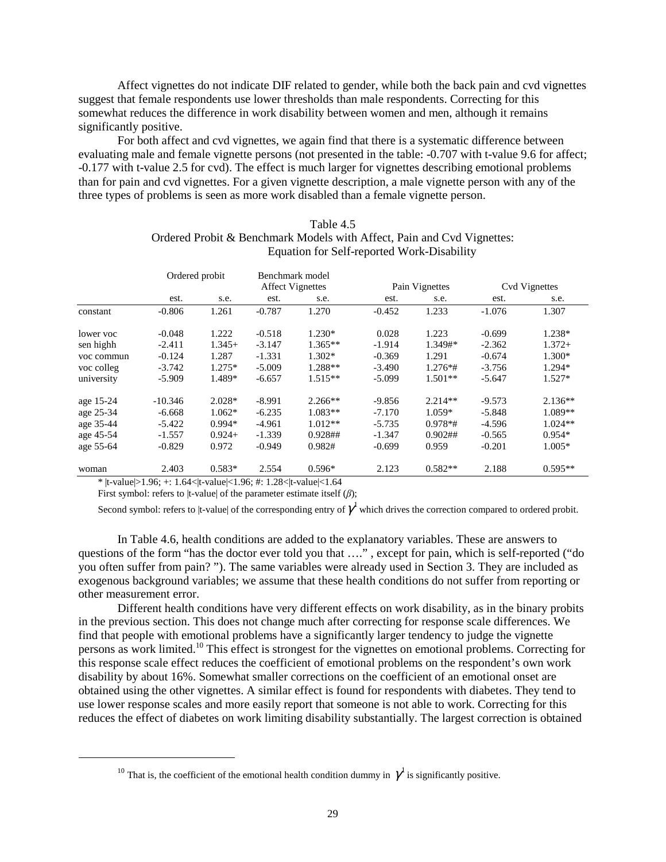Affect vignettes do not indicate DIF related to gender, while both the back pain and cvd vignettes suggest that female respondents use lower thresholds than male respondents. Correcting for this somewhat reduces the difference in work disability between women and men, although it remains significantly positive.

For both affect and cvd vignettes, we again find that there is a systematic difference between evaluating male and female vignette persons (not presented in the table: -0.707 with t-value 9.6 for affect; -0.177 with t-value 2.5 for cvd). The effect is much larger for vignettes describing emotional problems than for pain and cvd vignettes. For a given vignette description, a male vignette person with any of the three types of problems is seen as more work disabled than a female vignette person.

|            |           | Ordered probit | Benchmark model<br><b>Affect Vignettes</b> |            |          | Pain Vignettes |          | Cvd Vignettes |
|------------|-----------|----------------|--------------------------------------------|------------|----------|----------------|----------|---------------|
|            | est.      | s.e.           | est.                                       | s.e.       | est.     | s.e.           | est.     | s.e.          |
| constant   | $-0.806$  | 1.261          | $-0.787$                                   | 1.270      | $-0.452$ | 1.233          | $-1.076$ | 1.307         |
| lower voc  | $-0.048$  | 1.222          | $-0.518$                                   | 1.230*     | 0.028    | 1.223          | $-0.699$ | 1.238*        |
| sen highh  | $-2.411$  | $1.345+$       | $-3.147$                                   | $1.365**$  | $-1.914$ | 1.349#*        | $-2.362$ | $1.372+$      |
| voc commun | $-0.124$  | 1.287          | $-1.331$                                   | $1.302*$   | $-0.369$ | 1.291          | $-0.674$ | 1.300*        |
| voc colleg | $-3.742$  | $1.275*$       | $-5.009$                                   | 1.288**    | $-3.490$ | $1.276*$ #     | $-3.756$ | 1.294*        |
| university | $-5.909$  | 1.489*         | $-6.657$                                   | $1.515**$  | $-5.099$ | $1.501**$      | $-5.647$ | $1.527*$      |
| age 15-24  | $-10.346$ | $2.028*$       | $-8.991$                                   | $2.266**$  | $-9.856$ | $2.214**$      | $-9.573$ | $2.136**$     |
| age 25-34  | $-6.668$  | $1.062*$       | $-6.235$                                   | $1.083**$  | $-7.170$ | $1.059*$       | $-5.848$ | $1.089**$     |
| age 35-44  | $-5.422$  | $0.994*$       | $-4.961$                                   | $1.012**$  | $-5.735$ | $0.978**$      | $-4.596$ | $1.024**$     |
| age 45-54  | $-1.557$  | $0.924+$       | $-1.339$                                   | $0.928$ ## | $-1.347$ | $0.902$ ##     | $-0.565$ | $0.954*$      |
| age 55-64  | $-0.829$  | 0.972          | $-0.949$                                   | 0.982#     | $-0.699$ | 0.959          | $-0.201$ | $1.005*$      |
| woman      | 2.403     | $0.583*$       | 2.554                                      | $0.596*$   | 2.123    | $0.582**$      | 2.188    | $0.595**$     |

#### Table 4.5 Ordered Probit & Benchmark Models with Affect, Pain and Cvd Vignettes: Equation for Self-reported Work-Disability

\* |t-value|>1.96; +: 1.64<|t-value|<1.96; #: 1.28<|t-value|<1.64

First symbol: refers to |t-value| of the parameter estimate itself  $(\beta)$ ;

 $\overline{a}$ 

Second symbol: refers to |t-value| of the corresponding entry of  $\gamma^l$  which drives the correction compared to ordered probit.

In Table 4.6, health conditions are added to the explanatory variables. These are answers to questions of the form "has the doctor ever told you that …." , except for pain, which is self-reported ("do you often suffer from pain? "). The same variables were already used in Section 3. They are included as exogenous background variables; we assume that these health conditions do not suffer from reporting or other measurement error.

Different health conditions have very different effects on work disability, as in the binary probits in the previous section. This does not change much after correcting for response scale differences. We find that people with emotional problems have a significantly larger tendency to judge the vignette persons as work limited.<sup>10</sup> This effect is strongest for the vignettes on emotional problems. Correcting for this response scale effect reduces the coefficient of emotional problems on the respondent's own work disability by about 16%. Somewhat smaller corrections on the coefficient of an emotional onset are obtained using the other vignettes. A similar effect is found for respondents with diabetes. They tend to use lower response scales and more easily report that someone is not able to work. Correcting for this reduces the effect of diabetes on work limiting disability substantially. The largest correction is obtained

<sup>&</sup>lt;sup>10</sup> That is, the coefficient of the emotional health condition dummy in  $\gamma^l$  is significantly positive.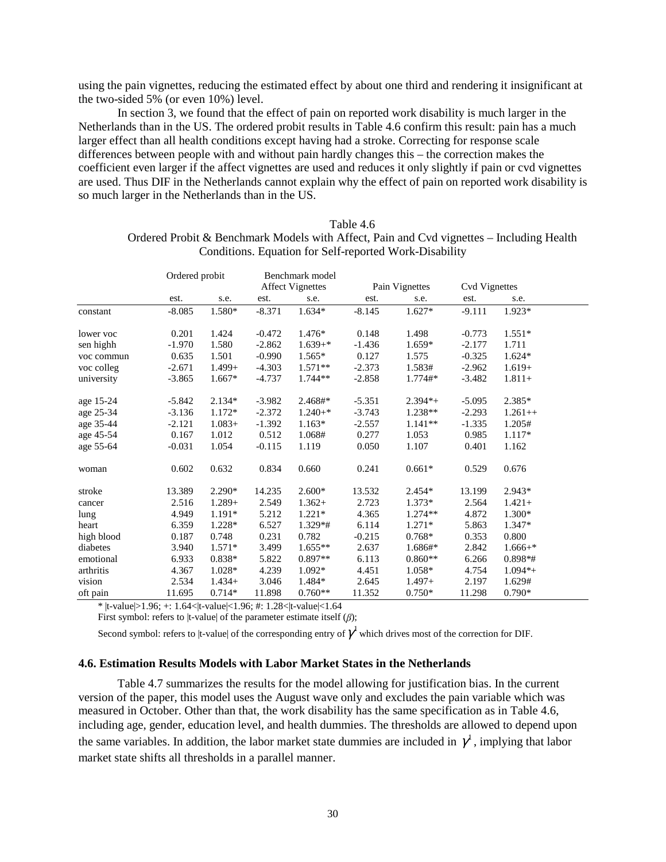using the pain vignettes, reducing the estimated effect by about one third and rendering it insignificant at the two-sided 5% (or even 10%) level.

In section 3, we found that the effect of pain on reported work disability is much larger in the Netherlands than in the US. The ordered probit results in Table 4.6 confirm this result: pain has a much larger effect than all health conditions except having had a stroke. Correcting for response scale differences between people with and without pain hardly changes this – the correction makes the coefficient even larger if the affect vignettes are used and reduces it only slightly if pain or cvd vignettes are used. Thus DIF in the Netherlands cannot explain why the effect of pain on reported work disability is so much larger in the Netherlands than in the US.

|            | Conditions. Equation for Self-reported work-Disability |          |          |                                            |          |                |          |               |  |
|------------|--------------------------------------------------------|----------|----------|--------------------------------------------|----------|----------------|----------|---------------|--|
|            | Ordered probit                                         |          |          | Benchmark model<br><b>Affect Vignettes</b> |          | Pain Vignettes |          | Cvd Vignettes |  |
|            | est.                                                   | s.e.     | est.     | s.e.                                       | est.     | s.e.           | est.     | s.e.          |  |
| constant   | $-8.085$                                               | 1.580*   | $-8.371$ | $1.634*$                                   | $-8.145$ | $1.627*$       | $-9.111$ | $1.923*$      |  |
| lower voc  | 0.201                                                  | 1.424    | $-0.472$ | $1.476*$                                   | 0.148    | 1.498          | $-0.773$ | $1.551*$      |  |
| sen highh  | $-1.970$                                               | 1.580    | $-2.862$ | $1.639+*$                                  | $-1.436$ | $1.659*$       | $-2.177$ | 1.711         |  |
| voc commun | 0.635                                                  | 1.501    | $-0.990$ | $1.565*$                                   | 0.127    | 1.575          | $-0.325$ | $1.624*$      |  |
| voc colleg | $-2.671$                                               | $1.499+$ | $-4.303$ | $1.571**$                                  | $-2.373$ | 1.583#         | $-2.962$ | $1.619+$      |  |
| university | $-3.865$                                               | $1.667*$ | $-4.737$ | $1.744**$                                  | $-2.858$ | $1.774#$ *     | $-3.482$ | $1.811+$      |  |
| age 15-24  | $-5.842$                                               | $2.134*$ | $-3.982$ | 2.468#*                                    | $-5.351$ | $2.394*+$      | $-5.095$ | 2.385*        |  |
| age 25-34  | $-3.136$                                               | $1.172*$ | $-2.372$ | $1.240+*$                                  | $-3.743$ | $1.238**$      | $-2.293$ | $1.261++$     |  |
| age 35-44  | $-2.121$                                               | $1.083+$ | $-1.392$ | $1.163*$                                   | $-2.557$ | $1.141**$      | $-1.335$ | 1.205#        |  |
| age 45-54  | 0.167                                                  | 1.012    | 0.512    | 1.068#                                     | 0.277    | 1.053          | 0.985    | $1.117*$      |  |
| age 55-64  | $-0.031$                                               | 1.054    | $-0.115$ | 1.119                                      | 0.050    | 1.107          | 0.401    | 1.162         |  |
| woman      | 0.602                                                  | 0.632    | 0.834    | 0.660                                      | 0.241    | $0.661*$       | 0.529    | 0.676         |  |
| stroke     | 13.389                                                 | $2.290*$ | 14.235   | $2.600*$                                   | 13.532   | $2.454*$       | 13.199   | $2.943*$      |  |
| cancer     | 2.516                                                  | $1.289+$ | 2.549    | $1.362+$                                   | 2.723    | $1.373*$       | 2.564    | $1.421+$      |  |
| lung       | 4.949                                                  | $1.191*$ | 5.212    | $1.221*$                                   | 4.365    | $1.274**$      | 4.872    | 1.300*        |  |
| heart      | 6.359                                                  | $1.228*$ | 6.527    | 1.329*#                                    | 6.114    | $1.271*$       | 5.863    | $1.347*$      |  |
| high blood | 0.187                                                  | 0.748    | 0.231    | 0.782                                      | $-0.215$ | $0.768*$       | 0.353    | 0.800         |  |
| diabetes   | 3.940                                                  | $1.571*$ | 3.499    | $1.655**$                                  | 2.637    | $1.686#$ *     | 2.842    | $1.666+$ *    |  |
| emotional  | 6.933                                                  | $0.838*$ | 5.822    | $0.897**$                                  | 6.113    | $0.860**$      | 6.266    | $0.898**$     |  |
| arthritis  | 4.367                                                  | 1.028*   | 4.239    | $1.092*$                                   | 4.451    | 1.058*         | 4.754    | $1.094*+$     |  |
| vision     | 2.534                                                  | $1.434+$ | 3.046    | 1.484*                                     | 2.645    | $1.497+$       | 2.197    | 1.629#        |  |
| oft pain   | 11.695                                                 | $0.714*$ | 11.898   | $0.760**$                                  | 11.352   | $0.750*$       | 11.298   | $0.790*$      |  |

| Table 4.6                                                                                |
|------------------------------------------------------------------------------------------|
| Ordered Probit & Benchmark Models with Affect, Pain and Cvd vignettes – Including Health |
| Conditions. Equation for Self-reported Work-Disability                                   |

\* |t-value|>1.96; +: 1.64<|t-value|<1.96; #: 1.28<|t-value|<1.64

First symbol: refers to |t-value| of the parameter estimate itself  $(\beta)$ ;

Second symbol: refers to |t-value| of the corresponding entry of  $\gamma^l$  which drives most of the correction for DIF.

#### **4.6. Estimation Results Models with Labor Market States in the Netherlands**

Table 4.7 summarizes the results for the model allowing for justification bias. In the current version of the paper, this model uses the August wave only and excludes the pain variable which was measured in October. Other than that, the work disability has the same specification as in Table 4.6, including age, gender, education level, and health dummies. The thresholds are allowed to depend upon the same variables. In addition, the labor market state dummies are included in  $\gamma^l$ , implying that labor market state shifts all thresholds in a parallel manner.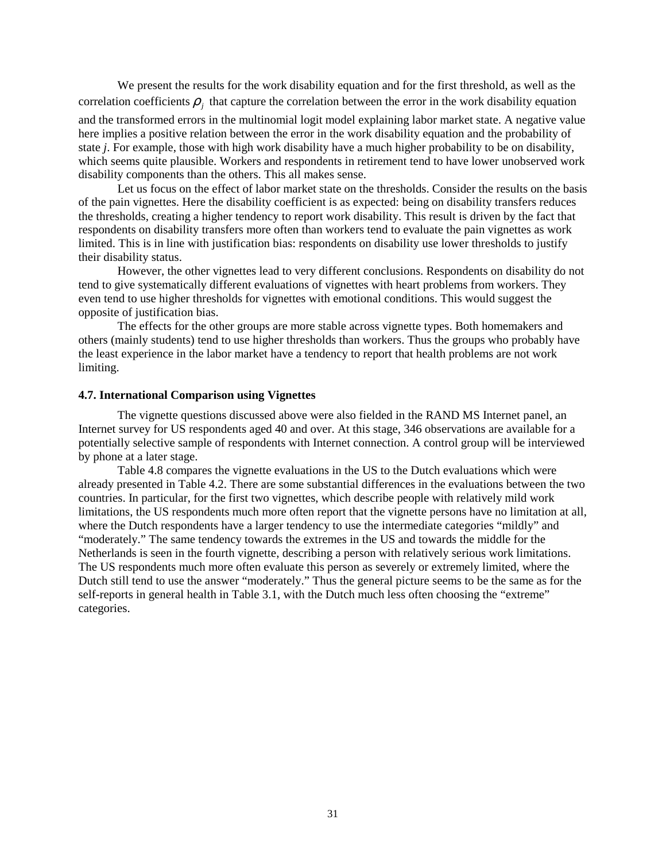We present the results for the work disability equation and for the first threshold, as well as the correlation coefficients  $\rho_j^*$  that capture the correlation between the error in the work disability equation and the transformed errors in the multinomial logit model explaining labor market state. A negative value here implies a positive relation between the error in the work disability equation and the probability of state *j*. For example, those with high work disability have a much higher probability to be on disability, which seems quite plausible. Workers and respondents in retirement tend to have lower unobserved work disability components than the others. This all makes sense.

Let us focus on the effect of labor market state on the thresholds. Consider the results on the basis of the pain vignettes. Here the disability coefficient is as expected: being on disability transfers reduces the thresholds, creating a higher tendency to report work disability. This result is driven by the fact that respondents on disability transfers more often than workers tend to evaluate the pain vignettes as work limited. This is in line with justification bias: respondents on disability use lower thresholds to justify their disability status.

However, the other vignettes lead to very different conclusions. Respondents on disability do not tend to give systematically different evaluations of vignettes with heart problems from workers. They even tend to use higher thresholds for vignettes with emotional conditions. This would suggest the opposite of justification bias.

The effects for the other groups are more stable across vignette types. Both homemakers and others (mainly students) tend to use higher thresholds than workers. Thus the groups who probably have the least experience in the labor market have a tendency to report that health problems are not work limiting.

#### **4.7. International Comparison using Vignettes**

The vignette questions discussed above were also fielded in the RAND MS Internet panel, an Internet survey for US respondents aged 40 and over. At this stage, 346 observations are available for a potentially selective sample of respondents with Internet connection. A control group will be interviewed by phone at a later stage.

Table 4.8 compares the vignette evaluations in the US to the Dutch evaluations which were already presented in Table 4.2. There are some substantial differences in the evaluations between the two countries. In particular, for the first two vignettes, which describe people with relatively mild work limitations, the US respondents much more often report that the vignette persons have no limitation at all, where the Dutch respondents have a larger tendency to use the intermediate categories "mildly" and "moderately." The same tendency towards the extremes in the US and towards the middle for the Netherlands is seen in the fourth vignette, describing a person with relatively serious work limitations. The US respondents much more often evaluate this person as severely or extremely limited, where the Dutch still tend to use the answer "moderately." Thus the general picture seems to be the same as for the self-reports in general health in Table 3.1, with the Dutch much less often choosing the "extreme" categories.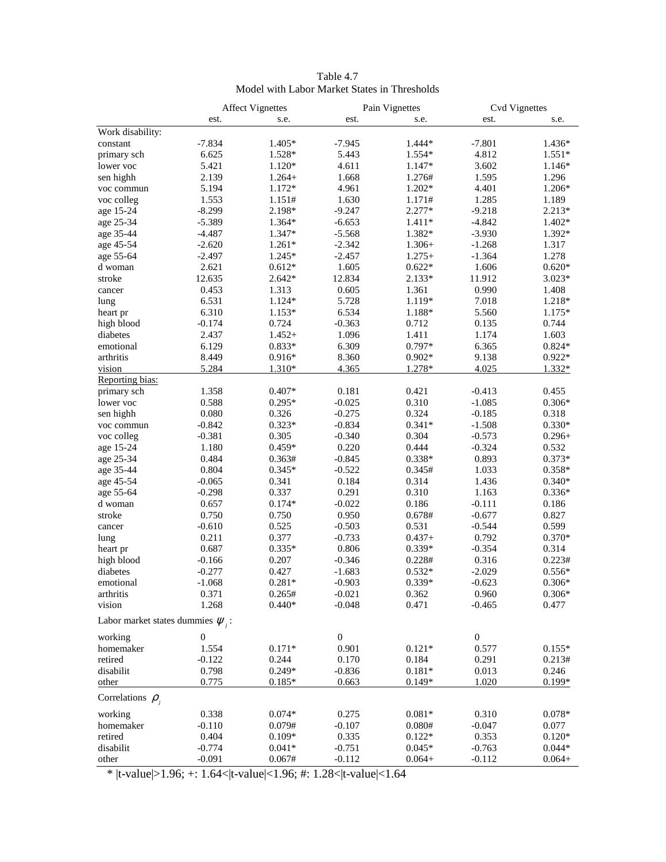|                                        |                  | <b>Affect Vignettes</b> | Pain Vignettes   |          | <b>Cvd Vignettes</b> |          |
|----------------------------------------|------------------|-------------------------|------------------|----------|----------------------|----------|
|                                        | est.             | s.e.                    | est.             | s.e.     | est.                 | s.e.     |
| Work disability:                       |                  |                         |                  |          |                      |          |
| constant                               | $-7.834$         | 1.405*                  | $-7.945$         | 1.444*   | $-7.801$             | 1.436*   |
| primary sch                            | 6.625            | 1.528*                  | 5.443            | 1.554*   | 4.812                | $1.551*$ |
| lower voc                              | 5.421            | $1.120*$                | 4.611            | 1.147*   | 3.602                | 1.146*   |
| sen highh                              | 2.139            | $1.264+$                | 1.668            | 1.276#   | 1.595                | 1.296    |
| voc commun                             | 5.194            | 1.172*                  | 4.961            | $1.202*$ | 4.401                | 1.206*   |
| voc colleg                             | 1.553            | 1.151#                  | 1.630            | 1.171#   | 1.285                | 1.189    |
| age 15-24                              | $-8.299$         | 2.198*                  | $-9.247$         | 2.277*   | $-9.218$             | 2.213*   |
| age 25-34                              | $-5.389$         | 1.364*                  | $-6.653$         | $1.411*$ | $-4.842$             | 1.402*   |
| age 35-44                              | $-4.487$         | 1.347*                  | $-5.568$         | 1.382*   | $-3.930$             | 1.392*   |
| age 45-54                              | $-2.620$         | $1.261*$                | $-2.342$         | $1.306+$ | $-1.268$             | 1.317    |
| age 55-64                              | $-2.497$         | 1.245*                  | $-2.457$         | $1.275+$ | $-1.364$             | 1.278    |
| d woman                                | 2.621            | $0.612*$                | 1.605            | $0.622*$ | 1.606                | $0.620*$ |
| stroke                                 | 12.635           | $2.642*$                | 12.834           | 2.133*   | 11.912               | $3.023*$ |
| cancer                                 | 0.453            | 1.313                   | 0.605            | 1.361    | 0.990                | 1.408    |
| lung                                   | 6.531            | 1.124*                  | 5.728            | 1.119*   | 7.018                | 1.218*   |
| heart pr                               | 6.310            | 1.153*                  | 6.534            | 1.188*   | 5.560                | 1.175*   |
| high blood                             | $-0.174$         | 0.724                   | $-0.363$         | 0.712    | 0.135                | 0.744    |
| diabetes                               | 2.437            | $1.452+$                | 1.096            | 1.411    | 1.174                | 1.603    |
| emotional                              | 6.129            | $0.833*$                | 6.309            | $0.797*$ | 6.365                | $0.824*$ |
| arthritis                              | 8.449            | $0.916*$                | 8.360            | $0.902*$ | 9.138                | $0.922*$ |
| vision                                 | 5.284            | 1.310*                  | 4.365            | 1.278*   | 4.025                | 1.332*   |
| Reporting bias:                        |                  |                         |                  |          |                      |          |
| primary sch                            | 1.358            | $0.407*$                | 0.181            | 0.421    | $-0.413$             | 0.455    |
| lower voc                              | 0.588            | $0.295*$                | $-0.025$         | 0.310    | $-1.085$             | $0.306*$ |
| sen highh                              | 0.080            | 0.326                   | $-0.275$         | 0.324    | $-0.185$             | 0.318    |
| voc commun                             | $-0.842$         | $0.323*$                | $-0.834$         | $0.341*$ | $-1.508$             | $0.330*$ |
| voc colleg                             | $-0.381$         | 0.305                   | $-0.340$         | 0.304    | $-0.573$             | $0.296+$ |
| age 15-24                              | 1.180            | $0.459*$                | 0.220            | 0.444    | $-0.324$             | 0.532    |
| age 25-34                              | 0.484            | 0.363#                  | $-0.845$         | 0.338*   | 0.893                | $0.373*$ |
| age 35-44                              | 0.804            | $0.345*$                | $-0.522$         | 0.345#   | 1.033                | $0.358*$ |
| age 45-54                              | $-0.065$         | 0.341                   | 0.184            | 0.314    | 1.436                | $0.340*$ |
| age 55-64                              | $-0.298$         | 0.337                   | 0.291            | 0.310    | 1.163                | $0.336*$ |
| d woman                                | 0.657            | $0.174*$                | $-0.022$         | 0.186    | $-0.111$             | 0.186    |
| stroke                                 | 0.750            | 0.750                   | 0.950            | 0.678#   | $-0.677$             | 0.827    |
| cancer                                 | $-0.610$         | 0.525                   | $-0.503$         | 0.531    | $-0.544$             | 0.599    |
| lung                                   | 0.211            | 0.377                   | $-0.733$         | $0.437+$ | 0.792                | $0.370*$ |
| heart pr                               | 0.687            | $0.335*$                | 0.806            | $0.339*$ | $-0.354$             | 0.314    |
| high blood                             | $-0.166$         | 0.207                   | $-0.346$         | 0.228#   | 0.316                | 0.223#   |
| diabetes                               | $-0.277$         | 0.427                   | $-1.683$         | $0.532*$ | $-2.029$             | $0.556*$ |
| emotional                              | $-1.068$         | $0.281*$                | $-0.903$         | $0.339*$ | $-0.623$             | $0.306*$ |
| arthritis                              | 0.371            | 0.265#                  | $-0.021$         | 0.362    | 0.960                | $0.306*$ |
| vision                                 | 1.268            | $0.440*$                | $-0.048$         | 0.471    | $-0.465$             | 0.477    |
| Labor market states dummies $\psi_i$ : |                  |                         |                  |          |                      |          |
| working                                | $\boldsymbol{0}$ |                         | $\boldsymbol{0}$ |          | $\boldsymbol{0}$     |          |
| homemaker                              | 1.554            | $0.171*$                | 0.901            | $0.121*$ | 0.577                | $0.155*$ |
| retired                                | $-0.122$         | 0.244                   | 0.170            | 0.184    | 0.291                | 0.213#   |
| disabilit                              | 0.798            | $0.249*$                | $-0.836$         | $0.181*$ | 0.013                | 0.246    |
| other                                  | 0.775            | $0.185*$                | 0.663            | $0.149*$ | 1.020                | 0.199*   |
| Correlations $\rho_i$                  |                  |                         |                  |          |                      |          |
| working                                | 0.338            | $0.074*$                | 0.275            | $0.081*$ | 0.310                | $0.078*$ |
| homemaker                              | $-0.110$         | 0.079#                  | $-0.107$         | 0.080#   | $-0.047$             | 0.077    |
| retired                                | 0.404            | $0.109*$                | 0.335            | $0.122*$ | 0.353                | $0.120*$ |
| disabilit                              | $-0.774$         | $0.041*$                | $-0.751$         | $0.045*$ | $-0.763$             | $0.044*$ |

other -0.091 0.067# -0.112 0.064+ -0.112 0.064+

| Table 4.7                                    |  |
|----------------------------------------------|--|
| Model with Labor Market States in Thresholds |  |

\* |t-value|>1.96; +: 1.64<|t-value|<1.96; #: 1.28<|t-value|<1.64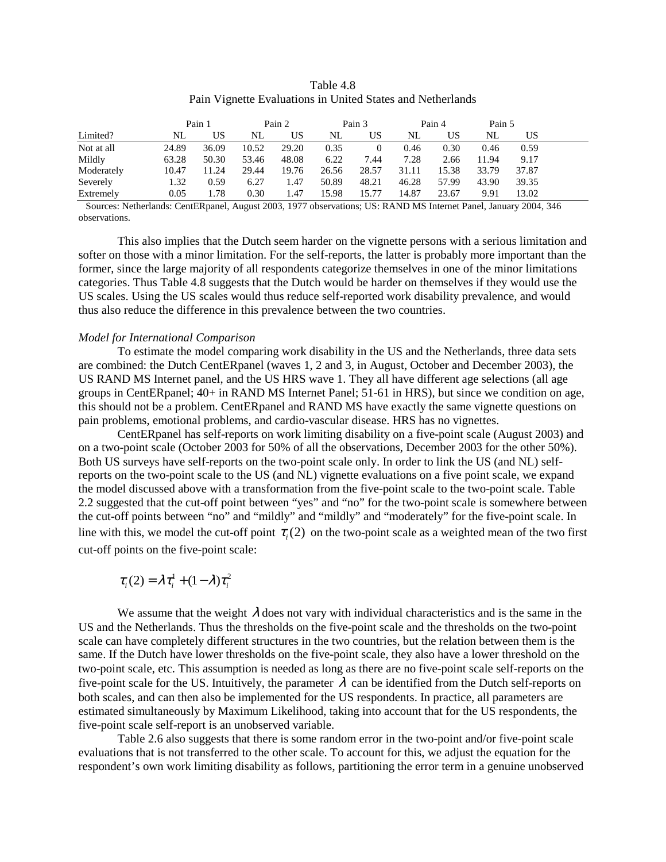#### Table 4.8 Pain Vignette Evaluations in United States and Netherlands

|            |       | Pain 1 |       | Pain 2 |       | Pain 3   |       | Pain 4 | Pain 5 |       |
|------------|-------|--------|-------|--------|-------|----------|-------|--------|--------|-------|
| Limited?   | NL    | US     | NL    | US     | NL    | US       | NL    | US     | NL     | US    |
| Not at all | 24.89 | 36.09  | 10.52 | 29.20  | 0.35  | $\theta$ | 0.46  | 0.30   | 0.46   | 0.59  |
| Mildly     | 63.28 | 50.30  | 53.46 | 48.08  | 6.22  | 7.44     | 7.28  | 2.66   | 11.94  | 9.17  |
| Moderately | 10.47 | 11.24  | 29.44 | 19.76  | 26.56 | 28.57    | 31.11 | 15.38  | 33.79  | 37.87 |
| Severely   | 1.32  | 0.59   | 6.27  | 1.47   | 50.89 | 48.21    | 46.28 | 57.99  | 43.90  | 39.35 |
| Extremely  | 0.05  | 1.78   | 0.30  | 1.47   | 15.98 | 15.77    | 14.87 | 23.67  | 9.91   | 13.02 |

Sources: Netherlands: CentERpanel, August 2003, 1977 observations; US: RAND MS Internet Panel, January 2004, 346 observations.

This also implies that the Dutch seem harder on the vignette persons with a serious limitation and softer on those with a minor limitation. For the self-reports, the latter is probably more important than the former, since the large majority of all respondents categorize themselves in one of the minor limitations categories. Thus Table 4.8 suggests that the Dutch would be harder on themselves if they would use the US scales. Using the US scales would thus reduce self-reported work disability prevalence, and would thus also reduce the difference in this prevalence between the two countries.

#### *Model for International Comparison*

To estimate the model comparing work disability in the US and the Netherlands, three data sets are combined: the Dutch CentERpanel (waves 1, 2 and 3, in August, October and December 2003), the US RAND MS Internet panel, and the US HRS wave 1. They all have different age selections (all age groups in CentERpanel; 40+ in RAND MS Internet Panel; 51-61 in HRS), but since we condition on age, this should not be a problem. CentERpanel and RAND MS have exactly the same vignette questions on pain problems, emotional problems, and cardio-vascular disease. HRS has no vignettes.

CentERpanel has self-reports on work limiting disability on a five-point scale (August 2003) and on a two-point scale (October 2003 for 50% of all the observations, December 2003 for the other 50%). Both US surveys have self-reports on the two-point scale only. In order to link the US (and NL) selfreports on the two-point scale to the US (and NL) vignette evaluations on a five point scale, we expand the model discussed above with a transformation from the five-point scale to the two-point scale. Table 2.2 suggested that the cut-off point between "yes" and "no" for the two-point scale is somewhere between the cut-off points between "no" and "mildly" and "mildly" and "moderately" for the five-point scale. In line with this, we model the cut-off point  $\tau_i(2)$  on the two-point scale as a weighted mean of the two first cut-off points on the five-point scale:

 $\tau_i(2) = \lambda \tau_i^1 + (1 - \lambda) \tau_i^2$ 

We assume that the weight  $\lambda$  does not vary with individual characteristics and is the same in the US and the Netherlands. Thus the thresholds on the five-point scale and the thresholds on the two-point scale can have completely different structures in the two countries, but the relation between them is the same. If the Dutch have lower thresholds on the five-point scale, they also have a lower threshold on the two-point scale, etc. This assumption is needed as long as there are no five-point scale self-reports on the five-point scale for the US. Intuitively, the parameter  $\lambda$  can be identified from the Dutch self-reports on both scales, and can then also be implemented for the US respondents. In practice, all parameters are estimated simultaneously by Maximum Likelihood, taking into account that for the US respondents, the five-point scale self-report is an unobserved variable.

Table 2.6 also suggests that there is some random error in the two-point and/or five-point scale evaluations that is not transferred to the other scale. To account for this, we adjust the equation for the respondent's own work limiting disability as follows, partitioning the error term in a genuine unobserved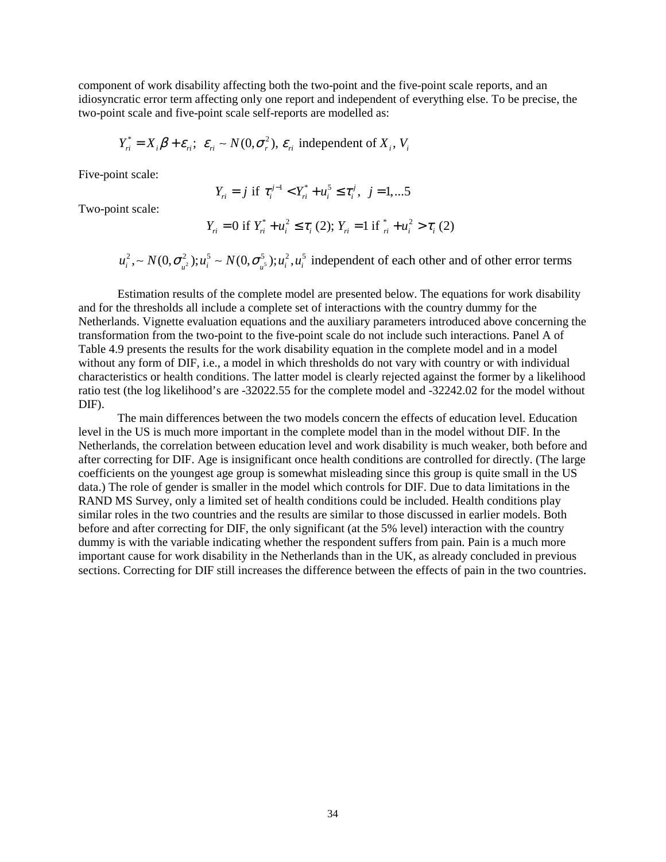component of work disability affecting both the two-point and the five-point scale reports, and an idiosyncratic error term affecting only one report and independent of everything else. To be precise, the two-point scale and five-point scale self-reports are modelled as:

$$
Y_{ni}^* = X_i \beta + \varepsilon_{ni}; \varepsilon_{ni} \sim N(0, \sigma_r^2), \varepsilon_{ni}
$$
 independent of  $X_i, V_i$ 

Five-point scale:

$$
Y_{ri} = j \text{ if } \tau_i^{j-1} < Y_{ri}^* + u_i^5 \le \tau_i^j, \ \ j = 1, \dots 5
$$

Two-point scale:

$$
Y_{ri} = 0 \text{ if } Y_{ri}^* + u_i^2 \le \tau_i(2); Y_{ri} = 1 \text{ if } \t_{ri}^* + u_i^2 > \tau_i(2)
$$

$$
u_i^2
$$
, ~  $N(0, \sigma_{u^2}^2)$ ;  $u_i^5$  ~  $N(0, \sigma_{u^5}^5)$ ;  $u_i^2$ ,  $u_i^5$  independent of each other and of other error terms

Estimation results of the complete model are presented below. The equations for work disability and for the thresholds all include a complete set of interactions with the country dummy for the Netherlands. Vignette evaluation equations and the auxiliary parameters introduced above concerning the transformation from the two-point to the five-point scale do not include such interactions. Panel A of Table 4.9 presents the results for the work disability equation in the complete model and in a model without any form of DIF, i.e., a model in which thresholds do not vary with country or with individual characteristics or health conditions. The latter model is clearly rejected against the former by a likelihood ratio test (the log likelihood's are -32022.55 for the complete model and -32242.02 for the model without DIF).

The main differences between the two models concern the effects of education level. Education level in the US is much more important in the complete model than in the model without DIF. In the Netherlands, the correlation between education level and work disability is much weaker, both before and after correcting for DIF. Age is insignificant once health conditions are controlled for directly. (The large coefficients on the youngest age group is somewhat misleading since this group is quite small in the US data.) The role of gender is smaller in the model which controls for DIF. Due to data limitations in the RAND MS Survey, only a limited set of health conditions could be included. Health conditions play similar roles in the two countries and the results are similar to those discussed in earlier models. Both before and after correcting for DIF, the only significant (at the 5% level) interaction with the country dummy is with the variable indicating whether the respondent suffers from pain. Pain is a much more important cause for work disability in the Netherlands than in the UK, as already concluded in previous sections. Correcting for DIF still increases the difference between the effects of pain in the two countries.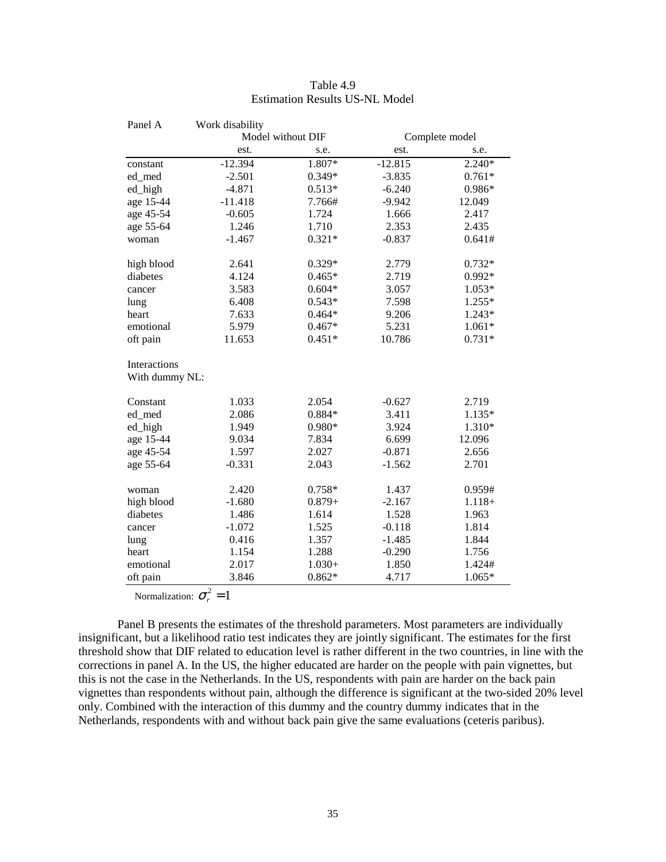| Panel A        | Work disability |                   |                |          |  |  |  |  |
|----------------|-----------------|-------------------|----------------|----------|--|--|--|--|
|                |                 | Model without DIF | Complete model |          |  |  |  |  |
|                | est.            | s.e.              | est.           | s.e.     |  |  |  |  |
| constant       | $-12.394$       | 1.807*            | $-12.815$      | 2.240*   |  |  |  |  |
| ed_med         | $-2.501$        | $0.349*$          | $-3.835$       | $0.761*$ |  |  |  |  |
| ed_high        | $-4.871$        | $0.513*$          | $-6.240$       | 0.986*   |  |  |  |  |
| age 15-44      | $-11.418$       | 7.766#            | $-9.942$       | 12.049   |  |  |  |  |
| age 45-54      | $-0.605$        | 1.724             | 1.666          | 2.417    |  |  |  |  |
| age 55-64      | 1.246           | 1.710             | 2.353          | 2.435    |  |  |  |  |
| woman          | $-1.467$        | $0.321*$          | $-0.837$       | 0.641#   |  |  |  |  |
| high blood     | 2.641           | $0.329*$          | 2.779          | $0.732*$ |  |  |  |  |
| diabetes       | 4.124           | $0.465*$          | 2.719          | 0.992*   |  |  |  |  |
| cancer         | 3.583           | $0.604*$          | 3.057          | 1.053*   |  |  |  |  |
| lung           | 6.408           | $0.543*$          | 7.598          | $1.255*$ |  |  |  |  |
| heart          | 7.633           | $0.464*$          | 9.206          | 1.243*   |  |  |  |  |
| emotional      | 5.979           | $0.467*$          | 5.231          | $1.061*$ |  |  |  |  |
| oft pain       | 11.653          | $0.451*$          | 10.786         | $0.731*$ |  |  |  |  |
| Interactions   |                 |                   |                |          |  |  |  |  |
| With dummy NL: |                 |                   |                |          |  |  |  |  |
| Constant       | 1.033           | 2.054             | $-0.627$       | 2.719    |  |  |  |  |
| ed_med         | 2.086           | $0.884*$          | 3.411          | 1.135*   |  |  |  |  |
| ed_high        | 1.949           | $0.980*$          | 3.924          | 1.310*   |  |  |  |  |
| age 15-44      | 9.034           | 7.834             | 6.699          | 12.096   |  |  |  |  |
| age 45-54      | 1.597           | 2.027             | $-0.871$       | 2.656    |  |  |  |  |
| age 55-64      | $-0.331$        | 2.043             | $-1.562$       | 2.701    |  |  |  |  |
| woman          | 2.420           | $0.758*$          | 1.437          | 0.959#   |  |  |  |  |
| high blood     | $-1.680$        | $0.879+$          | $-2.167$       | $1.118+$ |  |  |  |  |
| diabetes       | 1.486           | 1.614             | 1.528          | 1.963    |  |  |  |  |
| cancer         | $-1.072$        | 1.525             | $-0.118$       | 1.814    |  |  |  |  |
| lung           | 0.416           | 1.357             | $-1.485$       | 1.844    |  |  |  |  |
| heart          | 1.154           | 1.288             | $-0.290$       | 1.756    |  |  |  |  |
| emotional      | 2.017           | $1.030+$          | 1.850          | 1.424#   |  |  |  |  |
| oft pain       | 3.846           | $0.862*$          | 4.717          | 1.065*   |  |  |  |  |

#### Table 4.9 Estimation Results US-NL Model

Normalization:  $\sigma_r^2 = 1$ 

Panel B presents the estimates of the threshold parameters. Most parameters are individually insignificant, but a likelihood ratio test indicates they are jointly significant. The estimates for the first threshold show that DIF related to education level is rather different in the two countries, in line with the corrections in panel A. In the US, the higher educated are harder on the people with pain vignettes, but this is not the case in the Netherlands. In the US, respondents with pain are harder on the back pain vignettes than respondents without pain, although the difference is significant at the two-sided 20% level only. Combined with the interaction of this dummy and the country dummy indicates that in the Netherlands, respondents with and without back pain give the same evaluations (ceteris paribus).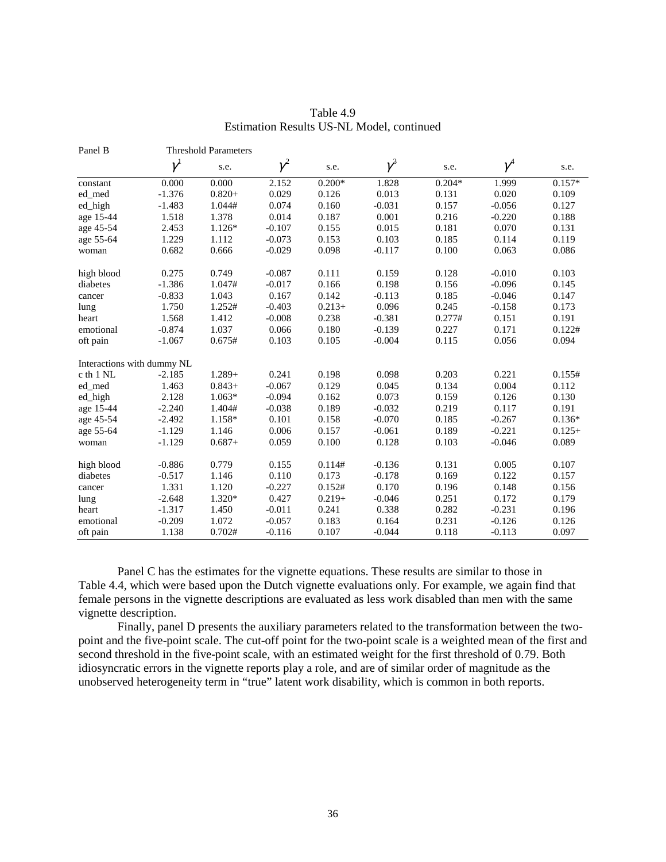| Panel B                    |            | <b>Threshold Parameters</b> |            |          |            |          |            |          |
|----------------------------|------------|-----------------------------|------------|----------|------------|----------|------------|----------|
|                            | $\gamma^1$ | s.e.                        | $\gamma^2$ | s.e.     | $\gamma^3$ | s.e.     | $\gamma^4$ | s.e.     |
| constant                   | 0.000      | 0.000                       | 2.152      | $0.200*$ | 1.828      | $0.204*$ | 1.999      | $0.157*$ |
| ed med                     | $-1.376$   | $0.820+$                    | 0.029      | 0.126    | 0.013      | 0.131    | 0.020      | 0.109    |
| ed_high                    | $-1.483$   | 1.044#                      | 0.074      | 0.160    | $-0.031$   | 0.157    | $-0.056$   | 0.127    |
| age 15-44                  | 1.518      | 1.378                       | 0.014      | 0.187    | 0.001      | 0.216    | $-0.220$   | 0.188    |
| age 45-54                  | 2.453      | 1.126*                      | $-0.107$   | 0.155    | 0.015      | 0.181    | 0.070      | 0.131    |
| age 55-64                  | 1.229      | 1.112                       | $-0.073$   | 0.153    | 0.103      | 0.185    | 0.114      | 0.119    |
| woman                      | 0.682      | 0.666                       | $-0.029$   | 0.098    | $-0.117$   | 0.100    | 0.063      | 0.086    |
| high blood                 | 0.275      | 0.749                       | $-0.087$   | 0.111    | 0.159      | 0.128    | $-0.010$   | 0.103    |
| diabetes                   | $-1.386$   | 1.047#                      | $-0.017$   | 0.166    | 0.198      | 0.156    | $-0.096$   | 0.145    |
| cancer                     | $-0.833$   | 1.043                       | 0.167      | 0.142    | $-0.113$   | 0.185    | $-0.046$   | 0.147    |
| lung                       | 1.750      | 1.252#                      | $-0.403$   | $0.213+$ | 0.096      | 0.245    | $-0.158$   | 0.173    |
| heart                      | 1.568      | 1.412                       | $-0.008$   | 0.238    | $-0.381$   | 0.277#   | 0.151      | 0.191    |
| emotional                  | $-0.874$   | 1.037                       | 0.066      | 0.180    | $-0.139$   | 0.227    | 0.171      | 0.122#   |
| oft pain                   | $-1.067$   | 0.675#                      | 0.103      | 0.105    | $-0.004$   | 0.115    | 0.056      | 0.094    |
| Interactions with dummy NL |            |                             |            |          |            |          |            |          |
| c th 1 NL                  | $-2.185$   | $1.289+$                    | 0.241      | 0.198    | 0.098      | 0.203    | 0.221      | 0.155#   |
| ed med                     | 1.463      | $0.843+$                    | $-0.067$   | 0.129    | 0.045      | 0.134    | 0.004      | 0.112    |
| ed_high                    | 2.128      | 1.063*                      | $-0.094$   | 0.162    | 0.073      | 0.159    | 0.126      | 0.130    |
| age 15-44                  | $-2.240$   | 1.404#                      | $-0.038$   | 0.189    | $-0.032$   | 0.219    | 0.117      | 0.191    |
| age 45-54                  | $-2.492$   | 1.158*                      | 0.101      | 0.158    | $-0.070$   | 0.185    | $-0.267$   | $0.136*$ |
| age 55-64                  | $-1.129$   | 1.146                       | 0.006      | 0.157    | $-0.061$   | 0.189    | $-0.221$   | $0.125+$ |
| woman                      | $-1.129$   | $0.687+$                    | 0.059      | 0.100    | 0.128      | 0.103    | $-0.046$   | 0.089    |
| high blood                 | $-0.886$   | 0.779                       | 0.155      | 0.114#   | $-0.136$   | 0.131    | 0.005      | 0.107    |
| diabetes                   | $-0.517$   | 1.146                       | 0.110      | 0.173    | $-0.178$   | 0.169    | 0.122      | 0.157    |
| cancer                     | 1.331      | 1.120                       | $-0.227$   | 0.152#   | 0.170      | 0.196    | 0.148      | 0.156    |
| lung                       | $-2.648$   | 1.320*                      | 0.427      | $0.219+$ | $-0.046$   | 0.251    | 0.172      | 0.179    |
| heart                      | $-1.317$   | 1.450                       | $-0.011$   | 0.241    | 0.338      | 0.282    | $-0.231$   | 0.196    |
| emotional                  | $-0.209$   | 1.072                       | $-0.057$   | 0.183    | 0.164      | 0.231    | $-0.126$   | 0.126    |
| oft pain                   | 1.138      | 0.702#                      | $-0.116$   | 0.107    | $-0.044$   | 0.118    | $-0.113$   | 0.097    |

#### Table 4.9 Estimation Results US-NL Model, continued

Panel C has the estimates for the vignette equations. These results are similar to those in Table 4.4, which were based upon the Dutch vignette evaluations only. For example, we again find that female persons in the vignette descriptions are evaluated as less work disabled than men with the same vignette description.

Finally, panel D presents the auxiliary parameters related to the transformation between the twopoint and the five-point scale. The cut-off point for the two-point scale is a weighted mean of the first and second threshold in the five-point scale, with an estimated weight for the first threshold of 0.79. Both idiosyncratic errors in the vignette reports play a role, and are of similar order of magnitude as the unobserved heterogeneity term in "true" latent work disability, which is common in both reports.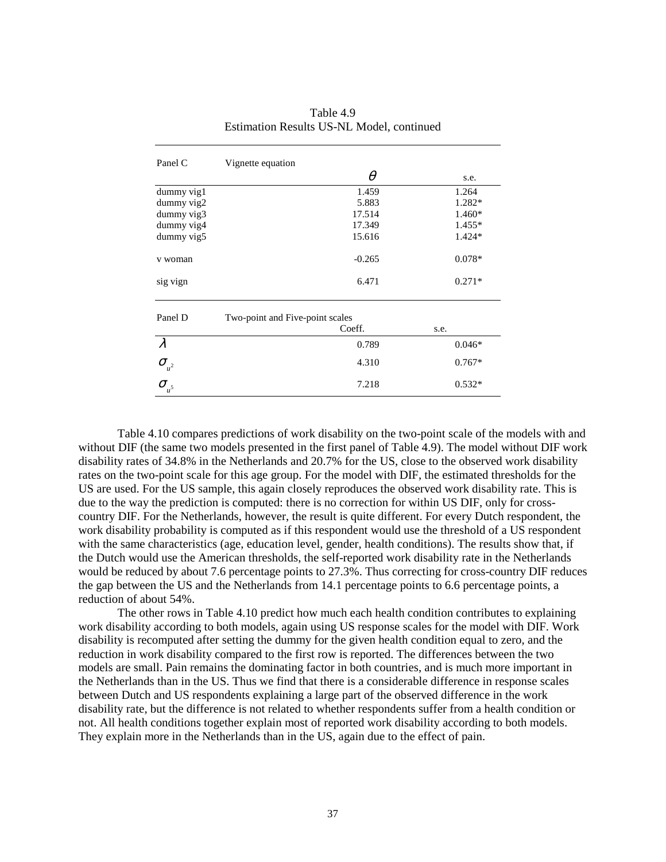| Panel C        | Vignette equation               |          |          |
|----------------|---------------------------------|----------|----------|
|                |                                 | $\theta$ | s.e.     |
| dummy vig1     |                                 | 1.459    | 1.264    |
| dummy vig2     |                                 | 5.883    | 1.282*   |
| dummy vig3     |                                 | 17.514   | $1.460*$ |
| dummy vig4     |                                 | 17.349   | $1.455*$ |
| dummy vig5     |                                 | 15.616   | 1.424*   |
| v woman        |                                 | $-0.265$ | $0.078*$ |
| sig vign       |                                 | 6.471    | $0.271*$ |
| Panel D        | Two-point and Five-point scales |          |          |
|                |                                 | Coeff.   | s.e.     |
| $\lambda$      |                                 | 0.789    | $0.046*$ |
| $\sigma_{u^2}$ |                                 | 4.310    | $0.767*$ |
| $\sigma_{u^5}$ |                                 | 7.218    | $0.532*$ |

Table 4.9 Estimation Results US-NL Model, continued

Table 4.10 compares predictions of work disability on the two-point scale of the models with and without DIF (the same two models presented in the first panel of Table 4.9). The model without DIF work disability rates of 34.8% in the Netherlands and 20.7% for the US, close to the observed work disability rates on the two-point scale for this age group. For the model with DIF, the estimated thresholds for the US are used. For the US sample, this again closely reproduces the observed work disability rate. This is due to the way the prediction is computed: there is no correction for within US DIF, only for crosscountry DIF. For the Netherlands, however, the result is quite different. For every Dutch respondent, the work disability probability is computed as if this respondent would use the threshold of a US respondent with the same characteristics (age, education level, gender, health conditions). The results show that, if the Dutch would use the American thresholds, the self-reported work disability rate in the Netherlands would be reduced by about 7.6 percentage points to 27.3%. Thus correcting for cross-country DIF reduces the gap between the US and the Netherlands from 14.1 percentage points to 6.6 percentage points, a reduction of about 54%.

The other rows in Table 4.10 predict how much each health condition contributes to explaining work disability according to both models, again using US response scales for the model with DIF. Work disability is recomputed after setting the dummy for the given health condition equal to zero, and the reduction in work disability compared to the first row is reported. The differences between the two models are small. Pain remains the dominating factor in both countries, and is much more important in the Netherlands than in the US. Thus we find that there is a considerable difference in response scales between Dutch and US respondents explaining a large part of the observed difference in the work disability rate, but the difference is not related to whether respondents suffer from a health condition or not. All health conditions together explain most of reported work disability according to both models. They explain more in the Netherlands than in the US, again due to the effect of pain.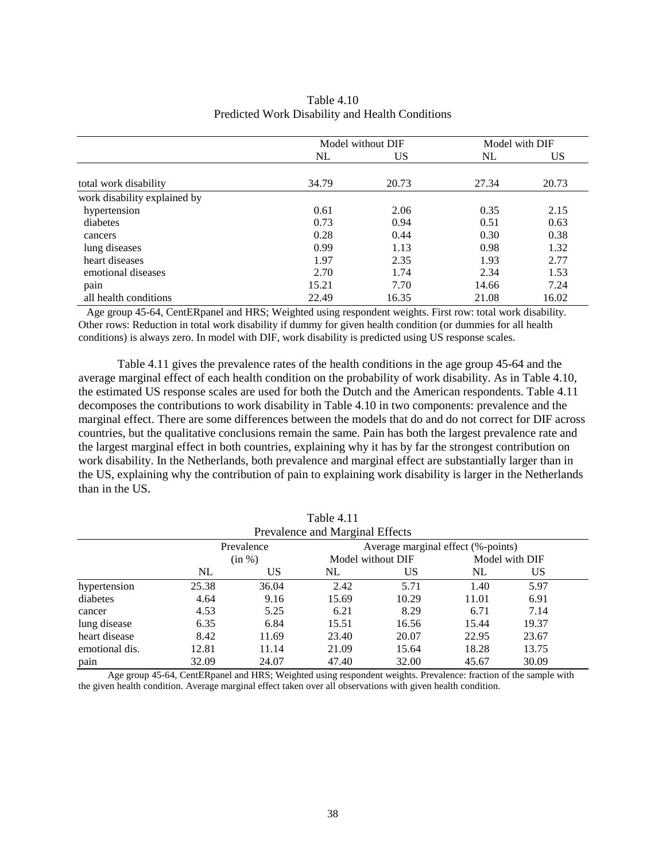|                              | Model without DIF |       | Model with DIF |       |
|------------------------------|-------------------|-------|----------------|-------|
|                              | NL                | US    | NL             | US.   |
|                              |                   |       |                |       |
| total work disability        | 34.79             | 20.73 | 27.34          | 20.73 |
| work disability explained by |                   |       |                |       |
| hypertension                 | 0.61              | 2.06  | 0.35           | 2.15  |
| diabetes                     | 0.73              | 0.94  | 0.51           | 0.63  |
| cancers                      | 0.28              | 0.44  | 0.30           | 0.38  |
| lung diseases                | 0.99              | 1.13  | 0.98           | 1.32  |
| heart diseases               | 1.97              | 2.35  | 1.93           | 2.77  |
| emotional diseases           | 2.70              | 1.74  | 2.34           | 1.53  |
| pain                         | 15.21             | 7.70  | 14.66          | 7.24  |
| all health conditions        | 22.49             | 16.35 | 21.08          | 16.02 |

#### Table 4.10 Predicted Work Disability and Health Conditions

Age group 45-64, CentERpanel and HRS; Weighted using respondent weights. First row: total work disability. Other rows: Reduction in total work disability if dummy for given health condition (or dummies for all health conditions) is always zero. In model with DIF, work disability is predicted using US response scales.

Table 4.11 gives the prevalence rates of the health conditions in the age group 45-64 and the average marginal effect of each health condition on the probability of work disability. As in Table 4.10, the estimated US response scales are used for both the Dutch and the American respondents. Table 4.11 decomposes the contributions to work disability in Table 4.10 in two components: prevalence and the marginal effect. There are some differences between the models that do and do not correct for DIF across countries, but the qualitative conclusions remain the same. Pain has both the largest prevalence rate and the largest marginal effect in both countries, explaining why it has by far the strongest contribution on work disability. In the Netherlands, both prevalence and marginal effect are substantially larger than in the US, explaining why the contribution of pain to explaining work disability is larger in the Netherlands than in the US.

|                |        |            | Prevalence and Marginal Effects    |       |                |       |  |
|----------------|--------|------------|------------------------------------|-------|----------------|-------|--|
|                |        | Prevalence | Average marginal effect (%-points) |       |                |       |  |
|                | (in %) |            | Model without DIF                  |       | Model with DIF |       |  |
|                | NL     | US         | NL                                 | US    | NL             | US    |  |
| hypertension   | 25.38  | 36.04      | 2.42                               | 5.71  | 1.40           | 5.97  |  |
| diabetes       | 4.64   | 9.16       | 15.69                              | 10.29 | 11.01          | 6.91  |  |
| cancer         | 4.53   | 5.25       | 6.21                               | 8.29  | 6.71           | 7.14  |  |
| lung disease   | 6.35   | 6.84       | 15.51                              | 16.56 | 15.44          | 19.37 |  |
| heart disease  | 8.42   | 11.69      | 23.40                              | 20.07 | 22.95          | 23.67 |  |
| emotional dis. | 12.81  | 11.14      | 21.09                              | 15.64 | 18.28          | 13.75 |  |
| pain           | 32.09  | 24.07      | 47.40                              | 32.00 | 45.67          | 30.09 |  |

Table 4.11

Age group 45-64, CentERpanel and HRS; Weighted using respondent weights. Prevalence: fraction of the sample with the given health condition. Average marginal effect taken over all observations with given health condition.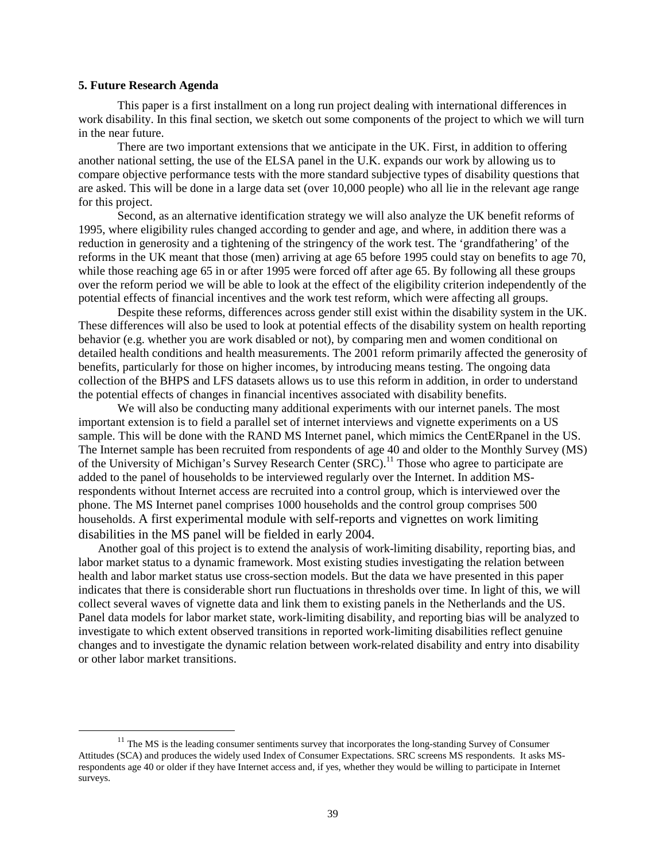#### **5. Future Research Agenda**

 $\overline{a}$ 

This paper is a first installment on a long run project dealing with international differences in work disability. In this final section, we sketch out some components of the project to which we will turn in the near future.

There are two important extensions that we anticipate in the UK. First, in addition to offering another national setting, the use of the ELSA panel in the U.K. expands our work by allowing us to compare objective performance tests with the more standard subjective types of disability questions that are asked. This will be done in a large data set (over 10,000 people) who all lie in the relevant age range for this project.

Second, as an alternative identification strategy we will also analyze the UK benefit reforms of 1995, where eligibility rules changed according to gender and age, and where, in addition there was a reduction in generosity and a tightening of the stringency of the work test. The 'grandfathering' of the reforms in the UK meant that those (men) arriving at age 65 before 1995 could stay on benefits to age 70, while those reaching age 65 in or after 1995 were forced off after age 65. By following all these groups over the reform period we will be able to look at the effect of the eligibility criterion independently of the potential effects of financial incentives and the work test reform, which were affecting all groups.

Despite these reforms, differences across gender still exist within the disability system in the UK. These differences will also be used to look at potential effects of the disability system on health reporting behavior (e.g. whether you are work disabled or not), by comparing men and women conditional on detailed health conditions and health measurements. The 2001 reform primarily affected the generosity of benefits, particularly for those on higher incomes, by introducing means testing. The ongoing data collection of the BHPS and LFS datasets allows us to use this reform in addition, in order to understand the potential effects of changes in financial incentives associated with disability benefits.

We will also be conducting many additional experiments with our internet panels. The most important extension is to field a parallel set of internet interviews and vignette experiments on a US sample. This will be done with the RAND MS Internet panel, which mimics the CentERpanel in the US. The Internet sample has been recruited from respondents of age 40 and older to the Monthly Survey (MS) of the University of Michigan's Survey Research Center (SRC).<sup>11</sup> Those who agree to participate are added to the panel of households to be interviewed regularly over the Internet. In addition MSrespondents without Internet access are recruited into a control group, which is interviewed over the phone. The MS Internet panel comprises 1000 households and the control group comprises 500 households. A first experimental module with self-reports and vignettes on work limiting disabilities in the MS panel will be fielded in early 2004.

Another goal of this project is to extend the analysis of work-limiting disability, reporting bias, and labor market status to a dynamic framework. Most existing studies investigating the relation between health and labor market status use cross-section models. But the data we have presented in this paper indicates that there is considerable short run fluctuations in thresholds over time. In light of this, we will collect several waves of vignette data and link them to existing panels in the Netherlands and the US. Panel data models for labor market state, work-limiting disability, and reporting bias will be analyzed to investigate to which extent observed transitions in reported work-limiting disabilities reflect genuine changes and to investigate the dynamic relation between work-related disability and entry into disability or other labor market transitions.

<sup>&</sup>lt;sup>11</sup> The MS is the leading consumer sentiments survey that incorporates the long-standing Survey of Consumer Attitudes (SCA) and produces the widely used Index of Consumer Expectations. SRC screens MS respondents. It asks MSrespondents age 40 or older if they have Internet access and, if yes, whether they would be willing to participate in Internet surveys.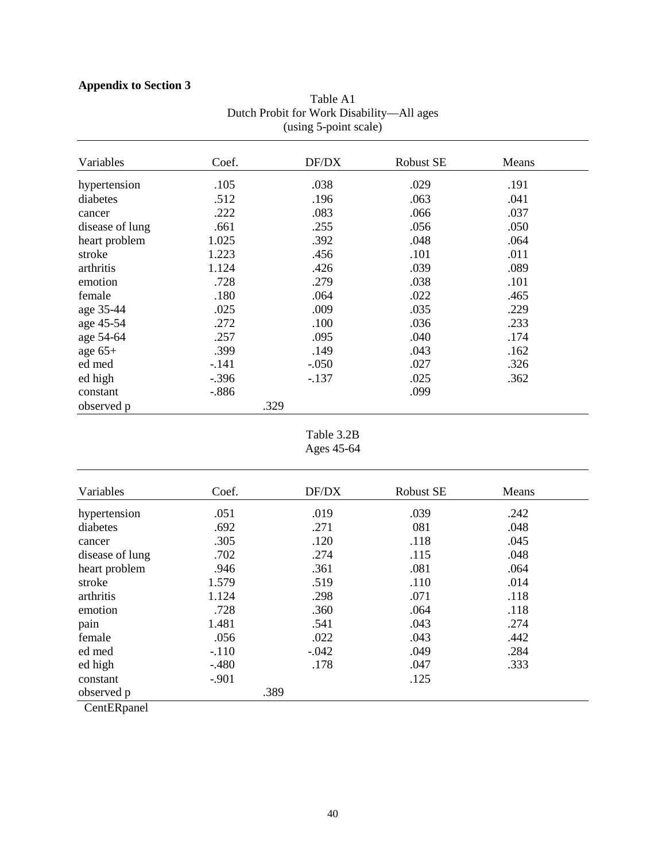# **Appendix to Section 3**

| (using 5-point scale) |         |         |                  |       |  |
|-----------------------|---------|---------|------------------|-------|--|
| Variables             | Coef.   | DF/DX   | <b>Robust SE</b> | Means |  |
| hypertension          | .105    | .038    | .029             | .191  |  |
| diabetes              | .512    | .196    | .063             | .041  |  |
| cancer                | .222    | .083    | .066             | .037  |  |
| disease of lung       | .661    | .255    | .056             | .050  |  |
| heart problem         | 1.025   | .392    | .048             | .064  |  |
| stroke                | 1.223   | .456    | .101             | .011  |  |
| arthritis             | 1.124   | .426    | .039             | .089  |  |
| emotion               | .728    | .279    | .038             | .101  |  |
| female                | .180    | .064    | .022             | .465  |  |
| age 35-44             | .025    | .009    | .035             | .229  |  |
| age 45-54             | .272    | .100    | .036             | .233  |  |
| age 54-64             | .257    | .095    | .040             | .174  |  |
| age $65+$             | .399    | .149    | .043             | .162  |  |
| ed med                | $-.141$ | $-.050$ | .027             | .326  |  |
| ed high               | $-.396$ | $-.137$ | .025             | .362  |  |
| constant              | $-.886$ |         | .099             |       |  |
| observed p            |         | .329    |                  |       |  |

# Table A1 Dutch Probit for Work Disability—All ages

Table 3.2B Ages 45-64

| Variables       | Coef.   | DF/DX   | <b>Robust SE</b> | Means |
|-----------------|---------|---------|------------------|-------|
| hypertension    | .051    | .019    | .039             | .242  |
| diabetes        | .692    | .271    | 081              | .048  |
| cancer          | .305    | .120    | .118             | .045  |
| disease of lung | .702    | .274    | .115             | .048  |
| heart problem   | .946    | .361    | .081             | .064  |
| stroke          | 1.579   | .519    | .110             | .014  |
| arthritis       | 1.124   | .298    | .071             | .118  |
| emotion         | .728    | .360    | .064             | .118  |
| pain            | 1.481   | .541    | .043             | .274  |
| female          | .056    | .022    | .043             | .442  |
| ed med          | $-.110$ | $-.042$ | .049             | .284  |
| ed high         | $-.480$ | .178    | .047             | .333  |
| constant        | $-.901$ |         | .125             |       |
| observed p      |         | .389    |                  |       |

CentERpanel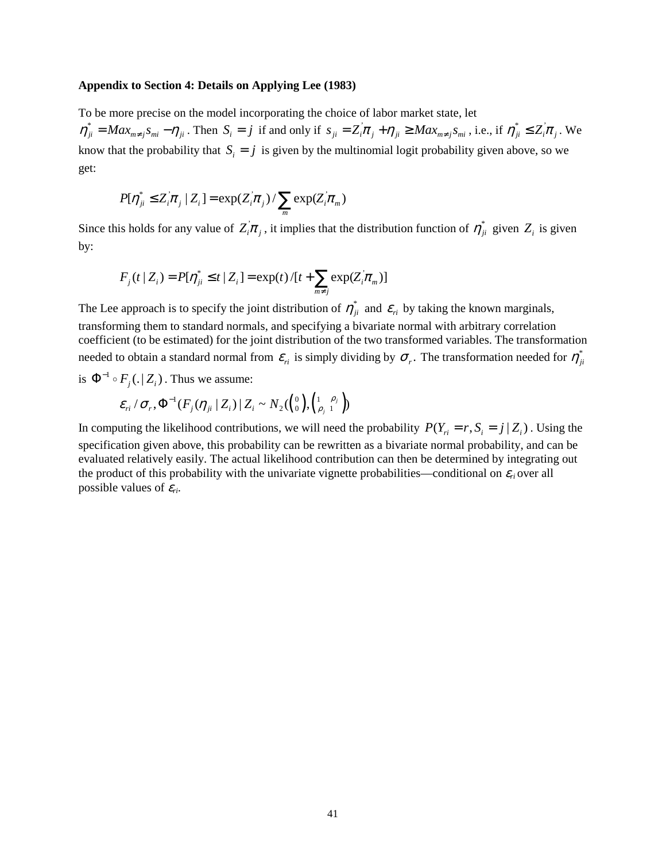#### **Appendix to Section 4: Details on Applying Lee (1983)**

To be more precise on the model incorporating the choice of labor market state, let  $\eta_{ji}^* = Max_{m \neq j} s_{mi} - \eta_{ji}$ . Then  $S_i = j$  if and only if  $s_{ji} = Z_i$ .  $s_{ji} = Z_i \pi_j + \eta_{ji} \geq Max_{m \neq j} s_{mi}$ , i.e., if  $\eta_{ji}^* \leq Z_i \pi_j$ . We know that the probability that  $S_i = j$  is given by the multinomial logit probability given above, so we get:

$$
P[\eta_{ji}^* \leq Z_i \pi_j \mid Z_i] = \exp(Z_i \pi_j) / \sum_m \exp(Z_i \pi_m)
$$

Since this holds for any value of  $Z_i^j \pi_j$ , it implies that the distribution function of  $\eta_{ji}^*$  given  $Z_i$  is given by:

$$
F_j(t | Z_i) = P[\eta_{ji}^* \le t | Z_i] = \exp(t) / [t + \sum_{m \ne j} \exp(Z_i \pi_m)]
$$

The Lee approach is to specify the joint distribution of  $\eta_{ji}^*$  and  $\varepsilon_{ri}$  by taking the known marginals, transforming them to standard normals, and specifying a bivariate normal with arbitrary correlation coefficient (to be estimated) for the joint distribution of the two transformed variables. The transformation needed to obtain a standard normal from  $\varepsilon_n$  is simply dividing by  $\sigma_r$ . The transformation needed for  $\eta_{ji}^*$ 

is  $\Phi^{-1} \circ F_j(. | Z_i)$ . Thus we assume:

$$
\varepsilon_{ri}/\sigma_r, \Phi^{-1}(F_j(\eta_{ji} | Z_i) | Z_i \sim N_2({0 \choose 0}, {1 \choose \rho_j 1})
$$

In computing the likelihood contributions, we will need the probability  $P(Y_{ri} = r, S_i = j | Z_i)$ . Using the specification given above, this probability can be rewritten as a bivariate normal probability, and can be evaluated relatively easily. The actual likelihood contribution can then be determined by integrating out the product of this probability with the univariate vignette probabilities—conditional on  $\varepsilon_{ri}$  over all possible values of  $\varepsilon_{ri}$ .